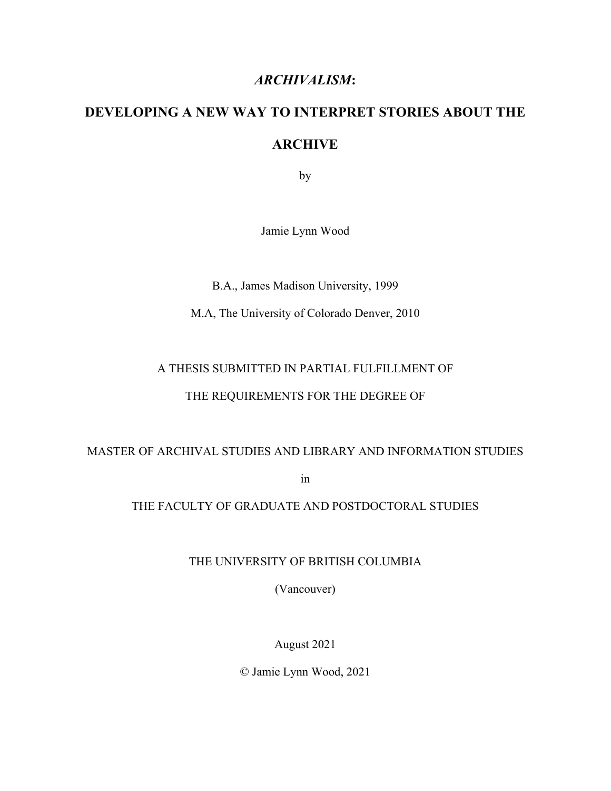### *ARCHIVALISM***:**

# **DEVELOPING A NEW WAY TO INTERPRET STORIES ABOUT THE ARCHIVE**

by

Jamie Lynn Wood

B.A., James Madison University, 1999

M.A, The University of Colorado Denver, 2010

## A THESIS SUBMITTED IN PARTIAL FULFILLMENT OF

### THE REQUIREMENTS FOR THE DEGREE OF

### MASTER OF ARCHIVAL STUDIES AND LIBRARY AND INFORMATION STUDIES

in

### THE FACULTY OF GRADUATE AND POSTDOCTORAL STUDIES

THE UNIVERSITY OF BRITISH COLUMBIA

(Vancouver)

August 2021

© Jamie Lynn Wood, 2021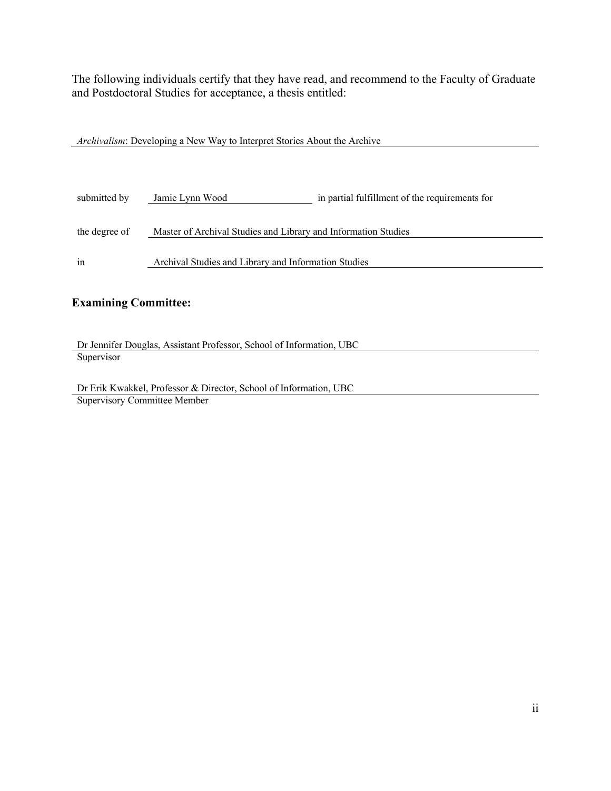The following individuals certify that they have read, and recommend to the Faculty of Graduate and Postdoctoral Studies for acceptance, a thesis entitled:

| <i>Archivalism:</i> Developing a New Way to Interpret Stories About the Archive |                                                                |                                                |  |
|---------------------------------------------------------------------------------|----------------------------------------------------------------|------------------------------------------------|--|
|                                                                                 |                                                                |                                                |  |
|                                                                                 |                                                                |                                                |  |
|                                                                                 |                                                                |                                                |  |
| submitted by                                                                    | Jamie Lynn Wood                                                | in partial fulfillment of the requirements for |  |
|                                                                                 |                                                                |                                                |  |
| the degree of                                                                   | Master of Archival Studies and Library and Information Studies |                                                |  |
|                                                                                 |                                                                |                                                |  |
| 1n                                                                              | Archival Studies and Library and Information Studies           |                                                |  |
|                                                                                 |                                                                |                                                |  |

### **Examining Committee:**

Dr Jennifer Douglas, Assistant Professor, School of Information, UBC **Supervisor** 

Dr Erik Kwakkel, Professor & Director, School of Information, UBC Supervisory Committee Member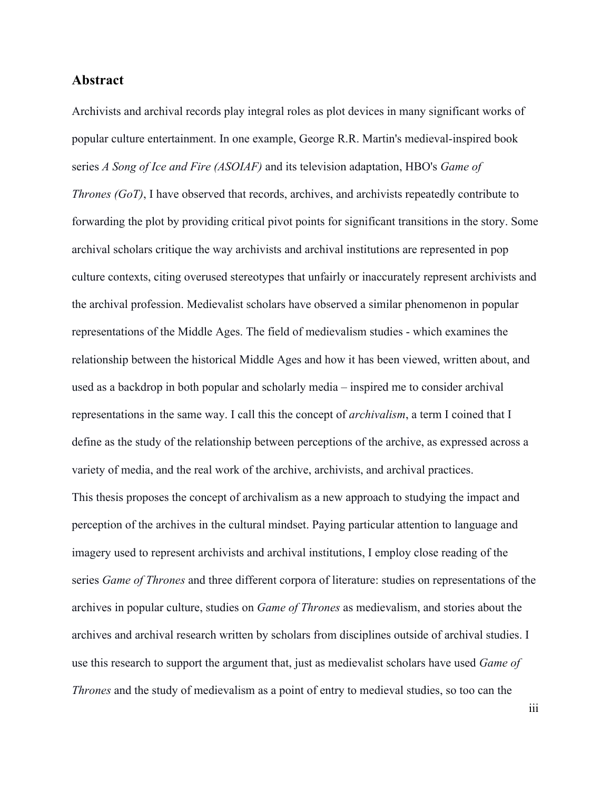### **Abstract**

Archivists and archival records play integral roles as plot devices in many significant works of popular culture entertainment. In one example, George R.R. Martin's medieval-inspired book series *A Song of Ice and Fire (ASOIAF)* and its television adaptation, HBO's *Game of Thrones (GoT)*, I have observed that records, archives, and archivists repeatedly contribute to forwarding the plot by providing critical pivot points for significant transitions in the story. Some archival scholars critique the way archivists and archival institutions are represented in pop culture contexts, citing overused stereotypes that unfairly or inaccurately represent archivists and the archival profession. Medievalist scholars have observed a similar phenomenon in popular representations of the Middle Ages. The field of medievalism studies - which examines the relationship between the historical Middle Ages and how it has been viewed, written about, and used as a backdrop in both popular and scholarly media – inspired me to consider archival representations in the same way. I call this the concept of *archivalism*, a term I coined that I define as the study of the relationship between perceptions of the archive, as expressed across a variety of media, and the real work of the archive, archivists, and archival practices. This thesis proposes the concept of archivalism as a new approach to studying the impact and perception of the archives in the cultural mindset. Paying particular attention to language and imagery used to represent archivists and archival institutions, I employ close reading of the series *Game of Thrones* and three different corpora of literature: studies on representations of the archives in popular culture, studies on *Game of Thrones* as medievalism, and stories about the archives and archival research written by scholars from disciplines outside of archival studies. I use this research to support the argument that, just as medievalist scholars have used *Game of Thrones* and the study of medievalism as a point of entry to medieval studies, so too can the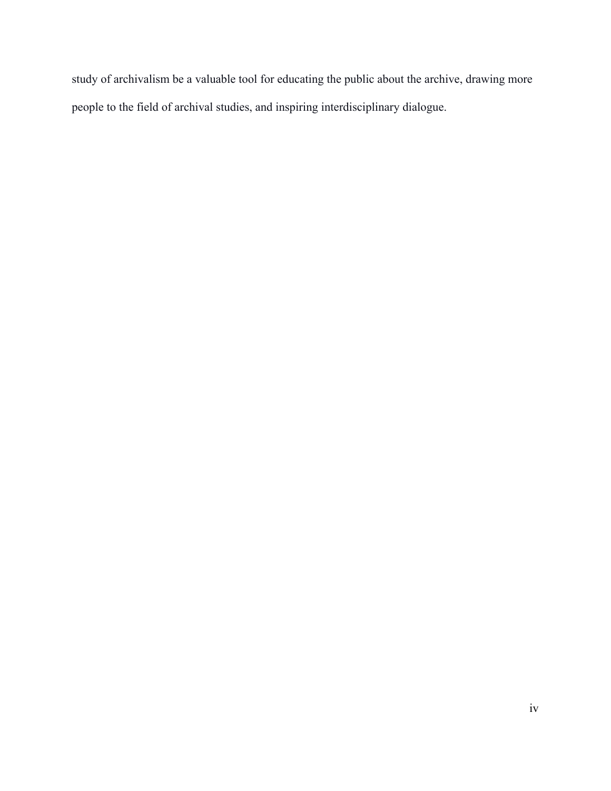study of archivalism be a valuable tool for educating the public about the archive, drawing more people to the field of archival studies, and inspiring interdisciplinary dialogue.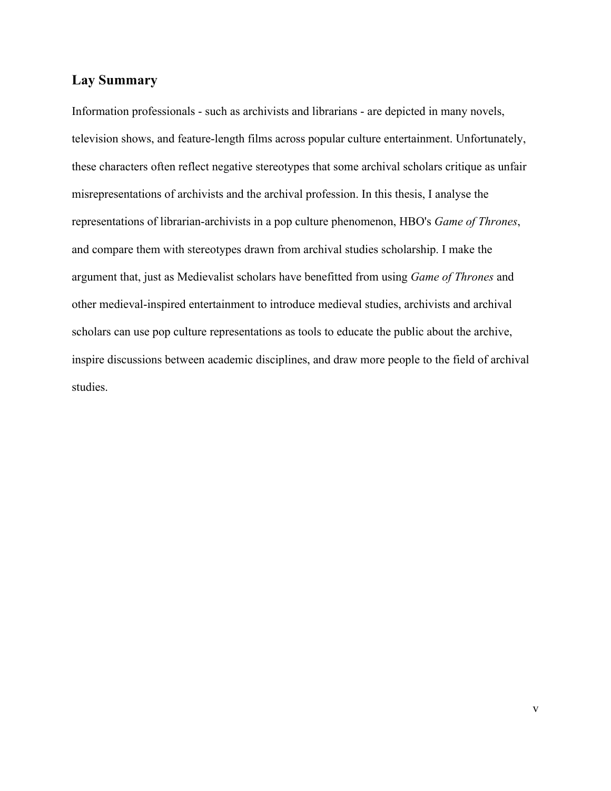### **Lay Summary**

Information professionals - such as archivists and librarians - are depicted in many novels, television shows, and feature-length films across popular culture entertainment. Unfortunately, these characters often reflect negative stereotypes that some archival scholars critique as unfair misrepresentations of archivists and the archival profession. In this thesis, I analyse the representations of librarian-archivists in a pop culture phenomenon, HBO's *Game of Thrones*, and compare them with stereotypes drawn from archival studies scholarship. I make the argument that, just as Medievalist scholars have benefitted from using *Game of Thrones* and other medieval-inspired entertainment to introduce medieval studies, archivists and archival scholars can use pop culture representations as tools to educate the public about the archive, inspire discussions between academic disciplines, and draw more people to the field of archival studies.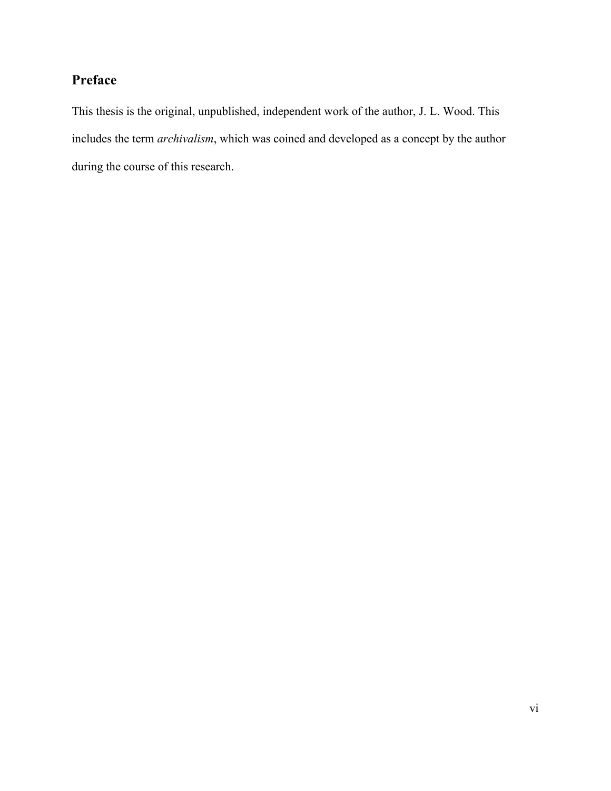### **Preface**

This thesis is the original, unpublished, independent work of the author, J. L. Wood. This includes the term *archivalism*, which was coined and developed as a concept by the author during the course of this research.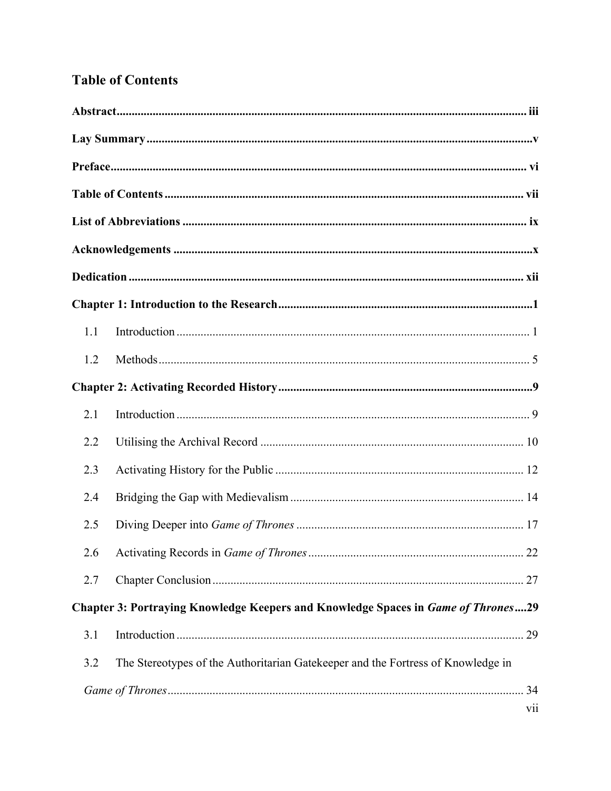### **Table of Contents**

| 1.1 |                                                                                   |
|-----|-----------------------------------------------------------------------------------|
| 1.2 |                                                                                   |
|     |                                                                                   |
| 2.1 |                                                                                   |
| 2.2 |                                                                                   |
| 2.3 |                                                                                   |
| 2.4 |                                                                                   |
| 2.5 |                                                                                   |
|     |                                                                                   |
| 2.7 |                                                                                   |
|     | Chapter 3: Portraying Knowledge Keepers and Knowledge Spaces in Game of Thrones29 |
| 3.1 |                                                                                   |
| 3.2 | The Stereotypes of the Authoritarian Gatekeeper and the Fortress of Knowledge in  |
|     |                                                                                   |
|     | $\overline{\text{vii}}$                                                           |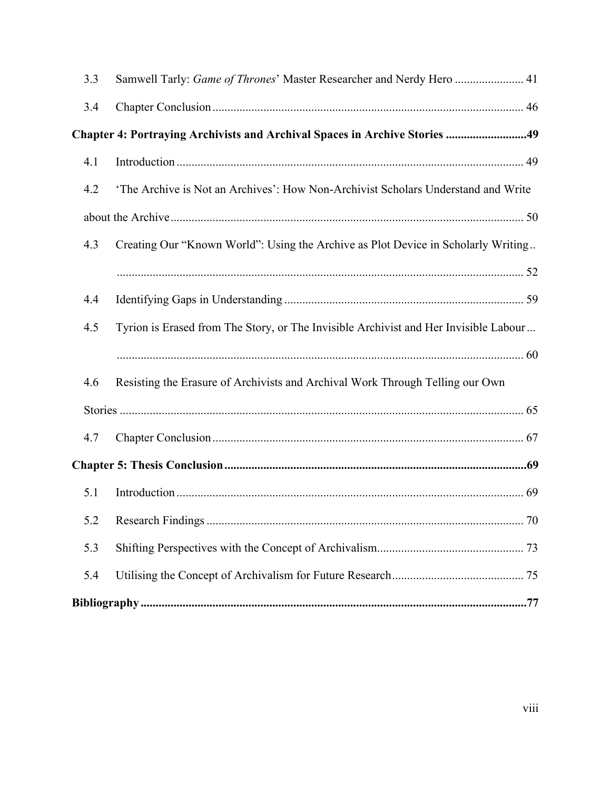| 3.3 | Samwell Tarly: Game of Thrones' Master Researcher and Nerdy Hero  41                 |
|-----|--------------------------------------------------------------------------------------|
| 3.4 |                                                                                      |
|     | Chapter 4: Portraying Archivists and Archival Spaces in Archive Stories 49           |
| 4.1 |                                                                                      |
| 4.2 | 'The Archive is Not an Archives': How Non-Archivist Scholars Understand and Write    |
|     |                                                                                      |
| 4.3 | Creating Our "Known World": Using the Archive as Plot Device in Scholarly Writing    |
|     |                                                                                      |
| 4.4 |                                                                                      |
| 4.5 | Tyrion is Erased from The Story, or The Invisible Archivist and Her Invisible Labour |
|     |                                                                                      |
| 4.6 | Resisting the Erasure of Archivists and Archival Work Through Telling our Own        |
|     |                                                                                      |
| 4.7 |                                                                                      |
|     |                                                                                      |
| 5.1 |                                                                                      |
|     |                                                                                      |
| 5.3 |                                                                                      |
| 5.4 |                                                                                      |
|     |                                                                                      |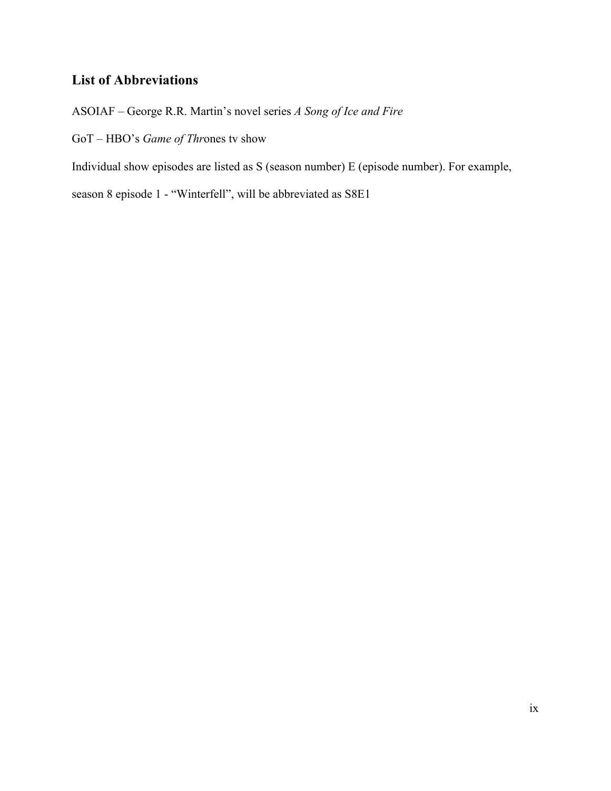### **List of Abbreviations**

ASOIAF – George R.R. Martin's novel series *A Song of Ice and Fire*

GoT – HBO's *Game of Thr*ones tv show

Individual show episodes are listed as S (season number) E (episode number). For example,

season 8 episode 1 - "Winterfell", will be abbreviated as S8E1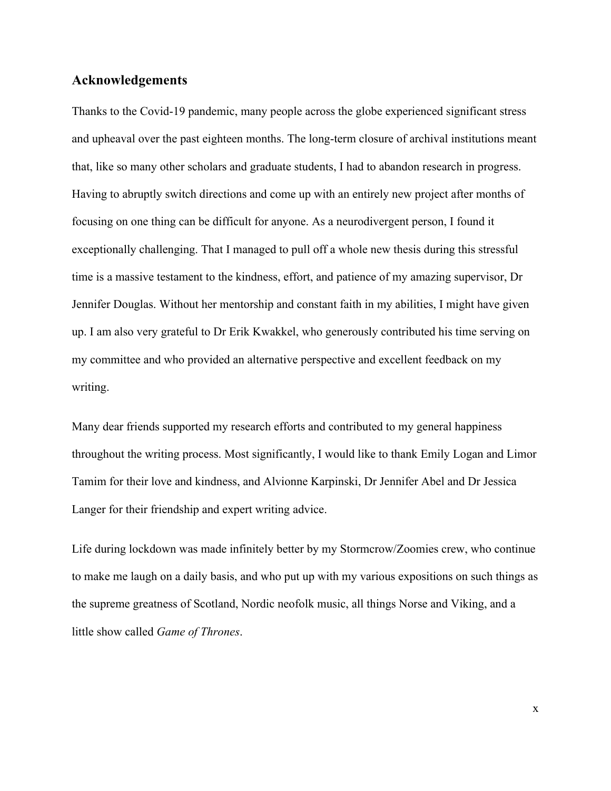### **Acknowledgements**

Thanks to the Covid-19 pandemic, many people across the globe experienced significant stress and upheaval over the past eighteen months. The long-term closure of archival institutions meant that, like so many other scholars and graduate students, I had to abandon research in progress. Having to abruptly switch directions and come up with an entirely new project after months of focusing on one thing can be difficult for anyone. As a neurodivergent person, I found it exceptionally challenging. That I managed to pull off a whole new thesis during this stressful time is a massive testament to the kindness, effort, and patience of my amazing supervisor, Dr Jennifer Douglas. Without her mentorship and constant faith in my abilities, I might have given up. I am also very grateful to Dr Erik Kwakkel, who generously contributed his time serving on my committee and who provided an alternative perspective and excellent feedback on my writing.

Many dear friends supported my research efforts and contributed to my general happiness throughout the writing process. Most significantly, I would like to thank Emily Logan and Limor Tamim for their love and kindness, and Alvionne Karpinski, Dr Jennifer Abel and Dr Jessica Langer for their friendship and expert writing advice.

Life during lockdown was made infinitely better by my Stormcrow/Zoomies crew, who continue to make me laugh on a daily basis, and who put up with my various expositions on such things as the supreme greatness of Scotland, Nordic neofolk music, all things Norse and Viking, and a little show called *Game of Thrones*.

x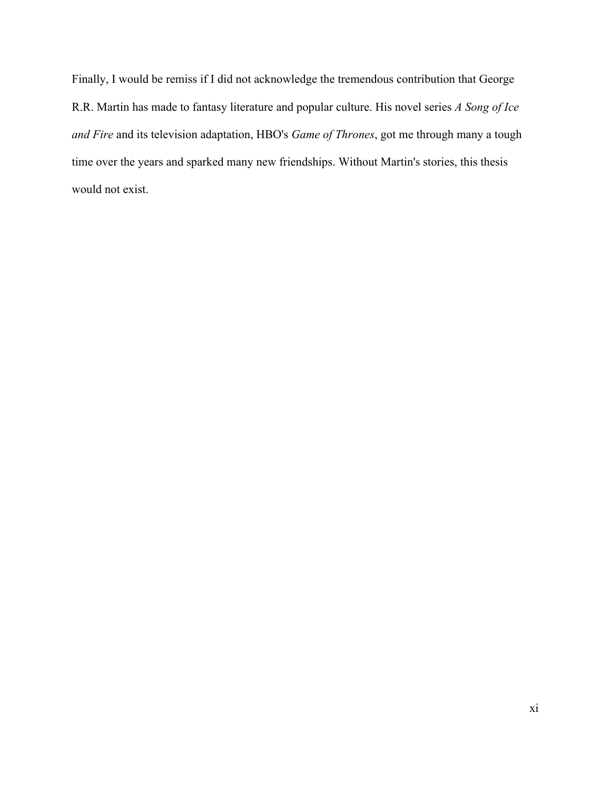Finally, I would be remiss if I did not acknowledge the tremendous contribution that George R.R. Martin has made to fantasy literature and popular culture. His novel series *A Song of Ice and Fire* and its television adaptation, HBO's *Game of Thrones*, got me through many a tough time over the years and sparked many new friendships. Without Martin's stories, this thesis would not exist.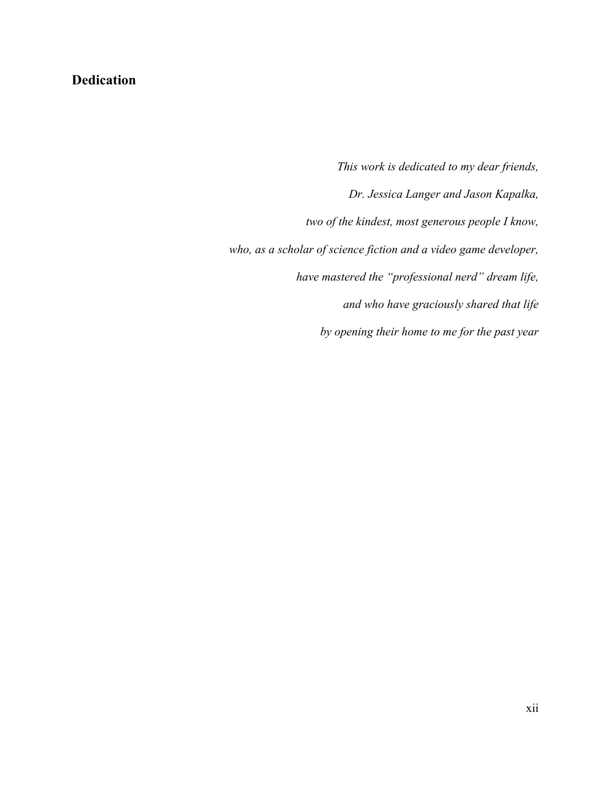### **Dedication**

*This work is dedicated to my dear friends, Dr. Jessica Langer and Jason Kapalka, two of the kindest, most generous people I know, who, as a scholar of science fiction and a video game developer, have mastered the "professional nerd" dream life, and who have graciously shared that life by opening their home to me for the past year*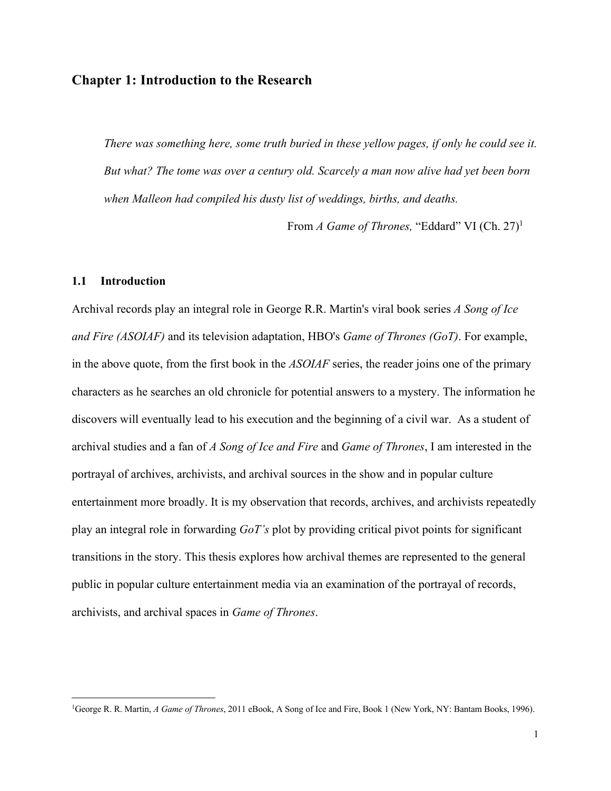### **Chapter 1: Introduction to the Research**

*There was something here, some truth buried in these yellow pages, if only he could see it. But what? The tome was over a century old. Scarcely a man now alive had yet been born when Malleon had compiled his dusty list of weddings, births, and deaths.*

From *A Game of Thrones*, "Eddard" VI (Ch. 27)<sup>1</sup>

### **1.1 Introduction**

Archival records play an integral role in George R.R. Martin's viral book series *A Song of Ice and Fire (ASOIAF)* and its television adaptation, HBO's *Game of Thrones (GoT)*. For example, in the above quote, from the first book in the *ASOIAF* series, the reader joins one of the primary characters as he searches an old chronicle for potential answers to a mystery. The information he discovers will eventually lead to his execution and the beginning of a civil war. As a student of archival studies and a fan of *A Song of Ice and Fire* and *Game of Thrones*, I am interested in the portrayal of archives, archivists, and archival sources in the show and in popular culture entertainment more broadly. It is my observation that records, archives, and archivists repeatedly play an integral role in forwarding *GoT's* plot by providing critical pivot points for significant transitions in the story. This thesis explores how archival themes are represented to the general public in popular culture entertainment media via an examination of the portrayal of records, archivists, and archival spaces in *Game of Thrones*.

<sup>1</sup>George R. R. Martin, *A Game of Thrones*, 2011 eBook, A Song of Ice and Fire, Book 1 (New York, NY: Bantam Books, 1996).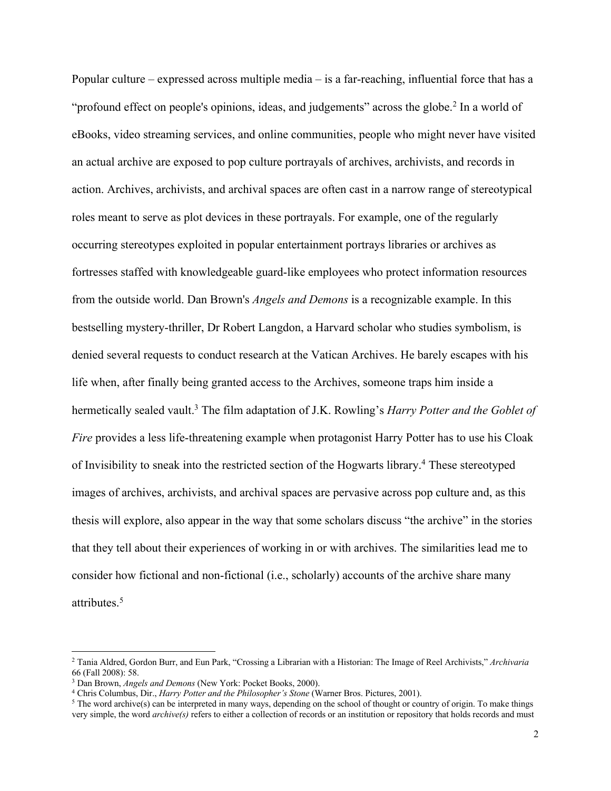Popular culture – expressed across multiple media – is a far-reaching, influential force that has a "profound effect on people's opinions, ideas, and judgements" across the globe.<sup>2</sup> In a world of eBooks, video streaming services, and online communities, people who might never have visited an actual archive are exposed to pop culture portrayals of archives, archivists, and records in action. Archives, archivists, and archival spaces are often cast in a narrow range of stereotypical roles meant to serve as plot devices in these portrayals. For example, one of the regularly occurring stereotypes exploited in popular entertainment portrays libraries or archives as fortresses staffed with knowledgeable guard-like employees who protect information resources from the outside world. Dan Brown's *Angels and Demons* is a recognizable example. In this bestselling mystery-thriller, Dr Robert Langdon, a Harvard scholar who studies symbolism, is denied several requests to conduct research at the Vatican Archives. He barely escapes with his life when, after finally being granted access to the Archives, someone traps him inside a hermetically sealed vault.3 The film adaptation of J.K. Rowling's *Harry Potter and the Goblet of Fire* provides a less life-threatening example when protagonist Harry Potter has to use his Cloak of Invisibility to sneak into the restricted section of the Hogwarts library.4 These stereotyped images of archives, archivists, and archival spaces are pervasive across pop culture and, as this thesis will explore, also appear in the way that some scholars discuss "the archive" in the stories that they tell about their experiences of working in or with archives. The similarities lead me to consider how fictional and non-fictional (i.e., scholarly) accounts of the archive share many attributes. 5

<sup>2</sup> Tania Aldred, Gordon Burr, and Eun Park, "Crossing a Librarian with a Historian: The Image of Reel Archivists," *Archivaria* 66 (Fall 2008): 58.

<sup>3</sup> Dan Brown, *Angels and Demons* (New York: Pocket Books, 2000).

<sup>4</sup> Chris Columbus, Dir., *Harry Potter and the Philosopher's Stone* (Warner Bros. Pictures, 2001).

<sup>5</sup> The word archive(s) can be interpreted in many ways, depending on the school of thought or country of origin. To make things very simple, the word *archive(s)* refers to either a collection of records or an institution or repository that holds records and must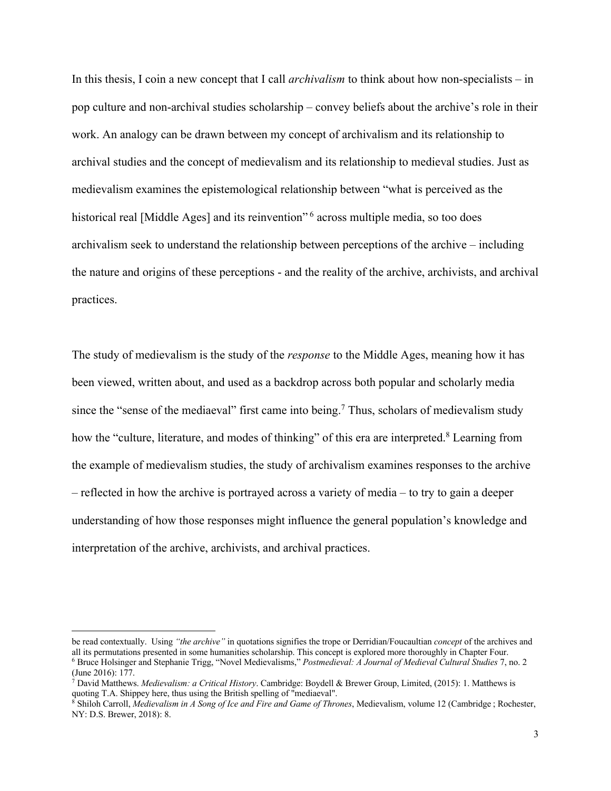In this thesis, I coin a new concept that I call *archivalism* to think about how non-specialists – in pop culture and non-archival studies scholarship – convey beliefs about the archive's role in their work. An analogy can be drawn between my concept of archivalism and its relationship to archival studies and the concept of medievalism and its relationship to medieval studies. Just as medievalism examines the epistemological relationship between "what is perceived as the historical real [Middle Ages] and its reinvention"<sup>6</sup> across multiple media, so too does archivalism seek to understand the relationship between perceptions of the archive – including the nature and origins of these perceptions - and the reality of the archive, archivists, and archival practices.

The study of medievalism is the study of the *response* to the Middle Ages, meaning how it has been viewed, written about, and used as a backdrop across both popular and scholarly media since the "sense of the mediaeval" first came into being.<sup>7</sup> Thus, scholars of medievalism study how the "culture, literature, and modes of thinking" of this era are interpreted.<sup>8</sup> Learning from the example of medievalism studies, the study of archivalism examines responses to the archive – reflected in how the archive is portrayed across a variety of media – to try to gain a deeper understanding of how those responses might influence the general population's knowledge and interpretation of the archive, archivists, and archival practices.

be read contextually. Using *"the archive"* in quotations signifies the trope or Derridian/Foucaultian *concept* of the archives and all its permutations presented in some humanities scholarship. This concept is explored more thoroughly in Chapter Four. <sup>6</sup> Bruce Holsinger and Stephanie Trigg, "Novel Medievalisms," *Postmedieval: A Journal of Medieval Cultural Studies* 7, no. 2 (June 2016): 177.

<sup>7</sup> David Matthews. *Medievalism: a Critical History*. Cambridge: Boydell & Brewer Group, Limited, (2015): 1. Matthews is quoting T.A. Shippey here, thus using the British spelling of "mediaeval".

<sup>&</sup>lt;sup>8</sup> Shiloh Carroll, *Medievalism in A Song of Ice and Fire and Game of Thrones*, Medievalism, volume 12 (Cambridge; Rochester, NY: D.S. Brewer, 2018): 8.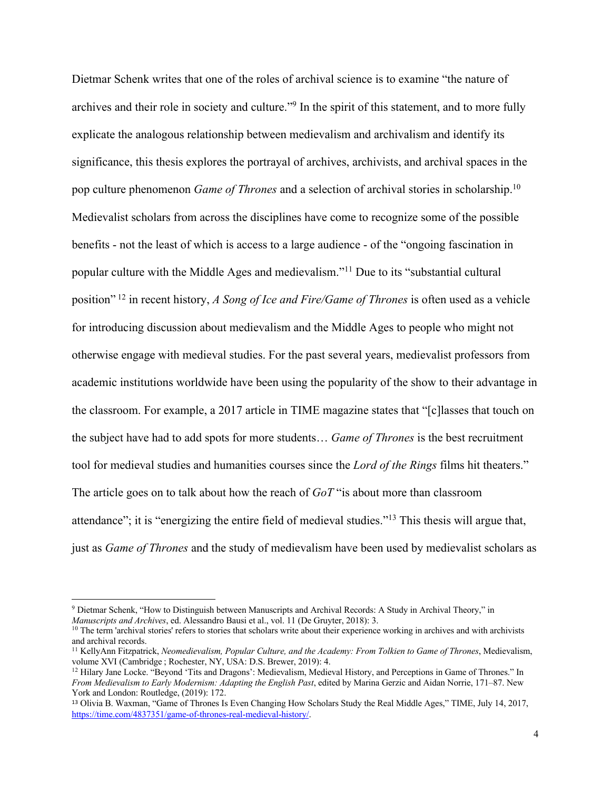Dietmar Schenk writes that one of the roles of archival science is to examine "the nature of archives and their role in society and culture."9 In the spirit of this statement, and to more fully explicate the analogous relationship between medievalism and archivalism and identify its significance, this thesis explores the portrayal of archives, archivists, and archival spaces in the pop culture phenomenon *Game of Thrones* and a selection of archival stories in scholarship.10 Medievalist scholars from across the disciplines have come to recognize some of the possible benefits - not the least of which is access to a large audience - of the "ongoing fascination in popular culture with the Middle Ages and medievalism."11 Due to its "substantial cultural position" <sup>12</sup> in recent history, *A Song of Ice and Fire/Game of Thrones* is often used as a vehicle for introducing discussion about medievalism and the Middle Ages to people who might not otherwise engage with medieval studies. For the past several years, medievalist professors from academic institutions worldwide have been using the popularity of the show to their advantage in the classroom. For example, a 2017 article in TIME magazine states that "[c]lasses that touch on the subject have had to add spots for more students… *Game of Thrones* is the best recruitment tool for medieval studies and humanities courses since the *Lord of the Rings* films hit theaters." The article goes on to talk about how the reach of *GoT* "is about more than classroom attendance"; it is "energizing the entire field of medieval studies."13 This thesis will argue that, just as *Game of Thrones* and the study of medievalism have been used by medievalist scholars as

<sup>&</sup>lt;sup>9</sup> Dietmar Schenk, "How to Distinguish between Manuscripts and Archival Records: A Study in Archival Theory," in *Manuscripts and Archives*, ed. Alessandro Bausi et al., vol. 11 (De Gruyter, 2018): 3.

 $10$  The term 'archival stories' refers to stories that scholars write about their experience working in archives and with archivists and archival records.

<sup>11</sup> KellyAnn Fitzpatrick, *Neomedievalism, Popular Culture, and the Academy: From Tolkien to Game of Thrones*, Medievalism, volume XVI (Cambridge ; Rochester, NY, USA: D.S. Brewer, 2019): 4.

<sup>&</sup>lt;sup>12</sup> Hilary Jane Locke. "Beyond 'Tits and Dragons': Medievalism, Medieval History, and Perceptions in Game of Thrones." In *From Medievalism to Early Modernism: Adapting the English Past*, edited by Marina Gerzic and Aidan Norrie, 171–87. New York and London: Routledge, (2019): 172.

<sup>13</sup> Olivia B. Waxman, "Game of Thrones Is Even Changing How Scholars Study the Real Middle Ages," TIME, July 14, 2017, https://time.com/4837351/game-of-thrones-real-medieval-history/.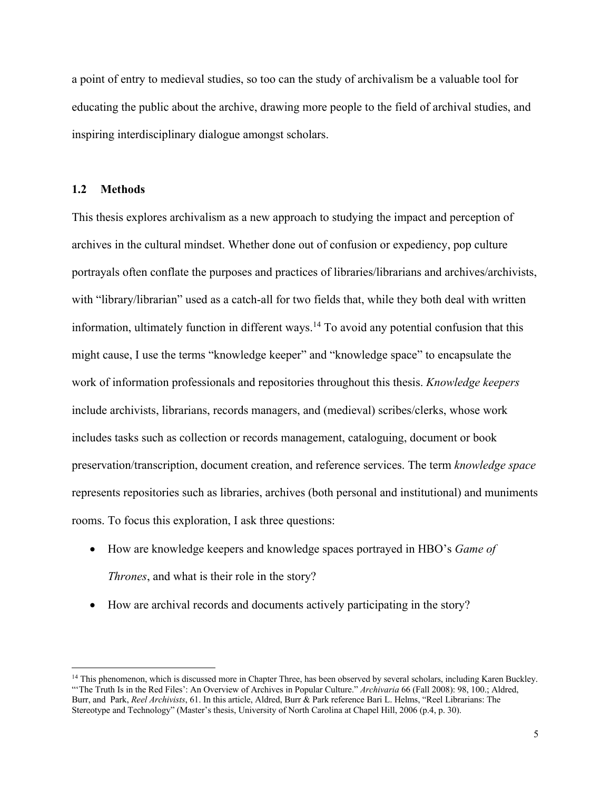a point of entry to medieval studies, so too can the study of archivalism be a valuable tool for educating the public about the archive, drawing more people to the field of archival studies, and inspiring interdisciplinary dialogue amongst scholars.

### **1.2 Methods**

This thesis explores archivalism as a new approach to studying the impact and perception of archives in the cultural mindset. Whether done out of confusion or expediency, pop culture portrayals often conflate the purposes and practices of libraries/librarians and archives/archivists, with "library/librarian" used as a catch-all for two fields that, while they both deal with written information, ultimately function in different ways.14 To avoid any potential confusion that this might cause, I use the terms "knowledge keeper" and "knowledge space" to encapsulate the work of information professionals and repositories throughout this thesis. *Knowledge keepers* include archivists, librarians, records managers, and (medieval) scribes/clerks, whose work includes tasks such as collection or records management, cataloguing, document or book preservation/transcription, document creation, and reference services. The term *knowledge space* represents repositories such as libraries, archives (both personal and institutional) and muniments rooms. To focus this exploration, I ask three questions:

- How are knowledge keepers and knowledge spaces portrayed in HBO's *Game of Thrones*, and what is their role in the story?
- How are archival records and documents actively participating in the story?

<sup>&</sup>lt;sup>14</sup> This phenomenon, which is discussed more in Chapter Three, has been observed by several scholars, including Karen Buckley. "'The Truth Is in the Red Files': An Overview of Archives in Popular Culture." *Archivaria* 66 (Fall 2008): 98, 100.; Aldred, Burr, and Park, *Reel Archivists*, 61. In this article, Aldred, Burr & Park reference Bari L. Helms, "Reel Librarians: The Stereotype and Technology" (Master's thesis, University of North Carolina at Chapel Hill, 2006 (p.4, p. 30).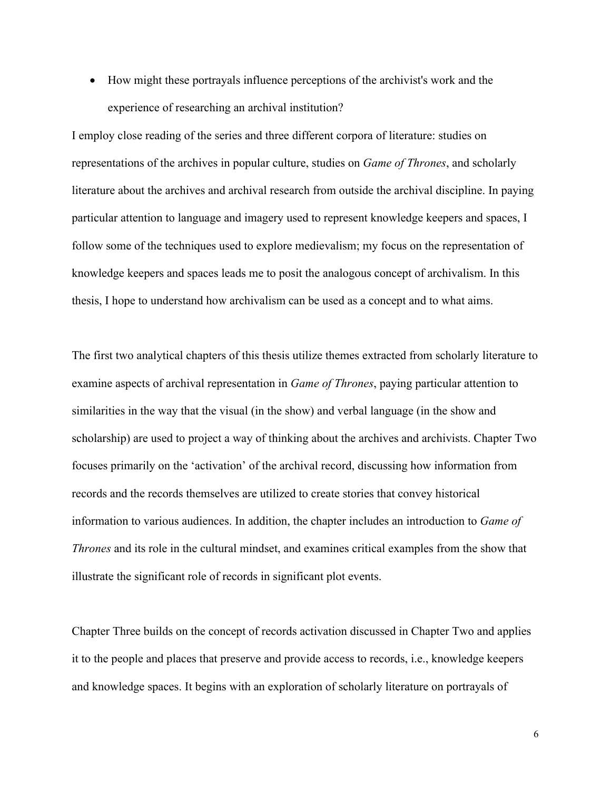• How might these portrayals influence perceptions of the archivist's work and the experience of researching an archival institution?

I employ close reading of the series and three different corpora of literature: studies on representations of the archives in popular culture, studies on *Game of Thrones*, and scholarly literature about the archives and archival research from outside the archival discipline. In paying particular attention to language and imagery used to represent knowledge keepers and spaces, I follow some of the techniques used to explore medievalism; my focus on the representation of knowledge keepers and spaces leads me to posit the analogous concept of archivalism. In this thesis, I hope to understand how archivalism can be used as a concept and to what aims.

The first two analytical chapters of this thesis utilize themes extracted from scholarly literature to examine aspects of archival representation in *Game of Thrones*, paying particular attention to similarities in the way that the visual (in the show) and verbal language (in the show and scholarship) are used to project a way of thinking about the archives and archivists. Chapter Two focuses primarily on the 'activation' of the archival record, discussing how information from records and the records themselves are utilized to create stories that convey historical information to various audiences. In addition, the chapter includes an introduction to *Game of Thrones* and its role in the cultural mindset, and examines critical examples from the show that illustrate the significant role of records in significant plot events.

Chapter Three builds on the concept of records activation discussed in Chapter Two and applies it to the people and places that preserve and provide access to records, i.e., knowledge keepers and knowledge spaces. It begins with an exploration of scholarly literature on portrayals of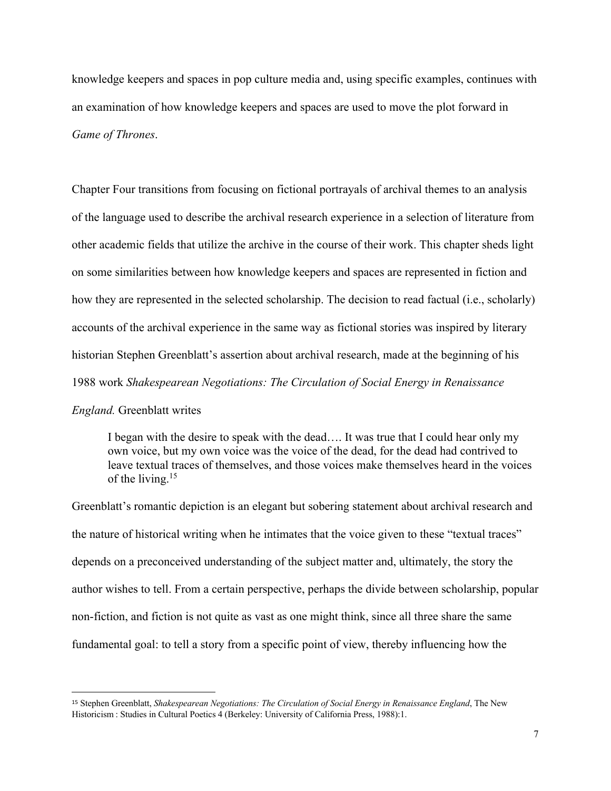knowledge keepers and spaces in pop culture media and, using specific examples, continues with an examination of how knowledge keepers and spaces are used to move the plot forward in *Game of Thrones*.

Chapter Four transitions from focusing on fictional portrayals of archival themes to an analysis of the language used to describe the archival research experience in a selection of literature from other academic fields that utilize the archive in the course of their work. This chapter sheds light on some similarities between how knowledge keepers and spaces are represented in fiction and how they are represented in the selected scholarship. The decision to read factual (i.e., scholarly) accounts of the archival experience in the same way as fictional stories was inspired by literary historian Stephen Greenblatt's assertion about archival research, made at the beginning of his 1988 work *Shakespearean Negotiations: The Circulation of Social Energy in Renaissance* 

#### *England.* Greenblatt writes

I began with the desire to speak with the dead…. It was true that I could hear only my own voice, but my own voice was the voice of the dead, for the dead had contrived to leave textual traces of themselves, and those voices make themselves heard in the voices of the living.<sup>15</sup>

Greenblatt's romantic depiction is an elegant but sobering statement about archival research and the nature of historical writing when he intimates that the voice given to these "textual traces" depends on a preconceived understanding of the subject matter and, ultimately, the story the author wishes to tell. From a certain perspective, perhaps the divide between scholarship, popular non-fiction, and fiction is not quite as vast as one might think, since all three share the same fundamental goal: to tell a story from a specific point of view, thereby influencing how the

<sup>15</sup> Stephen Greenblatt, *Shakespearean Negotiations: The Circulation of Social Energy in Renaissance England*, The New Historicism : Studies in Cultural Poetics 4 (Berkeley: University of California Press, 1988):1.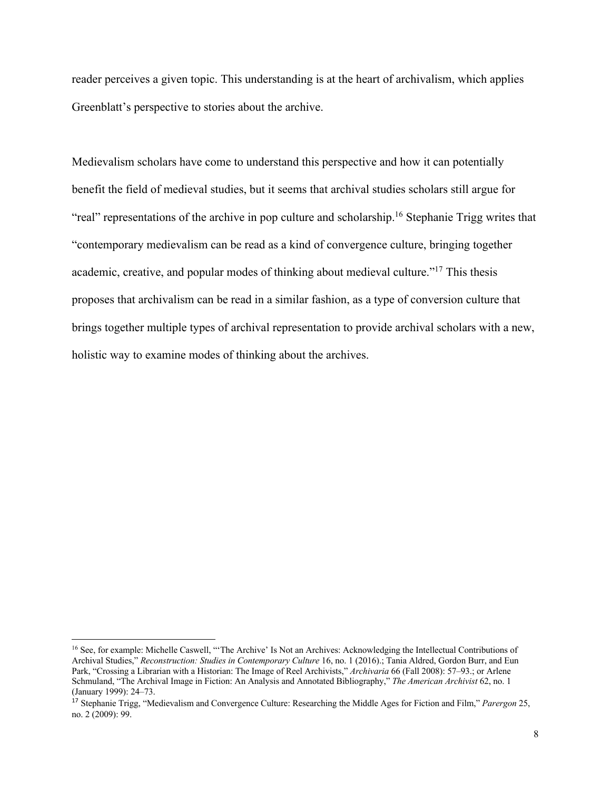reader perceives a given topic. This understanding is at the heart of archivalism, which applies Greenblatt's perspective to stories about the archive.

Medievalism scholars have come to understand this perspective and how it can potentially benefit the field of medieval studies, but it seems that archival studies scholars still argue for "real" representations of the archive in pop culture and scholarship.<sup>16</sup> Stephanie Trigg writes that "contemporary medievalism can be read as a kind of convergence culture, bringing together academic, creative, and popular modes of thinking about medieval culture."17 This thesis proposes that archivalism can be read in a similar fashion, as a type of conversion culture that brings together multiple types of archival representation to provide archival scholars with a new, holistic way to examine modes of thinking about the archives.

<sup>&</sup>lt;sup>16</sup> See, for example: Michelle Caswell, "The Archive' Is Not an Archives: Acknowledging the Intellectual Contributions of Archival Studies," *Reconstruction: Studies in Contemporary Culture* 16, no. 1 (2016).; Tania Aldred, Gordon Burr, and Eun Park, "Crossing a Librarian with a Historian: The Image of Reel Archivists," *Archivaria* 66 (Fall 2008): 57–93.; or Arlene Schmuland, "The Archival Image in Fiction: An Analysis and Annotated Bibliography," *The American Archivist* 62, no. 1 (January 1999): 24–73.

<sup>17</sup> Stephanie Trigg, "Medievalism and Convergence Culture: Researching the Middle Ages for Fiction and Film," *Parergon* 25, no. 2 (2009): 99.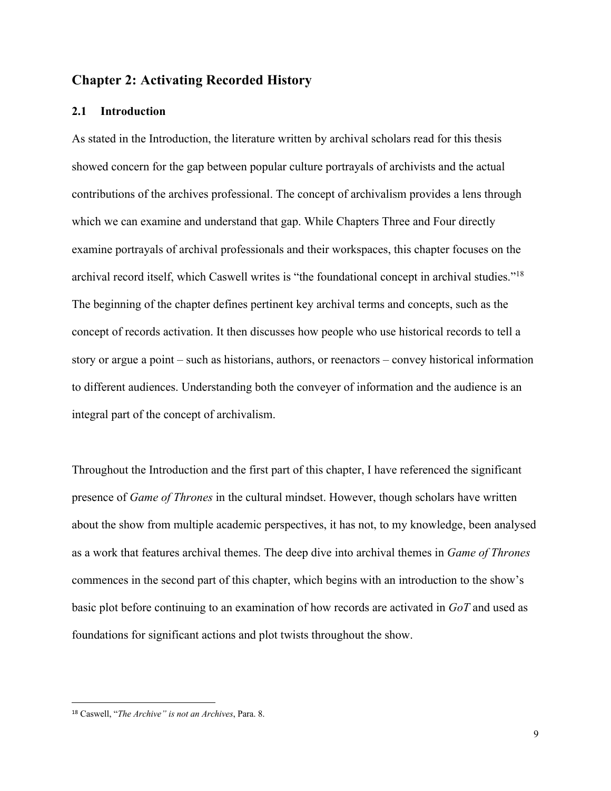### **Chapter 2: Activating Recorded History**

### **2.1 Introduction**

As stated in the Introduction, the literature written by archival scholars read for this thesis showed concern for the gap between popular culture portrayals of archivists and the actual contributions of the archives professional. The concept of archivalism provides a lens through which we can examine and understand that gap. While Chapters Three and Four directly examine portrayals of archival professionals and their workspaces, this chapter focuses on the archival record itself, which Caswell writes is "the foundational concept in archival studies."18 The beginning of the chapter defines pertinent key archival terms and concepts, such as the concept of records activation. It then discusses how people who use historical records to tell a story or argue a point – such as historians, authors, or reenactors – convey historical information to different audiences. Understanding both the conveyer of information and the audience is an integral part of the concept of archivalism.

Throughout the Introduction and the first part of this chapter, I have referenced the significant presence of *Game of Thrones* in the cultural mindset. However, though scholars have written about the show from multiple academic perspectives, it has not, to my knowledge, been analysed as a work that features archival themes. The deep dive into archival themes in *Game of Thrones* commences in the second part of this chapter, which begins with an introduction to the show's basic plot before continuing to an examination of how records are activated in *GoT* and used as foundations for significant actions and plot twists throughout the show.

<sup>18</sup> Caswell, "*The Archive" is not an Archives*, Para. 8.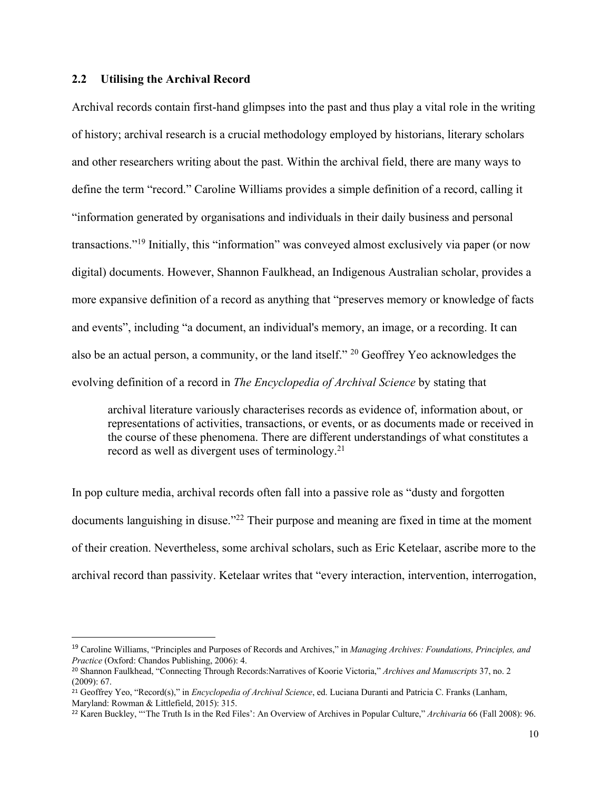### **2.2 Utilising the Archival Record**

Archival records contain first-hand glimpses into the past and thus play a vital role in the writing of history; archival research is a crucial methodology employed by historians, literary scholars and other researchers writing about the past. Within the archival field, there are many ways to define the term "record." Caroline Williams provides a simple definition of a record, calling it "information generated by organisations and individuals in their daily business and personal transactions."19 Initially, this "information" was conveyed almost exclusively via paper (or now digital) documents. However, Shannon Faulkhead, an Indigenous Australian scholar, provides a more expansive definition of a record as anything that "preserves memory or knowledge of facts and events", including "a document, an individual's memory, an image, or a recording. It can also be an actual person, a community, or the land itself." <sup>20</sup> Geoffrey Yeo acknowledges the evolving definition of a record in *The Encyclopedia of Archival Science* by stating that

archival literature variously characterises records as evidence of, information about, or representations of activities, transactions, or events, or as documents made or received in the course of these phenomena. There are different understandings of what constitutes a record as well as divergent uses of terminology.<sup>21</sup>

In pop culture media, archival records often fall into a passive role as "dusty and forgotten documents languishing in disuse."<sup>22</sup> Their purpose and meaning are fixed in time at the moment of their creation. Nevertheless, some archival scholars, such as Eric Ketelaar, ascribe more to the archival record than passivity. Ketelaar writes that "every interaction, intervention, interrogation,

<sup>19</sup> Caroline Williams, "Principles and Purposes of Records and Archives," in *Managing Archives: Foundations, Principles, and Practice* (Oxford: Chandos Publishing, 2006): 4.

<sup>20</sup> Shannon Faulkhead, "Connecting Through Records:Narratives of Koorie Victoria," *Archives and Manuscripts* 37, no. 2 (2009): 67.

<sup>21</sup> Geoffrey Yeo, "Record(s)," in *Encyclopedia of Archival Science*, ed. Luciana Duranti and Patricia C. Franks (Lanham, Maryland: Rowman & Littlefield, 2015): 315.

<sup>22</sup> Karen Buckley, "'The Truth Is in the Red Files': An Overview of Archives in Popular Culture," *Archivaria* 66 (Fall 2008): 96.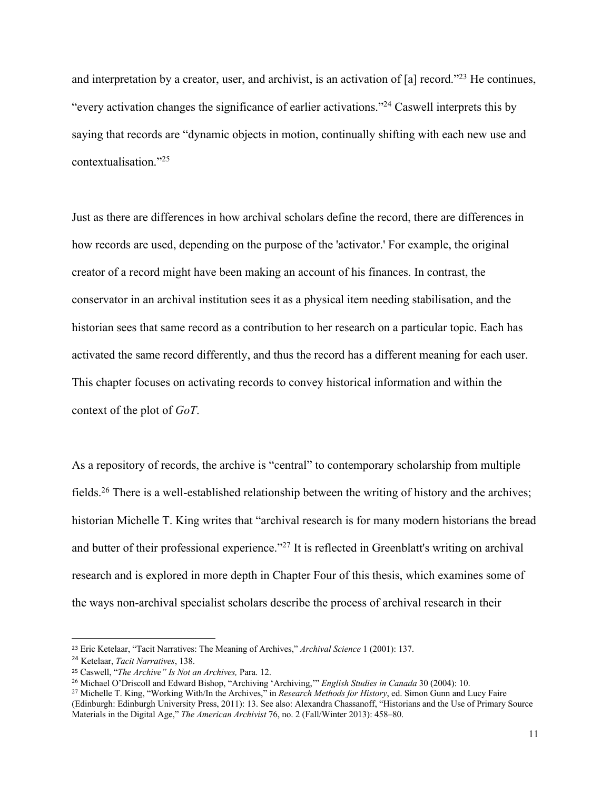and interpretation by a creator, user, and archivist, is an activation of [a] record."<sup>23</sup> He continues, "every activation changes the significance of earlier activations."24 Caswell interprets this by saying that records are "dynamic objects in motion, continually shifting with each new use and contextualisation."25

Just as there are differences in how archival scholars define the record, there are differences in how records are used, depending on the purpose of the 'activator.' For example, the original creator of a record might have been making an account of his finances. In contrast, the conservator in an archival institution sees it as a physical item needing stabilisation, and the historian sees that same record as a contribution to her research on a particular topic. Each has activated the same record differently, and thus the record has a different meaning for each user. This chapter focuses on activating records to convey historical information and within the context of the plot of *GoT*.

As a repository of records, the archive is "central" to contemporary scholarship from multiple fields.26 There is a well-established relationship between the writing of history and the archives; historian Michelle T. King writes that "archival research is for many modern historians the bread and butter of their professional experience."<sup>27</sup> It is reflected in Greenblatt's writing on archival research and is explored in more depth in Chapter Four of this thesis, which examines some of the ways non-archival specialist scholars describe the process of archival research in their

<sup>23</sup> Eric Ketelaar, "Tacit Narratives: The Meaning of Archives," *Archival Science* 1 (2001): 137.

<sup>24</sup> Ketelaar, *Tacit Narratives*, 138.

<sup>25</sup> Caswell, "*The Archive" Is Not an Archives,* Para. 12.

<sup>26</sup> Michael O'Driscoll and Edward Bishop, "Archiving 'Archiving,'" *English Studies in Canada* 30 (2004): 10.

<sup>27</sup> Michelle T. King, "Working With/In the Archives," in *Research Methods for History*, ed. Simon Gunn and Lucy Faire (Edinburgh: Edinburgh University Press, 2011): 13. See also: Alexandra Chassanoff, "Historians and the Use of Primary Source Materials in the Digital Age," *The American Archivist* 76, no. 2 (Fall/Winter 2013): 458–80.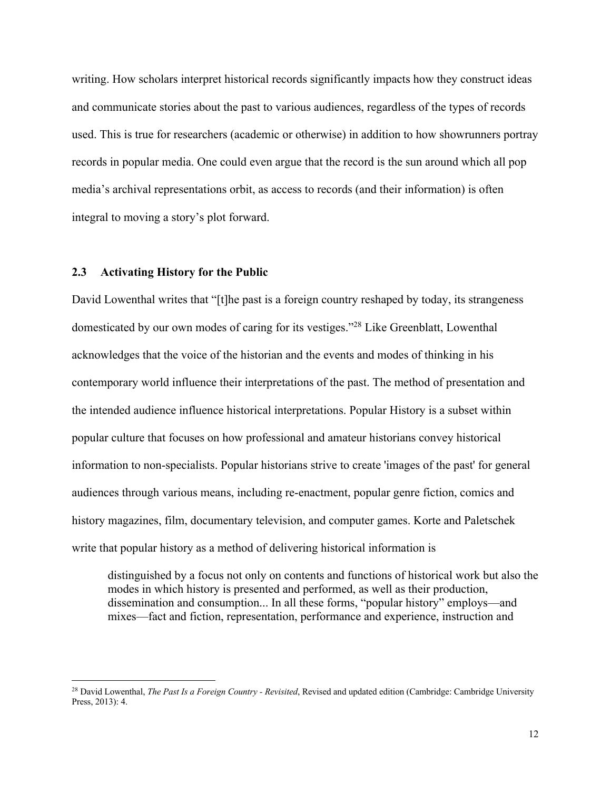writing. How scholars interpret historical records significantly impacts how they construct ideas and communicate stories about the past to various audiences, regardless of the types of records used. This is true for researchers (academic or otherwise) in addition to how showrunners portray records in popular media. One could even argue that the record is the sun around which all pop media's archival representations orbit, as access to records (and their information) is often integral to moving a story's plot forward.

#### **2.3 Activating History for the Public**

David Lowenthal writes that "[t]he past is a foreign country reshaped by today, its strangeness domesticated by our own modes of caring for its vestiges."28 Like Greenblatt, Lowenthal acknowledges that the voice of the historian and the events and modes of thinking in his contemporary world influence their interpretations of the past. The method of presentation and the intended audience influence historical interpretations. Popular History is a subset within popular culture that focuses on how professional and amateur historians convey historical information to non-specialists. Popular historians strive to create 'images of the past' for general audiences through various means, including re-enactment, popular genre fiction, comics and history magazines, film, documentary television, and computer games. Korte and Paletschek write that popular history as a method of delivering historical information is

distinguished by a focus not only on contents and functions of historical work but also the modes in which history is presented and performed, as well as their production, dissemination and consumption... In all these forms, "popular history" employs—and mixes—fact and fiction, representation, performance and experience, instruction and

<sup>&</sup>lt;sup>28</sup> David Lowenthal, *The Past Is a Foreign Country - Revisited*, Revised and updated edition (Cambridge: Cambridge University Press, 2013): 4.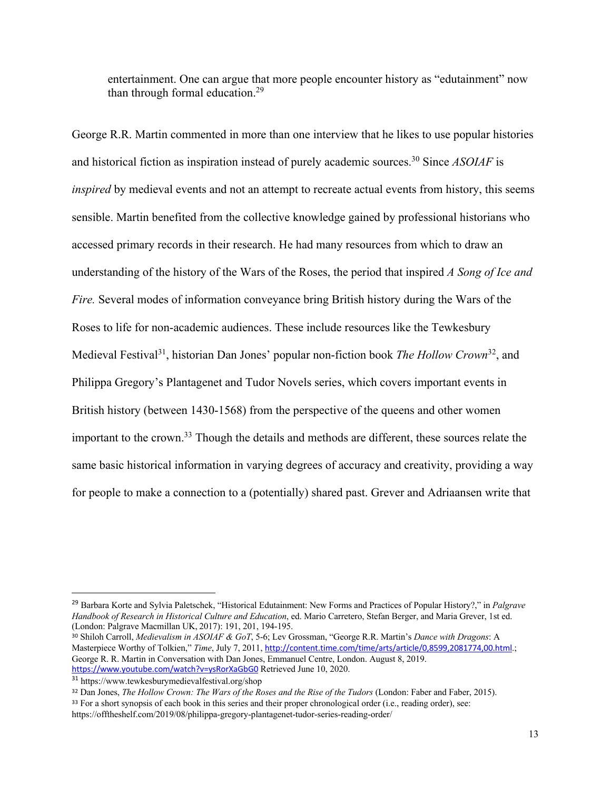entertainment. One can argue that more people encounter history as "edutainment" now than through formal education.29

George R.R. Martin commented in more than one interview that he likes to use popular histories and historical fiction as inspiration instead of purely academic sources.30 Since *ASOIAF* is *inspired* by medieval events and not an attempt to recreate actual events from history, this seems sensible. Martin benefited from the collective knowledge gained by professional historians who accessed primary records in their research. He had many resources from which to draw an understanding of the history of the Wars of the Roses, the period that inspired *A Song of Ice and Fire.* Several modes of information conveyance bring British history during the Wars of the Roses to life for non-academic audiences. These include resources like the Tewkesbury Medieval Festival31, historian Dan Jones' popular non-fiction book *The Hollow Crown*32, and Philippa Gregory's Plantagenet and Tudor Novels series, which covers important events in British history (between 1430-1568) from the perspective of the queens and other women important to the crown.33 Though the details and methods are different, these sources relate the same basic historical information in varying degrees of accuracy and creativity, providing a way for people to make a connection to a (potentially) shared past. Grever and Adriaansen write that

<sup>29</sup> Barbara Korte and Sylvia Paletschek, "Historical Edutainment: New Forms and Practices of Popular History?," in *Palgrave Handbook of Research in Historical Culture and Education*, ed. Mario Carretero, Stefan Berger, and Maria Grever, 1st ed. (London: Palgrave Macmillan UK, 2017): 191, 201, 194-195.

<sup>30</sup> Shiloh Carroll, *Medievalism in ASOIAF & GoT*, 5-6; Lev Grossman, "George R.R. Martin's *Dance with Dragons*: A Masterpiece Worthy of Tolkien," *Time*, July 7, 2011, http://content.time.com/time/arts/article/0,8599,2081774,00.html.; George R. R. Martin in Conversation with Dan Jones, Emmanuel Centre, London. August 8, 2019. https://www.youtube.com/watch?v=ysRorXaGbG0 Retrieved June 10, 2020.

<sup>31</sup> https://www.tewkesburymedievalfestival.org/shop

<sup>32</sup> Dan Jones, *The Hollow Crown: The Wars of the Roses and the Rise of the Tudors* (London: Faber and Faber, 2015).

<sup>&</sup>lt;sup>33</sup> For a short synopsis of each book in this series and their proper chronological order (i.e., reading order), see: https://offtheshelf.com/2019/08/philippa-gregory-plantagenet-tudor-series-reading-order/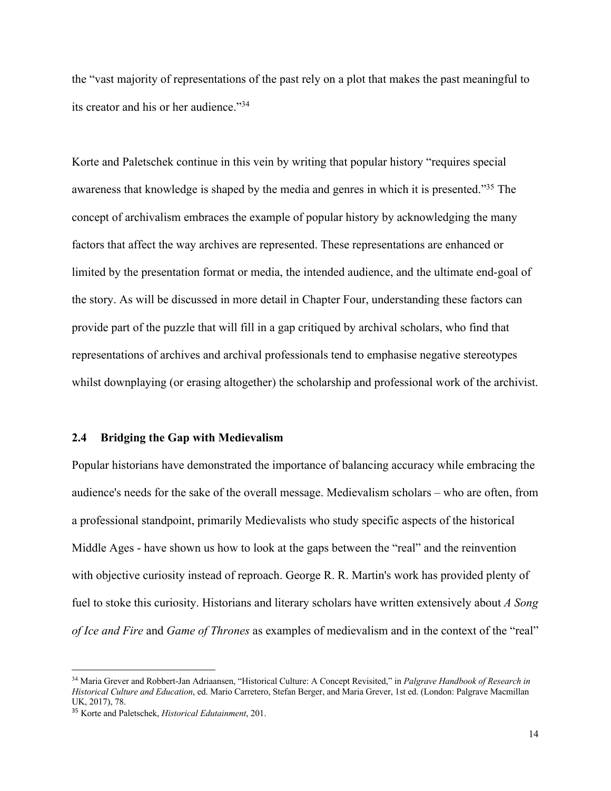the "vast majority of representations of the past rely on a plot that makes the past meaningful to its creator and his or her audience."34

Korte and Paletschek continue in this vein by writing that popular history "requires special awareness that knowledge is shaped by the media and genres in which it is presented."35 The concept of archivalism embraces the example of popular history by acknowledging the many factors that affect the way archives are represented. These representations are enhanced or limited by the presentation format or media, the intended audience, and the ultimate end-goal of the story. As will be discussed in more detail in Chapter Four, understanding these factors can provide part of the puzzle that will fill in a gap critiqued by archival scholars, who find that representations of archives and archival professionals tend to emphasise negative stereotypes whilst downplaying (or erasing altogether) the scholarship and professional work of the archivist.

#### **2.4 Bridging the Gap with Medievalism**

Popular historians have demonstrated the importance of balancing accuracy while embracing the audience's needs for the sake of the overall message. Medievalism scholars – who are often, from a professional standpoint, primarily Medievalists who study specific aspects of the historical Middle Ages - have shown us how to look at the gaps between the "real" and the reinvention with objective curiosity instead of reproach. George R. R. Martin's work has provided plenty of fuel to stoke this curiosity. Historians and literary scholars have written extensively about *A Song of Ice and Fire* and *Game of Thrones* as examples of medievalism and in the context of the "real"

<sup>34</sup> Maria Grever and Robbert-Jan Adriaansen, "Historical Culture: A Concept Revisited," in *Palgrave Handbook of Research in Historical Culture and Education*, ed. Mario Carretero, Stefan Berger, and Maria Grever, 1st ed. (London: Palgrave Macmillan UK, 2017), 78.

<sup>35</sup> Korte and Paletschek, *Historical Edutainment*, 201.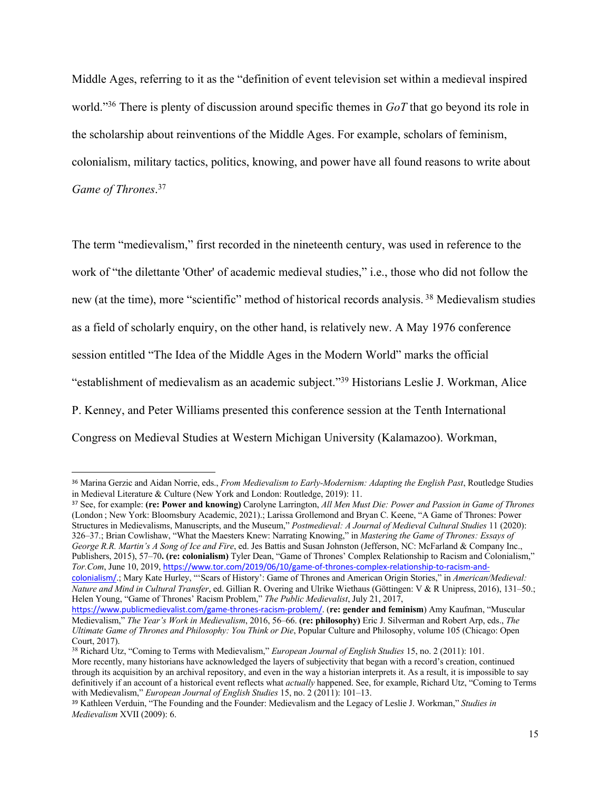Middle Ages, referring to it as the "definition of event television set within a medieval inspired world."36 There is plenty of discussion around specific themes in *GoT* that go beyond its role in the scholarship about reinventions of the Middle Ages. For example, scholars of feminism, colonialism, military tactics, politics, knowing, and power have all found reasons to write about *Game of Thrones*. 37

The term "medievalism," first recorded in the nineteenth century, was used in reference to the work of "the dilettante 'Other' of academic medieval studies," i.e., those who did not follow the new (at the time), more "scientific" method of historical records analysis. <sup>38</sup> Medievalism studies as a field of scholarly enquiry, on the other hand, is relatively new. A May 1976 conference session entitled "The Idea of the Middle Ages in the Modern World" marks the official "establishment of medievalism as an academic subject."39 Historians Leslie J. Workman, Alice P. Kenney, and Peter Williams presented this conference session at the Tenth International Congress on Medieval Studies at Western Michigan University (Kalamazoo). Workman,

<sup>37</sup> See, for example: **(re: Power and knowing)** Carolyne Larrington, *All Men Must Die: Power and Passion in Game of Thrones* (London ; New York: Bloomsbury Academic, 2021).; Larissa Grollemond and Bryan C. Keene, "A Game of Thrones: Power Structures in Medievalisms, Manuscripts, and the Museum," *Postmedieval: A Journal of Medieval Cultural Studies* 11 (2020): 326–37.; Brian Cowlishaw, "What the Maesters Knew: Narrating Knowing," in *Mastering the Game of Thrones: Essays of George R.R. Martin's A Song of Ice and Fire*, ed. Jes Battis and Susan Johnston (Jefferson, NC: McFarland & Company Inc., Publishers, 2015), 57–70**. (re: colonialism)** Tyler Dean, "Game of Thrones' Complex Relationship to Racism and Colonialism," *Tor.Com*, June 10, 2019, https://www.tor.com/2019/06/10/game-of-thrones-complex-relationship-to-racism-and-

<sup>38</sup> Richard Utz, "Coming to Terms with Medievalism," *European Journal of English Studies* 15, no. 2 (2011): 101. More recently, many historians have acknowledged the layers of subjectivity that began with a record's creation, continued

through its acquisition by an archival repository, and even in the way a historian interprets it. As a result, it is impossible to say definitively if an account of a historical event reflects what *actually* happened. See, for example, Richard Utz, "Coming to Terms with Medievalism," *European Journal of English Studies* 15, no. 2 (2011): 101–13.

<sup>36</sup> Marina Gerzic and Aidan Norrie, eds., *From Medievalism to Early-Modernism: Adapting the English Past*, Routledge Studies in Medieval Literature & Culture (New York and London: Routledge, 2019): 11.

colonialism/.; Mary Kate Hurley, "'Scars of History': Game of Thrones and American Origin Stories," in *American/Medieval: Nature and Mind in Cultural Transfer*, ed. Gillian R. Overing and Ulrike Wiethaus (Göttingen: V & R Unipress, 2016), 131–50.; Helen Young, "Game of Thrones' Racism Problem," *The Public Medievalist*, July 21, 2017,

https://www.publicmedievalist.com/game-thrones-racism-problem/. (**re: gender and feminism**) Amy Kaufman, "Muscular Medievalism," *The Year's Work in Medievalism*, 2016, 56–66. **(re: philosophy)** Eric J. Silverman and Robert Arp, eds., *The Ultimate Game of Thrones and Philosophy: You Think or Die*, Popular Culture and Philosophy, volume 105 (Chicago: Open Court, 2017).

<sup>39</sup> Kathleen Verduin, "The Founding and the Founder: Medievalism and the Legacy of Leslie J. Workman," *Studies in Medievalism* XVII (2009): 6.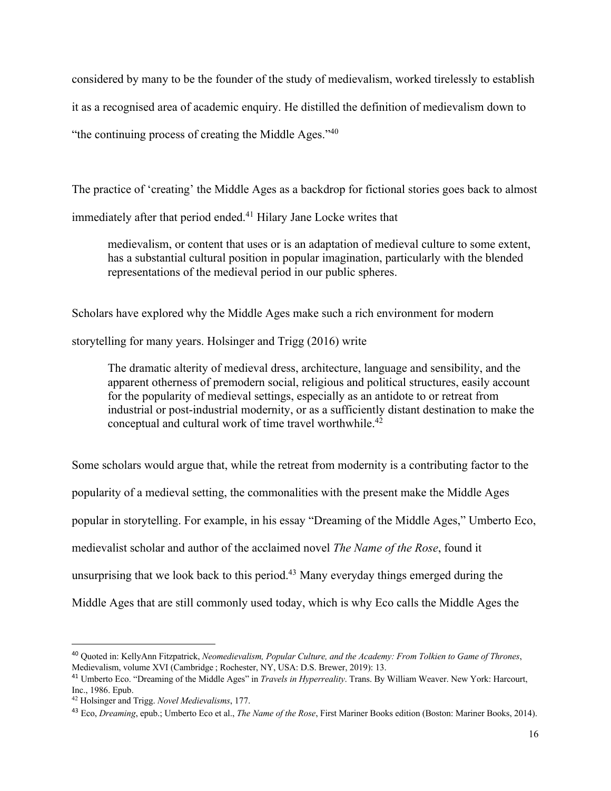considered by many to be the founder of the study of medievalism, worked tirelessly to establish it as a recognised area of academic enquiry. He distilled the definition of medievalism down to "the continuing process of creating the Middle Ages."<sup>40</sup>

The practice of 'creating' the Middle Ages as a backdrop for fictional stories goes back to almost

immediately after that period ended.<sup>41</sup> Hilary Jane Locke writes that

medievalism, or content that uses or is an adaptation of medieval culture to some extent, has a substantial cultural position in popular imagination, particularly with the blended representations of the medieval period in our public spheres.

Scholars have explored why the Middle Ages make such a rich environment for modern storytelling for many years. Holsinger and Trigg (2016) write

The dramatic alterity of medieval dress, architecture, language and sensibility, and the apparent otherness of premodern social, religious and political structures, easily account for the popularity of medieval settings, especially as an antidote to or retreat from industrial or post-industrial modernity, or as a sufficiently distant destination to make the conceptual and cultural work of time travel worthwhile.<sup>42</sup>

Some scholars would argue that, while the retreat from modernity is a contributing factor to the popularity of a medieval setting, the commonalities with the present make the Middle Ages popular in storytelling. For example, in his essay "Dreaming of the Middle Ages," Umberto Eco, medievalist scholar and author of the acclaimed novel *The Name of the Rose*, found it unsurprising that we look back to this period.<sup>43</sup> Many everyday things emerged during the Middle Ages that are still commonly used today, which is why Eco calls the Middle Ages the

<sup>40</sup> Quoted in: KellyAnn Fitzpatrick, *Neomedievalism, Popular Culture, and the Academy: From Tolkien to Game of Thrones*, Medievalism, volume XVI (Cambridge ; Rochester, NY, USA: D.S. Brewer, 2019): 13.

<sup>41</sup> Umberto Eco. "Dreaming of the Middle Ages" in *Travels in Hyperreality*. Trans. By William Weaver. New York: Harcourt, Inc., 1986. Epub.

<sup>42</sup> Holsinger and Trigg. *Novel Medievalisms*, 177.

<sup>43</sup> Eco, *Dreaming*, epub.; Umberto Eco et al., *The Name of the Rose*, First Mariner Books edition (Boston: Mariner Books, 2014).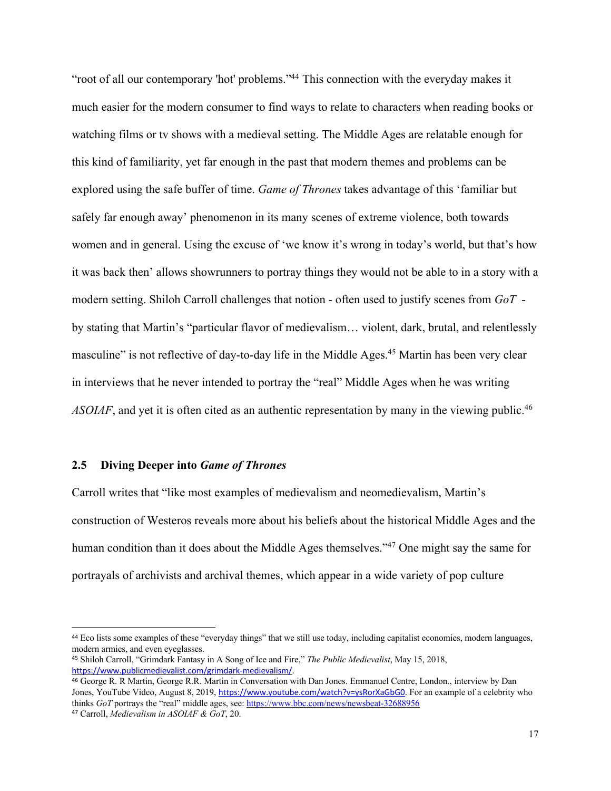"root of all our contemporary 'hot' problems."<sup>44</sup> This connection with the everyday makes it much easier for the modern consumer to find ways to relate to characters when reading books or watching films or tv shows with a medieval setting. The Middle Ages are relatable enough for this kind of familiarity, yet far enough in the past that modern themes and problems can be explored using the safe buffer of time. *Game of Thrones* takes advantage of this 'familiar but safely far enough away' phenomenon in its many scenes of extreme violence, both towards women and in general. Using the excuse of 'we know it's wrong in today's world, but that's how it was back then' allows showrunners to portray things they would not be able to in a story with a modern setting. Shiloh Carroll challenges that notion - often used to justify scenes from *GoT* by stating that Martin's "particular flavor of medievalism… violent, dark, brutal, and relentlessly masculine" is not reflective of day-to-day life in the Middle Ages.<sup>45</sup> Martin has been very clear in interviews that he never intended to portray the "real" Middle Ages when he was writing ASOIAF, and yet it is often cited as an authentic representation by many in the viewing public.<sup>46</sup>

### **2.5 Diving Deeper into** *Game of Thrones*

Carroll writes that "like most examples of medievalism and neomedievalism, Martin's construction of Westeros reveals more about his beliefs about the historical Middle Ages and the human condition than it does about the Middle Ages themselves."<sup>47</sup> One might say the same for portrayals of archivists and archival themes, which appear in a wide variety of pop culture

<sup>44</sup> Eco lists some examples of these "everyday things" that we still use today, including capitalist economies, modern languages, modern armies, and even eyeglasses.

<sup>45</sup> Shiloh Carroll, "Grimdark Fantasy in A Song of Ice and Fire," *The Public Medievalist*, May 15, 2018, https://www.publicmedievalist.com/grimdark-medievalism/.

<sup>46</sup> George R. R Martin, George R.R. Martin in Conversation with Dan Jones. Emmanuel Centre, London., interview by Dan Jones, YouTube Video, August 8, 2019, https://www.youtube.com/watch?v=ysRorXaGbG0</u>. For an example of a celebrity who thinks *GoT* portrays the "real" middle ages, see: https://www.bbc.com/news/newsbeat-32688956 <sup>47</sup> Carroll, *Medievalism in ASOIAF & GoT*, 20.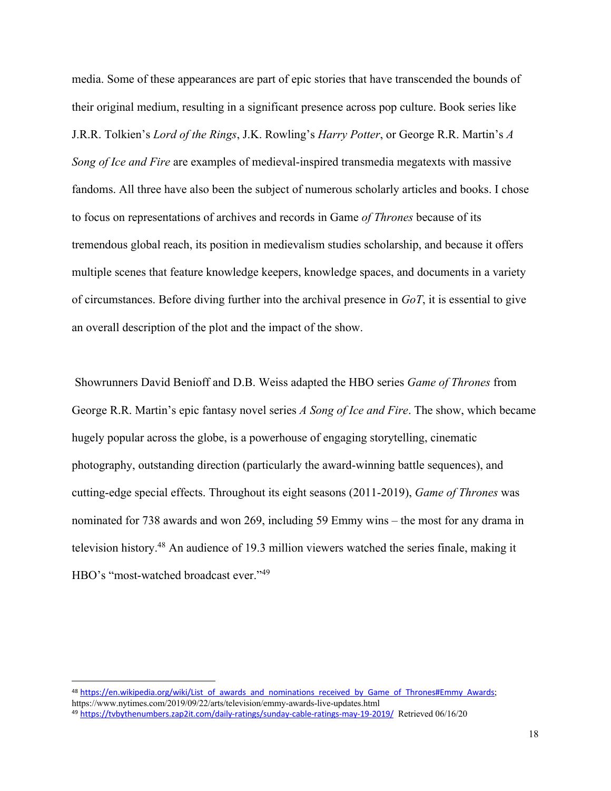media. Some of these appearances are part of epic stories that have transcended the bounds of their original medium, resulting in a significant presence across pop culture. Book series like J.R.R. Tolkien's *Lord of the Rings*, J.K. Rowling's *Harry Potter*, or George R.R. Martin's *A Song of Ice and Fire* are examples of medieval-inspired transmedia megatexts with massive fandoms. All three have also been the subject of numerous scholarly articles and books. I chose to focus on representations of archives and records in Game *of Thrones* because of its tremendous global reach, its position in medievalism studies scholarship, and because it offers multiple scenes that feature knowledge keepers, knowledge spaces, and documents in a variety of circumstances. Before diving further into the archival presence in *GoT*, it is essential to give an overall description of the plot and the impact of the show.

Showrunners David Benioff and D.B. Weiss adapted the HBO series *Game of Thrones* from George R.R. Martin's epic fantasy novel series *A Song of Ice and Fire*. The show, which became hugely popular across the globe, is a powerhouse of engaging storytelling, cinematic photography, outstanding direction (particularly the award-winning battle sequences), and cutting-edge special effects. Throughout its eight seasons (2011-2019), *Game of Thrones* was nominated for 738 awards and won 269, including 59 Emmy wins – the most for any drama in television history.48 An audience of 19.3 million viewers watched the series finale, making it HBO's "most-watched broadcast ever."<sup>49</sup>

<sup>48</sup> https://en.wikipedia.org/wiki/List\_of\_awards\_and\_nominations\_received\_by\_Game\_of\_Thrones#Emmy\_Awards; https://www.nytimes.com/2019/09/22/arts/television/emmy-awards-live-updates.html

<sup>49</sup> https://tvbythenumbers.zap2it.com/daily-ratings/sunday-cable-ratings-may-19-2019/ Retrieved 06/16/20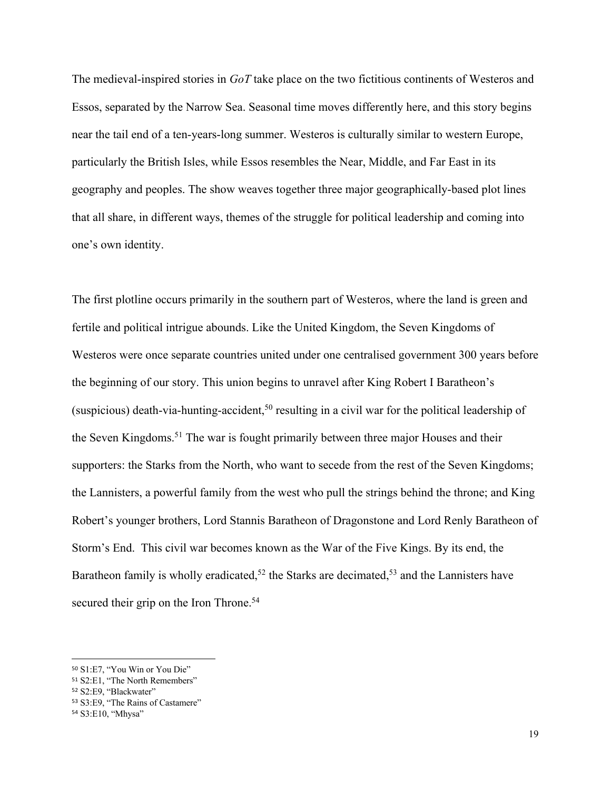The medieval-inspired stories in *GoT* take place on the two fictitious continents of Westeros and Essos, separated by the Narrow Sea. Seasonal time moves differently here, and this story begins near the tail end of a ten-years-long summer. Westeros is culturally similar to western Europe, particularly the British Isles, while Essos resembles the Near, Middle, and Far East in its geography and peoples. The show weaves together three major geographically-based plot lines that all share, in different ways, themes of the struggle for political leadership and coming into one's own identity.

The first plotline occurs primarily in the southern part of Westeros, where the land is green and fertile and political intrigue abounds. Like the United Kingdom, the Seven Kingdoms of Westeros were once separate countries united under one centralised government 300 years before the beginning of our story. This union begins to unravel after King Robert I Baratheon's (suspicious) death-via-hunting-accident,<sup>50</sup> resulting in a civil war for the political leadership of the Seven Kingdoms.<sup>51</sup> The war is fought primarily between three major Houses and their supporters: the Starks from the North, who want to secede from the rest of the Seven Kingdoms; the Lannisters, a powerful family from the west who pull the strings behind the throne; and King Robert's younger brothers, Lord Stannis Baratheon of Dragonstone and Lord Renly Baratheon of Storm's End. This civil war becomes known as the War of the Five Kings. By its end, the Baratheon family is wholly eradicated,<sup>52</sup> the Starks are decimated,<sup>53</sup> and the Lannisters have secured their grip on the Iron Throne.<sup>54</sup>

<sup>50</sup> S1:E7, "You Win or You Die"

<sup>51</sup> S2:E1, "The North Remembers"

<sup>52</sup> S2:E9, "Blackwater"

<sup>53</sup> S3:E9, "The Rains of Castamere"

<sup>54</sup> S3:E10, "Mhysa"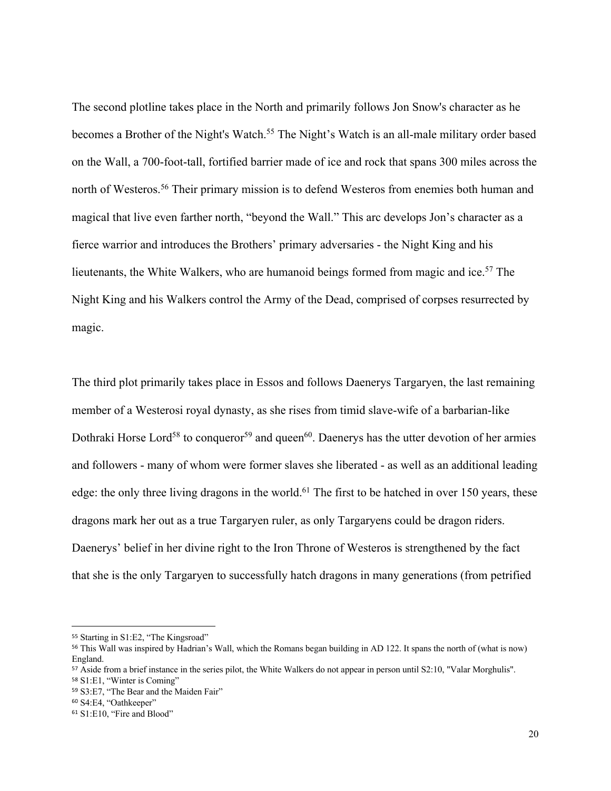The second plotline takes place in the North and primarily follows Jon Snow's character as he becomes a Brother of the Night's Watch.<sup>55</sup> The Night's Watch is an all-male military order based on the Wall, a 700-foot-tall, fortified barrier made of ice and rock that spans 300 miles across the north of Westeros.56 Their primary mission is to defend Westeros from enemies both human and magical that live even farther north, "beyond the Wall." This arc develops Jon's character as a fierce warrior and introduces the Brothers' primary adversaries - the Night King and his lieutenants, the White Walkers, who are humanoid beings formed from magic and ice.<sup>57</sup> The Night King and his Walkers control the Army of the Dead, comprised of corpses resurrected by magic.

The third plot primarily takes place in Essos and follows Daenerys Targaryen, the last remaining member of a Westerosi royal dynasty, as she rises from timid slave-wife of a barbarian-like Dothraki Horse Lord<sup>58</sup> to conqueror<sup>59</sup> and queen<sup>60</sup>. Daenerys has the utter devotion of her armies and followers - many of whom were former slaves she liberated - as well as an additional leading edge: the only three living dragons in the world.<sup>61</sup> The first to be hatched in over 150 years, these dragons mark her out as a true Targaryen ruler, as only Targaryens could be dragon riders. Daenerys' belief in her divine right to the Iron Throne of Westeros is strengthened by the fact that she is the only Targaryen to successfully hatch dragons in many generations (from petrified

<sup>55</sup> Starting in S1:E2, "The Kingsroad"

<sup>56</sup> This Wall was inspired by Hadrian's Wall, which the Romans began building in AD 122. It spans the north of (what is now) England.

<sup>57</sup> Aside from a brief instance in the series pilot, the White Walkers do not appear in person until S2:10, "Valar Morghulis".

<sup>58</sup> S1:E1, "Winter is Coming"

<sup>59</sup> S3:E7, "The Bear and the Maiden Fair"

<sup>60</sup> S4:E4, "Oathkeeper"

<sup>61</sup> S1:E10, "Fire and Blood"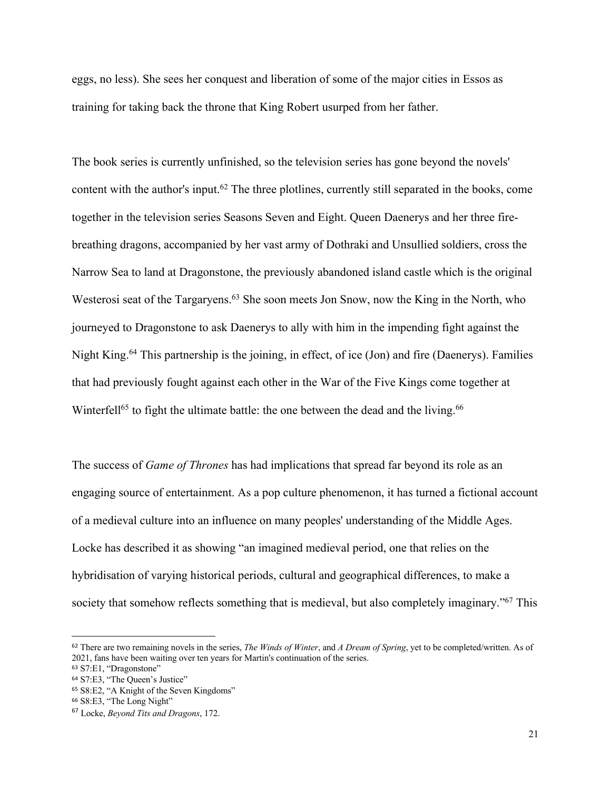eggs, no less). She sees her conquest and liberation of some of the major cities in Essos as training for taking back the throne that King Robert usurped from her father.

The book series is currently unfinished, so the television series has gone beyond the novels' content with the author's input.62 The three plotlines, currently still separated in the books, come together in the television series Seasons Seven and Eight. Queen Daenerys and her three firebreathing dragons, accompanied by her vast army of Dothraki and Unsullied soldiers, cross the Narrow Sea to land at Dragonstone, the previously abandoned island castle which is the original Westerosi seat of the Targaryens.<sup>63</sup> She soon meets Jon Snow, now the King in the North, who journeyed to Dragonstone to ask Daenerys to ally with him in the impending fight against the Night King.<sup>64</sup> This partnership is the joining, in effect, of ice (Jon) and fire (Daenerys). Families that had previously fought against each other in the War of the Five Kings come together at Winterfell<sup>65</sup> to fight the ultimate battle: the one between the dead and the living.<sup>66</sup>

The success of *Game of Thrones* has had implications that spread far beyond its role as an engaging source of entertainment. As a pop culture phenomenon, it has turned a fictional account of a medieval culture into an influence on many peoples' understanding of the Middle Ages. Locke has described it as showing "an imagined medieval period, one that relies on the hybridisation of varying historical periods, cultural and geographical differences, to make a society that somehow reflects something that is medieval, but also completely imaginary."<sup>67</sup> This

<sup>62</sup> There are two remaining novels in the series, *The Winds of Winter*, and *A Dream of Spring*, yet to be completed/written. As of 2021, fans have been waiting over ten years for Martin's continuation of the series.

<sup>63</sup> S7:E1, "Dragonstone"

<sup>64</sup> S7:E3, "The Queen's Justice"

<sup>65</sup> S8:E2, "A Knight of the Seven Kingdoms"

<sup>66</sup> S8:E3, "The Long Night"

<sup>67</sup> Locke, *Beyond Tits and Dragons*, 172.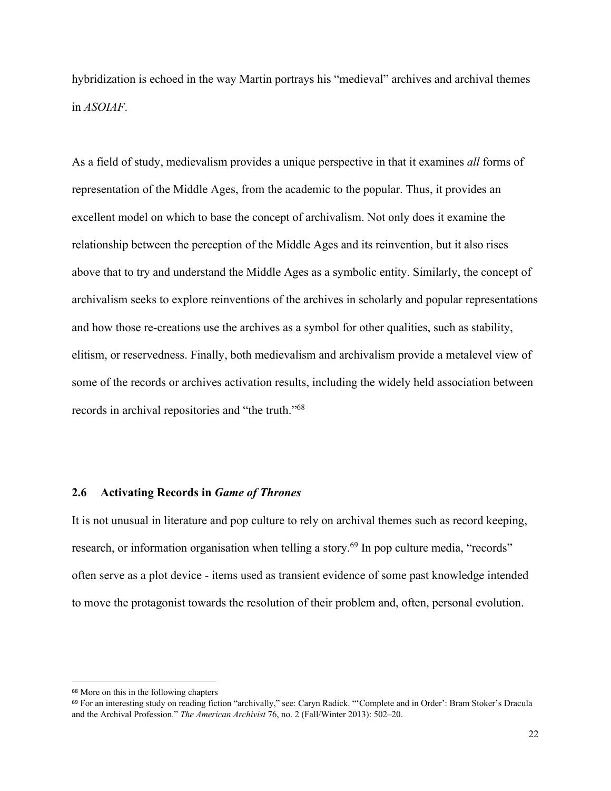hybridization is echoed in the way Martin portrays his "medieval" archives and archival themes in *ASOIAF*.

As a field of study, medievalism provides a unique perspective in that it examines *all* forms of representation of the Middle Ages, from the academic to the popular. Thus, it provides an excellent model on which to base the concept of archivalism. Not only does it examine the relationship between the perception of the Middle Ages and its reinvention, but it also rises above that to try and understand the Middle Ages as a symbolic entity. Similarly, the concept of archivalism seeks to explore reinventions of the archives in scholarly and popular representations and how those re-creations use the archives as a symbol for other qualities, such as stability, elitism, or reservedness. Finally, both medievalism and archivalism provide a metalevel view of some of the records or archives activation results, including the widely held association between records in archival repositories and "the truth."68

#### **2.6 Activating Records in** *Game of Thrones*

It is not unusual in literature and pop culture to rely on archival themes such as record keeping, research, or information organisation when telling a story.<sup>69</sup> In pop culture media, "records" often serve as a plot device - items used as transient evidence of some past knowledge intended to move the protagonist towards the resolution of their problem and, often, personal evolution.

<sup>68</sup> More on this in the following chapters

<sup>69</sup> For an interesting study on reading fiction "archivally," see: Caryn Radick. "'Complete and in Order': Bram Stoker's Dracula and the Archival Profession." *The American Archivist* 76, no. 2 (Fall/Winter 2013): 502–20.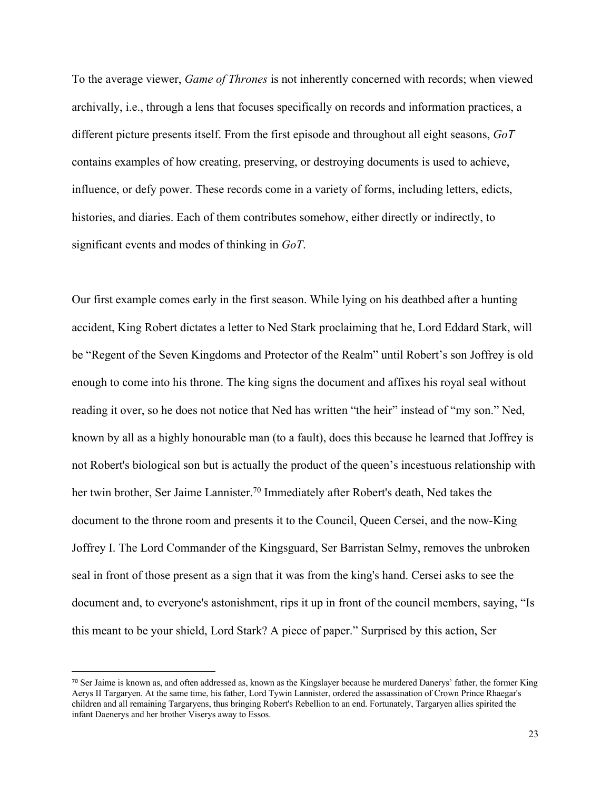To the average viewer, *Game of Thrones* is not inherently concerned with records; when viewed archivally, i.e., through a lens that focuses specifically on records and information practices, a different picture presents itself. From the first episode and throughout all eight seasons, *GoT* contains examples of how creating, preserving, or destroying documents is used to achieve, influence, or defy power. These records come in a variety of forms, including letters, edicts, histories, and diaries. Each of them contributes somehow, either directly or indirectly, to significant events and modes of thinking in *GoT*.

Our first example comes early in the first season. While lying on his deathbed after a hunting accident, King Robert dictates a letter to Ned Stark proclaiming that he, Lord Eddard Stark, will be "Regent of the Seven Kingdoms and Protector of the Realm" until Robert's son Joffrey is old enough to come into his throne. The king signs the document and affixes his royal seal without reading it over, so he does not notice that Ned has written "the heir" instead of "my son." Ned, known by all as a highly honourable man (to a fault), does this because he learned that Joffrey is not Robert's biological son but is actually the product of the queen's incestuous relationship with her twin brother, Ser Jaime Lannister.<sup>70</sup> Immediately after Robert's death, Ned takes the document to the throne room and presents it to the Council, Queen Cersei, and the now-King Joffrey I. The Lord Commander of the Kingsguard, Ser Barristan Selmy, removes the unbroken seal in front of those present as a sign that it was from the king's hand. Cersei asks to see the document and, to everyone's astonishment, rips it up in front of the council members, saying, "Is this meant to be your shield, Lord Stark? A piece of paper." Surprised by this action, Ser

<sup>70</sup> Ser Jaime is known as, and often addressed as, known as the Kingslayer because he murdered Danerys' father, the former King Aerys II Targaryen. At the same time, his father, Lord Tywin Lannister, ordered the assassination of Crown Prince Rhaegar's children and all remaining Targaryens, thus bringing Robert's Rebellion to an end. Fortunately, Targaryen allies spirited the infant Daenerys and her brother Viserys away to Essos.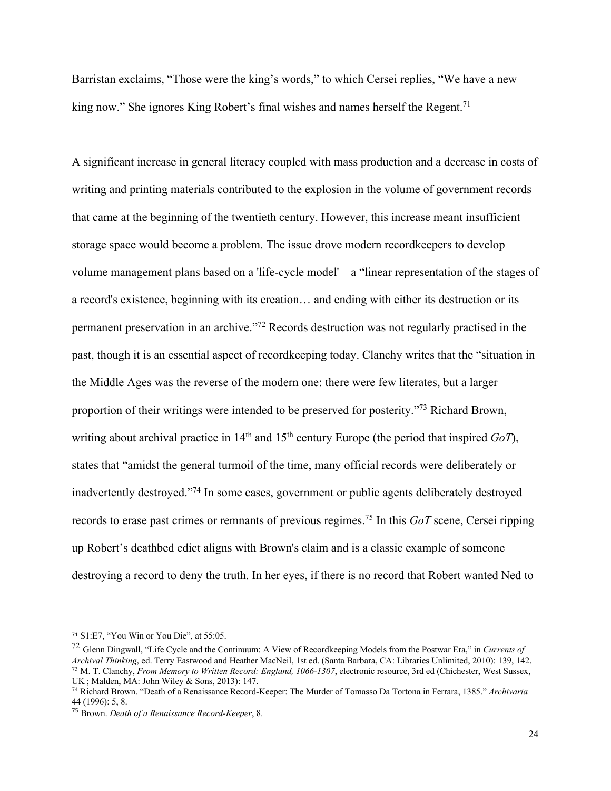Barristan exclaims, "Those were the king's words," to which Cersei replies, "We have a new king now." She ignores King Robert's final wishes and names herself the Regent.<sup>71</sup>

A significant increase in general literacy coupled with mass production and a decrease in costs of writing and printing materials contributed to the explosion in the volume of government records that came at the beginning of the twentieth century. However, this increase meant insufficient storage space would become a problem. The issue drove modern recordkeepers to develop volume management plans based on a 'life-cycle model' – a "linear representation of the stages of a record's existence, beginning with its creation… and ending with either its destruction or its permanent preservation in an archive."72 Records destruction was not regularly practised in the past, though it is an essential aspect of recordkeeping today. Clanchy writes that the "situation in the Middle Ages was the reverse of the modern one: there were few literates, but a larger proportion of their writings were intended to be preserved for posterity."73 Richard Brown, writing about archival practice in 14<sup>th</sup> and 15<sup>th</sup> century Europe (the period that inspired *GoT*), states that "amidst the general turmoil of the time, many official records were deliberately or inadvertently destroyed."74 In some cases, government or public agents deliberately destroyed records to erase past crimes or remnants of previous regimes.75 In this *GoT* scene, Cersei ripping up Robert's deathbed edict aligns with Brown's claim and is a classic example of someone destroying a record to deny the truth. In her eyes, if there is no record that Robert wanted Ned to

<sup>71</sup> S1:E7, "You Win or You Die", at 55:05.

<sup>72</sup> Glenn Dingwall, "Life Cycle and the Continuum: A View of Recordkeeping Models from the Postwar Era," in *Currents of Archival Thinking*, ed. Terry Eastwood and Heather MacNeil, 1st ed. (Santa Barbara, CA: Libraries Unlimited, 2010): 139, 142. <sup>73</sup> M. T. Clanchy, *From Memory to Written Record: England, 1066-1307*, electronic resource, 3rd ed (Chichester, West Sussex, UK ; Malden, MA: John Wiley & Sons, 2013): 147.

<sup>74</sup> Richard Brown. "Death of a Renaissance Record-Keeper: The Murder of Tomasso Da Tortona in Ferrara, 1385." *Archivaria* 44 (1996): 5, 8.

<sup>75</sup> Brown. *Death of a Renaissance Record-Keeper*, 8.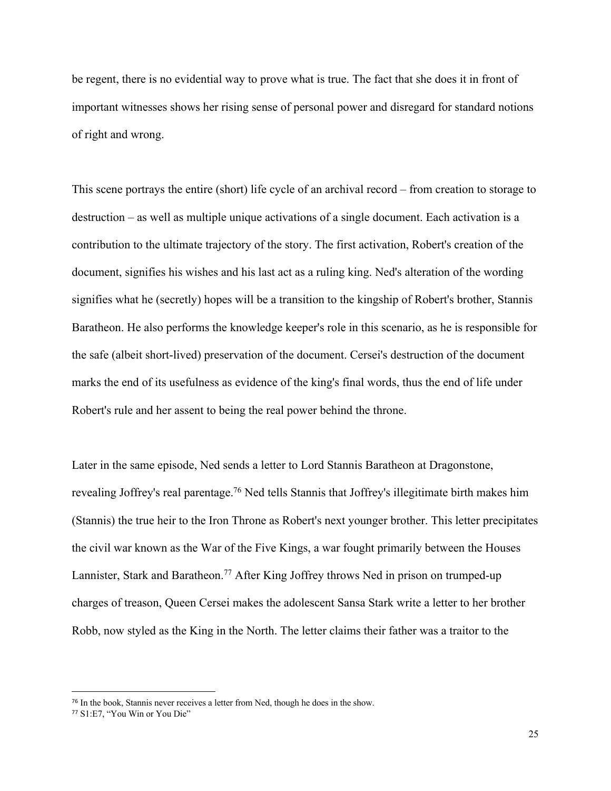be regent, there is no evidential way to prove what is true. The fact that she does it in front of important witnesses shows her rising sense of personal power and disregard for standard notions of right and wrong.

This scene portrays the entire (short) life cycle of an archival record – from creation to storage to destruction – as well as multiple unique activations of a single document. Each activation is a contribution to the ultimate trajectory of the story. The first activation, Robert's creation of the document, signifies his wishes and his last act as a ruling king. Ned's alteration of the wording signifies what he (secretly) hopes will be a transition to the kingship of Robert's brother, Stannis Baratheon. He also performs the knowledge keeper's role in this scenario, as he is responsible for the safe (albeit short-lived) preservation of the document. Cersei's destruction of the document marks the end of its usefulness as evidence of the king's final words, thus the end of life under Robert's rule and her assent to being the real power behind the throne.

Later in the same episode, Ned sends a letter to Lord Stannis Baratheon at Dragonstone, revealing Joffrey's real parentage.<sup>76</sup> Ned tells Stannis that Joffrey's illegitimate birth makes him (Stannis) the true heir to the Iron Throne as Robert's next younger brother. This letter precipitates the civil war known as the War of the Five Kings, a war fought primarily between the Houses Lannister, Stark and Baratheon.<sup>77</sup> After King Joffrey throws Ned in prison on trumped-up charges of treason, Queen Cersei makes the adolescent Sansa Stark write a letter to her brother Robb, now styled as the King in the North. The letter claims their father was a traitor to the

<sup>76</sup> In the book, Stannis never receives a letter from Ned, though he does in the show.

<sup>77</sup> S1:E7, "You Win or You Die"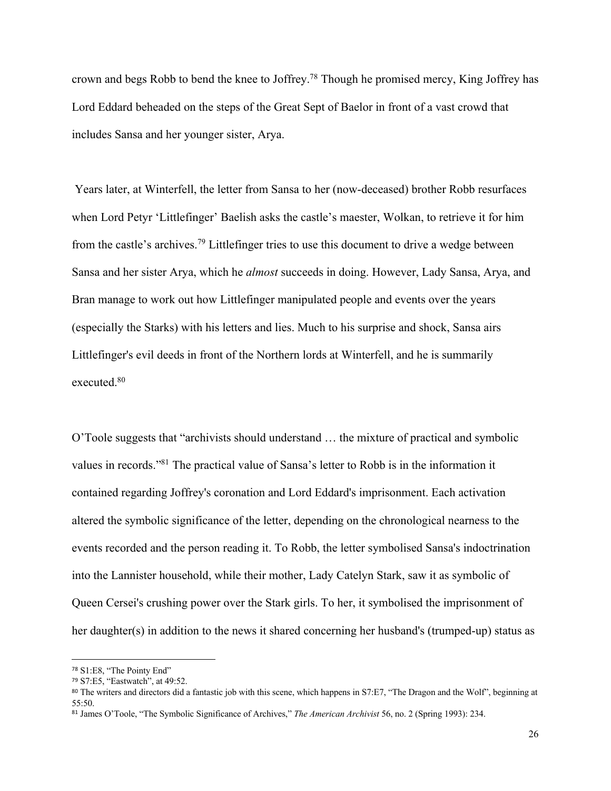crown and begs Robb to bend the knee to Joffrey.78 Though he promised mercy, King Joffrey has Lord Eddard beheaded on the steps of the Great Sept of Baelor in front of a vast crowd that includes Sansa and her younger sister, Arya.

Years later, at Winterfell, the letter from Sansa to her (now-deceased) brother Robb resurfaces when Lord Petyr 'Littlefinger' Baelish asks the castle's maester, Wolkan, to retrieve it for him from the castle's archives.79 Littlefinger tries to use this document to drive a wedge between Sansa and her sister Arya, which he *almost* succeeds in doing. However, Lady Sansa, Arya, and Bran manage to work out how Littlefinger manipulated people and events over the years (especially the Starks) with his letters and lies. Much to his surprise and shock, Sansa airs Littlefinger's evil deeds in front of the Northern lords at Winterfell, and he is summarily executed.80

O'Toole suggests that "archivists should understand … the mixture of practical and symbolic values in records."81 The practical value of Sansa's letter to Robb is in the information it contained regarding Joffrey's coronation and Lord Eddard's imprisonment. Each activation altered the symbolic significance of the letter, depending on the chronological nearness to the events recorded and the person reading it. To Robb, the letter symbolised Sansa's indoctrination into the Lannister household, while their mother, Lady Catelyn Stark, saw it as symbolic of Queen Cersei's crushing power over the Stark girls. To her, it symbolised the imprisonment of her daughter(s) in addition to the news it shared concerning her husband's (trumped-up) status as

<sup>78</sup> S1:E8, "The Pointy End"

<sup>79</sup> S7:E5, "Eastwatch", at 49:52.

<sup>80</sup> The writers and directors did a fantastic job with this scene, which happens in S7:E7, "The Dragon and the Wolf", beginning at 55:50.

<sup>81</sup> James O'Toole, "The Symbolic Significance of Archives," *The American Archivist* 56, no. 2 (Spring 1993): 234.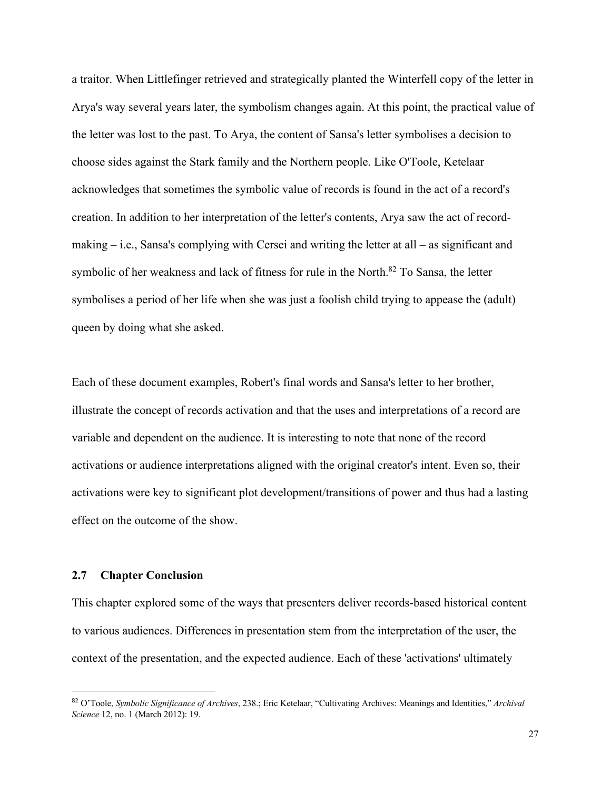a traitor. When Littlefinger retrieved and strategically planted the Winterfell copy of the letter in Arya's way several years later, the symbolism changes again. At this point, the practical value of the letter was lost to the past. To Arya, the content of Sansa's letter symbolises a decision to choose sides against the Stark family and the Northern people. Like O'Toole, Ketelaar acknowledges that sometimes the symbolic value of records is found in the act of a record's creation. In addition to her interpretation of the letter's contents, Arya saw the act of recordmaking – i.e., Sansa's complying with Cersei and writing the letter at all – as significant and symbolic of her weakness and lack of fitness for rule in the North.<sup>82</sup> To Sansa, the letter symbolises a period of her life when she was just a foolish child trying to appease the (adult) queen by doing what she asked.

Each of these document examples, Robert's final words and Sansa's letter to her brother, illustrate the concept of records activation and that the uses and interpretations of a record are variable and dependent on the audience. It is interesting to note that none of the record activations or audience interpretations aligned with the original creator's intent. Even so, their activations were key to significant plot development/transitions of power and thus had a lasting effect on the outcome of the show.

## **2.7 Chapter Conclusion**

This chapter explored some of the ways that presenters deliver records-based historical content to various audiences. Differences in presentation stem from the interpretation of the user, the context of the presentation, and the expected audience. Each of these 'activations' ultimately

<sup>82</sup> O'Toole, *Symbolic Significance of Archives*, 238.; Eric Ketelaar, "Cultivating Archives: Meanings and Identities," *Archival Science* 12, no. 1 (March 2012): 19.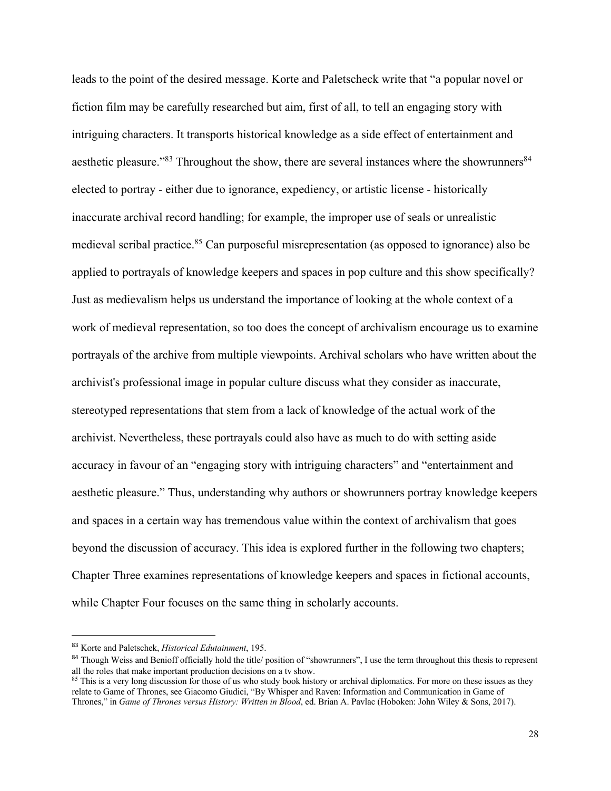leads to the point of the desired message. Korte and Paletscheck write that "a popular novel or fiction film may be carefully researched but aim, first of all, to tell an engaging story with intriguing characters. It transports historical knowledge as a side effect of entertainment and aesthetic pleasure."<sup>83</sup> Throughout the show, there are several instances where the showrunners<sup>84</sup> elected to portray - either due to ignorance, expediency, or artistic license - historically inaccurate archival record handling; for example, the improper use of seals or unrealistic medieval scribal practice.<sup>85</sup> Can purposeful misrepresentation (as opposed to ignorance) also be applied to portrayals of knowledge keepers and spaces in pop culture and this show specifically? Just as medievalism helps us understand the importance of looking at the whole context of a work of medieval representation, so too does the concept of archivalism encourage us to examine portrayals of the archive from multiple viewpoints. Archival scholars who have written about the archivist's professional image in popular culture discuss what they consider as inaccurate, stereotyped representations that stem from a lack of knowledge of the actual work of the archivist. Nevertheless, these portrayals could also have as much to do with setting aside accuracy in favour of an "engaging story with intriguing characters" and "entertainment and aesthetic pleasure." Thus, understanding why authors or showrunners portray knowledge keepers and spaces in a certain way has tremendous value within the context of archivalism that goes beyond the discussion of accuracy. This idea is explored further in the following two chapters; Chapter Three examines representations of knowledge keepers and spaces in fictional accounts, while Chapter Four focuses on the same thing in scholarly accounts.

<sup>83</sup> Korte and Paletschek, *Historical Edutainment*, 195.

<sup>&</sup>lt;sup>84</sup> Though Weiss and Benioff officially hold the title/ position of "showrunners", I use the term throughout this thesis to represent all the roles that make important production decisions on a tv show.

<sup>&</sup>lt;sup>85</sup> This is a very long discussion for those of us who study book history or archival diplomatics. For more on these issues as they relate to Game of Thrones, see Giacomo Giudici, "By Whisper and Raven: Information and Communication in Game of Thrones," in *Game of Thrones versus History: Written in Blood*, ed. Brian A. Pavlac (Hoboken: John Wiley & Sons, 2017).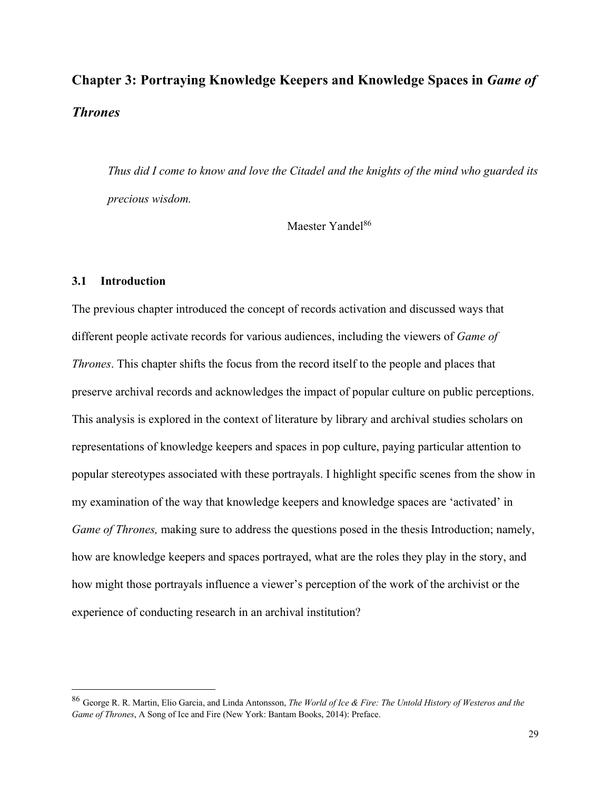# **Chapter 3: Portraying Knowledge Keepers and Knowledge Spaces in** *Game of Thrones*

*Thus did I come to know and love the Citadel and the knights of the mind who guarded its precious wisdom.* 

Maester Yandel<sup>86</sup>

# **3.1 Introduction**

The previous chapter introduced the concept of records activation and discussed ways that different people activate records for various audiences, including the viewers of *Game of Thrones*. This chapter shifts the focus from the record itself to the people and places that preserve archival records and acknowledges the impact of popular culture on public perceptions. This analysis is explored in the context of literature by library and archival studies scholars on representations of knowledge keepers and spaces in pop culture, paying particular attention to popular stereotypes associated with these portrayals. I highlight specific scenes from the show in my examination of the way that knowledge keepers and knowledge spaces are 'activated' in *Game of Thrones, making sure to address the questions posed in the thesis Introduction; namely,* how are knowledge keepers and spaces portrayed, what are the roles they play in the story, and how might those portrayals influence a viewer's perception of the work of the archivist or the experience of conducting research in an archival institution?

<sup>86</sup> George R. R. Martin, Elio Garcia, and Linda Antonsson, *The World of Ice & Fire: The Untold History of Westeros and the Game of Thrones*, A Song of Ice and Fire (New York: Bantam Books, 2014): Preface.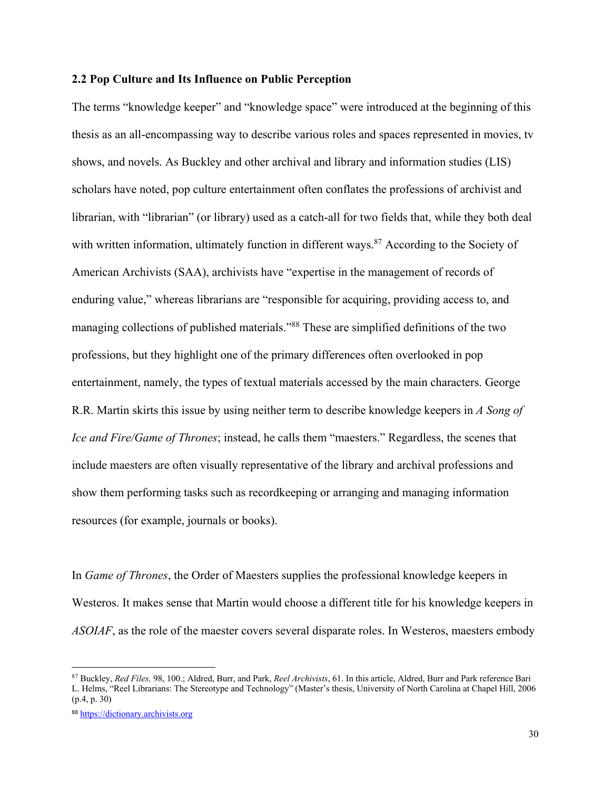## **2.2 Pop Culture and Its Influence on Public Perception**

The terms "knowledge keeper" and "knowledge space" were introduced at the beginning of this thesis as an all-encompassing way to describe various roles and spaces represented in movies, tv shows, and novels. As Buckley and other archival and library and information studies (LIS) scholars have noted, pop culture entertainment often conflates the professions of archivist and librarian, with "librarian" (or library) used as a catch-all for two fields that, while they both deal with written information, ultimately function in different ways.<sup>87</sup> According to the Society of American Archivists (SAA), archivists have "expertise in the management of records of enduring value," whereas librarians are "responsible for acquiring, providing access to, and managing collections of published materials."88 These are simplified definitions of the two professions, but they highlight one of the primary differences often overlooked in pop entertainment, namely, the types of textual materials accessed by the main characters. George R.R. Martin skirts this issue by using neither term to describe knowledge keepers in *A Song of Ice and Fire/Game of Thrones*; instead, he calls them "maesters." Regardless, the scenes that include maesters are often visually representative of the library and archival professions and show them performing tasks such as recordkeeping or arranging and managing information resources (for example, journals or books).

In *Game of Thrones*, the Order of Maesters supplies the professional knowledge keepers in Westeros. It makes sense that Martin would choose a different title for his knowledge keepers in *ASOIAF*, as the role of the maester covers several disparate roles. In Westeros, maesters embody

<sup>87</sup> Buckley, *Red Files,* 98, 100.; Aldred, Burr, and Park, *Reel Archivists*, 61. In this article, Aldred, Burr and Park reference Bari L. Helms, "Reel Librarians: The Stereotype and Technology" (Master's thesis, University of North Carolina at Chapel Hill, 2006 (p.4, p. 30)

<sup>88</sup> https://dictionary.archivists.org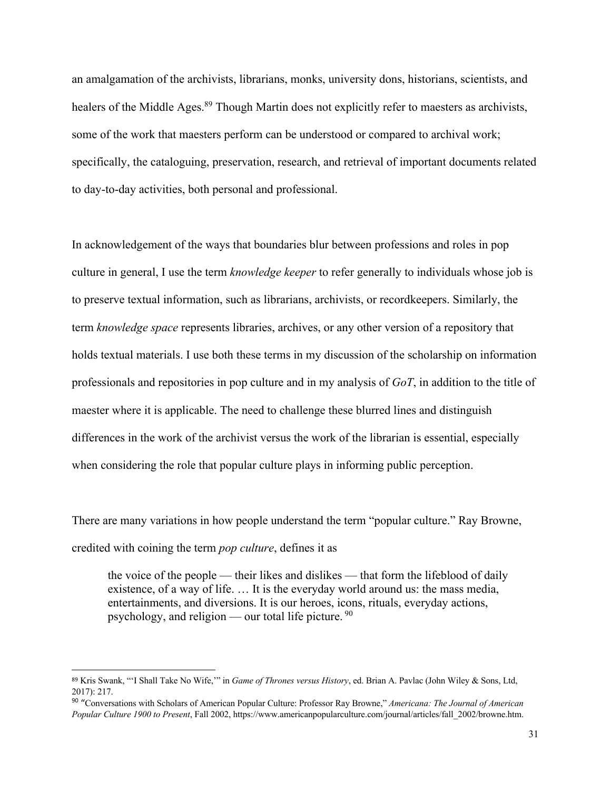an amalgamation of the archivists, librarians, monks, university dons, historians, scientists, and healers of the Middle Ages.<sup>89</sup> Though Martin does not explicitly refer to maesters as archivists, some of the work that maesters perform can be understood or compared to archival work; specifically, the cataloguing, preservation, research, and retrieval of important documents related to day-to-day activities, both personal and professional.

In acknowledgement of the ways that boundaries blur between professions and roles in pop culture in general, I use the term *knowledge keeper* to refer generally to individuals whose job is to preserve textual information, such as librarians, archivists, or recordkeepers. Similarly, the term *knowledge space* represents libraries, archives, or any other version of a repository that holds textual materials. I use both these terms in my discussion of the scholarship on information professionals and repositories in pop culture and in my analysis of *GoT*, in addition to the title of maester where it is applicable. The need to challenge these blurred lines and distinguish differences in the work of the archivist versus the work of the librarian is essential, especially when considering the role that popular culture plays in informing public perception.

There are many variations in how people understand the term "popular culture." Ray Browne, credited with coining the term *pop culture*, defines it as

the voice of the people — their likes and dislikes — that form the lifeblood of daily existence, of a way of life. … It is the everyday world around us: the mass media, entertainments, and diversions. It is our heroes, icons, rituals, everyday actions, psychology, and religion — our total life picture.  $90$ 

<sup>89</sup> Kris Swank, "'I Shall Take No Wife,'" in *Game of Thrones versus History*, ed. Brian A. Pavlac (John Wiley & Sons, Ltd, 2017): 217.

<sup>90</sup> "Conversations with Scholars of American Popular Culture: Professor Ray Browne," *Americana: The Journal of American Popular Culture 1900 to Present*, Fall 2002, https://www.americanpopularculture.com/journal/articles/fall\_2002/browne.htm.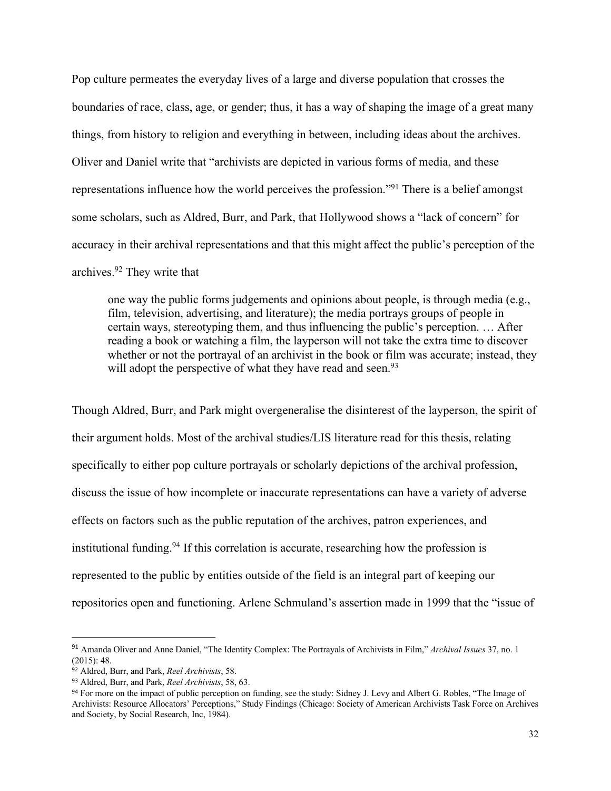Pop culture permeates the everyday lives of a large and diverse population that crosses the boundaries of race, class, age, or gender; thus, it has a way of shaping the image of a great many things, from history to religion and everything in between, including ideas about the archives. Oliver and Daniel write that "archivists are depicted in various forms of media, and these representations influence how the world perceives the profession."91 There is a belief amongst some scholars, such as Aldred, Burr, and Park, that Hollywood shows a "lack of concern" for accuracy in their archival representations and that this might affect the public's perception of the archives.92 They write that

one way the public forms judgements and opinions about people, is through media (e.g., film, television, advertising, and literature); the media portrays groups of people in certain ways, stereotyping them, and thus influencing the public's perception. … After reading a book or watching a film, the layperson will not take the extra time to discover whether or not the portrayal of an archivist in the book or film was accurate; instead, they will adopt the perspective of what they have read and seen.<sup>93</sup>

Though Aldred, Burr, and Park might overgeneralise the disinterest of the layperson, the spirit of their argument holds. Most of the archival studies/LIS literature read for this thesis, relating specifically to either pop culture portrayals or scholarly depictions of the archival profession, discuss the issue of how incomplete or inaccurate representations can have a variety of adverse effects on factors such as the public reputation of the archives, patron experiences, and institutional funding.<sup>94</sup> If this correlation is accurate, researching how the profession is represented to the public by entities outside of the field is an integral part of keeping our repositories open and functioning. Arlene Schmuland's assertion made in 1999 that the "issue of

<sup>91</sup> Amanda Oliver and Anne Daniel, "The Identity Complex: The Portrayals of Archivists in Film," *Archival Issues* 37, no. 1 (2015): 48.

<sup>92</sup> Aldred, Burr, and Park, *Reel Archivists*, 58.

<sup>93</sup> Aldred, Burr, and Park, *Reel Archivists*, 58, 63.

<sup>94</sup> For more on the impact of public perception on funding, see the study: Sidney J. Levy and Albert G. Robles, "The Image of Archivists: Resource Allocators' Perceptions," Study Findings (Chicago: Society of American Archivists Task Force on Archives and Society, by Social Research, Inc, 1984).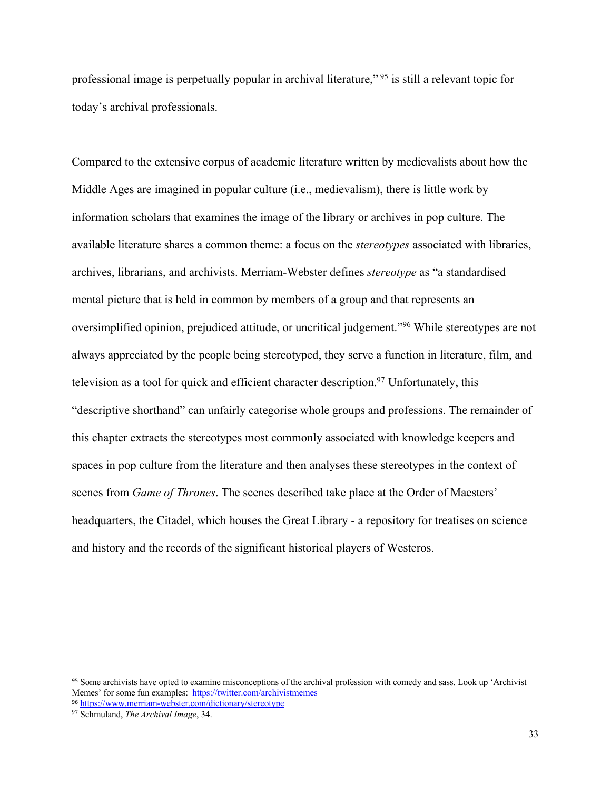professional image is perpetually popular in archival literature," <sup>95</sup> is still a relevant topic for today's archival professionals.

Compared to the extensive corpus of academic literature written by medievalists about how the Middle Ages are imagined in popular culture (i.e., medievalism), there is little work by information scholars that examines the image of the library or archives in pop culture. The available literature shares a common theme: a focus on the *stereotypes* associated with libraries, archives, librarians, and archivists. Merriam-Webster defines *stereotype* as "a standardised mental picture that is held in common by members of a group and that represents an oversimplified opinion, prejudiced attitude, or uncritical judgement."96 While stereotypes are not always appreciated by the people being stereotyped, they serve a function in literature, film, and television as a tool for quick and efficient character description.<sup>97</sup> Unfortunately, this "descriptive shorthand" can unfairly categorise whole groups and professions. The remainder of this chapter extracts the stereotypes most commonly associated with knowledge keepers and spaces in pop culture from the literature and then analyses these stereotypes in the context of scenes from *Game of Thrones*. The scenes described take place at the Order of Maesters' headquarters, the Citadel, which houses the Great Library - a repository for treatises on science and history and the records of the significant historical players of Westeros.

<sup>95</sup> Some archivists have opted to examine misconceptions of the archival profession with comedy and sass. Look up 'Archivist Memes' for some fun examples: https://twitter.com/archivistmemes <sup>96</sup> https://www.merriam-webster.com/dictionary/stereotype

<sup>97</sup> Schmuland, *The Archival Image*, 34.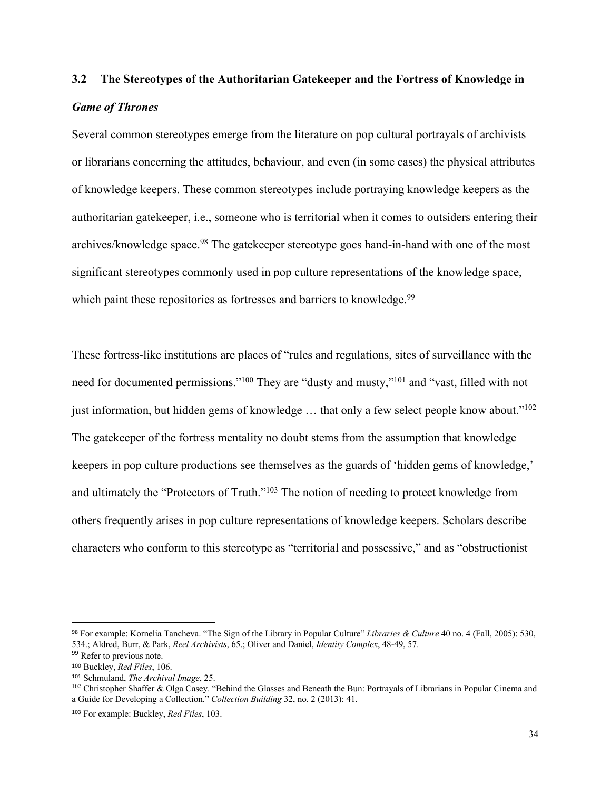# **3.2 The Stereotypes of the Authoritarian Gatekeeper and the Fortress of Knowledge in**  *Game of Thrones*

Several common stereotypes emerge from the literature on pop cultural portrayals of archivists or librarians concerning the attitudes, behaviour, and even (in some cases) the physical attributes of knowledge keepers. These common stereotypes include portraying knowledge keepers as the authoritarian gatekeeper, i.e., someone who is territorial when it comes to outsiders entering their archives/knowledge space.<sup>98</sup> The gatekeeper stereotype goes hand-in-hand with one of the most significant stereotypes commonly used in pop culture representations of the knowledge space, which paint these repositories as fortresses and barriers to knowledge.<sup>99</sup>

These fortress-like institutions are places of "rules and regulations, sites of surveillance with the need for documented permissions."<sup>100</sup> They are "dusty and musty,"<sup>101</sup> and "vast, filled with not just information, but hidden gems of knowledge ... that only a few select people know about."<sup>102</sup> The gatekeeper of the fortress mentality no doubt stems from the assumption that knowledge keepers in pop culture productions see themselves as the guards of 'hidden gems of knowledge,' and ultimately the "Protectors of Truth."<sup>103</sup> The notion of needing to protect knowledge from others frequently arises in pop culture representations of knowledge keepers. Scholars describe characters who conform to this stereotype as "territorial and possessive," and as "obstructionist

<sup>98</sup> For example: Kornelia Tancheva. "The Sign of the Library in Popular Culture" *Libraries & Culture* 40 no. 4 (Fall, 2005): 530, 534.; Aldred, Burr, & Park, *Reel Archivists*, 65.; Oliver and Daniel, *Identity Complex*, 48-49, 57.

<sup>&</sup>lt;sup>99</sup> Refer to previous note.

<sup>100</sup> Buckley, *Red Files*, 106.

<sup>101</sup> Schmuland, *The Archival Image*, 25.

<sup>&</sup>lt;sup>102</sup> Christopher Shaffer & Olga Casey. "Behind the Glasses and Beneath the Bun: Portrayals of Librarians in Popular Cinema and a Guide for Developing a Collection." *Collection Building* 32, no. 2 (2013): 41.

<sup>103</sup> For example: Buckley, *Red Files*, 103.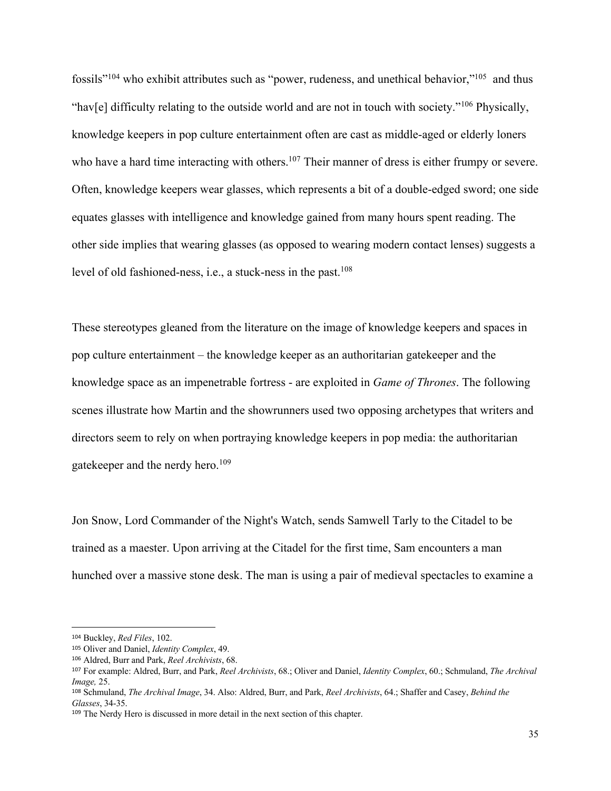fossils"104 who exhibit attributes such as "power, rudeness, and unethical behavior,"105 and thus "hav[e] difficulty relating to the outside world and are not in touch with society."106 Physically, knowledge keepers in pop culture entertainment often are cast as middle-aged or elderly loners who have a hard time interacting with others.<sup>107</sup> Their manner of dress is either frumpy or severe. Often, knowledge keepers wear glasses, which represents a bit of a double-edged sword; one side equates glasses with intelligence and knowledge gained from many hours spent reading. The other side implies that wearing glasses (as opposed to wearing modern contact lenses) suggests a level of old fashioned-ness, i.e., a stuck-ness in the past. 108

These stereotypes gleaned from the literature on the image of knowledge keepers and spaces in pop culture entertainment – the knowledge keeper as an authoritarian gatekeeper and the knowledge space as an impenetrable fortress - are exploited in *Game of Thrones*. The following scenes illustrate how Martin and the showrunners used two opposing archetypes that writers and directors seem to rely on when portraying knowledge keepers in pop media: the authoritarian gatekeeper and the nerdy hero.109

Jon Snow, Lord Commander of the Night's Watch, sends Samwell Tarly to the Citadel to be trained as a maester. Upon arriving at the Citadel for the first time, Sam encounters a man hunched over a massive stone desk. The man is using a pair of medieval spectacles to examine a

<sup>104</sup> Buckley, *Red Files*, 102.

<sup>105</sup> Oliver and Daniel, *Identity Complex*, 49.

<sup>106</sup> Aldred, Burr and Park, *Reel Archivists*, 68.

<sup>107</sup> For example: Aldred, Burr, and Park, *Reel Archivists*, 68.; Oliver and Daniel, *Identity Complex*, 60.; Schmuland, *The Archival Image,* 25.

<sup>108</sup> Schmuland, *The Archival Image*, 34. Also: Aldred, Burr, and Park, *Reel Archivists*, 64.; Shaffer and Casey, *Behind the Glasses*, 34-35.

<sup>109</sup> The Nerdy Hero is discussed in more detail in the next section of this chapter.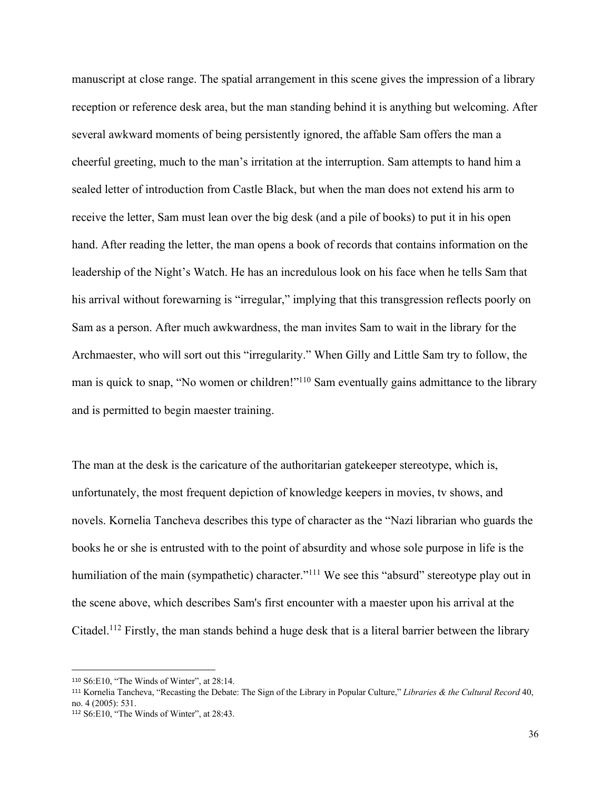manuscript at close range. The spatial arrangement in this scene gives the impression of a library reception or reference desk area, but the man standing behind it is anything but welcoming. After several awkward moments of being persistently ignored, the affable Sam offers the man a cheerful greeting, much to the man's irritation at the interruption. Sam attempts to hand him a sealed letter of introduction from Castle Black, but when the man does not extend his arm to receive the letter, Sam must lean over the big desk (and a pile of books) to put it in his open hand. After reading the letter, the man opens a book of records that contains information on the leadership of the Night's Watch. He has an incredulous look on his face when he tells Sam that his arrival without forewarning is "irregular," implying that this transgression reflects poorly on Sam as a person. After much awkwardness, the man invites Sam to wait in the library for the Archmaester, who will sort out this "irregularity." When Gilly and Little Sam try to follow, the man is quick to snap, "No women or children!"<sup>110</sup> Sam eventually gains admittance to the library and is permitted to begin maester training.

The man at the desk is the caricature of the authoritarian gatekeeper stereotype, which is, unfortunately, the most frequent depiction of knowledge keepers in movies, tv shows, and novels. Kornelia Tancheva describes this type of character as the "Nazi librarian who guards the books he or she is entrusted with to the point of absurdity and whose sole purpose in life is the humiliation of the main (sympathetic) character."<sup>111</sup> We see this "absurd" stereotype play out in the scene above, which describes Sam's first encounter with a maester upon his arrival at the Citadel.<sup>112</sup> Firstly, the man stands behind a huge desk that is a literal barrier between the library

<sup>110</sup> S6:E10, "The Winds of Winter", at 28:14.

<sup>111</sup> Kornelia Tancheva, "Recasting the Debate: The Sign of the Library in Popular Culture," *Libraries & the Cultural Record* 40, no. 4 (2005): 531.

<sup>112</sup> S6:E10, "The Winds of Winter", at 28:43.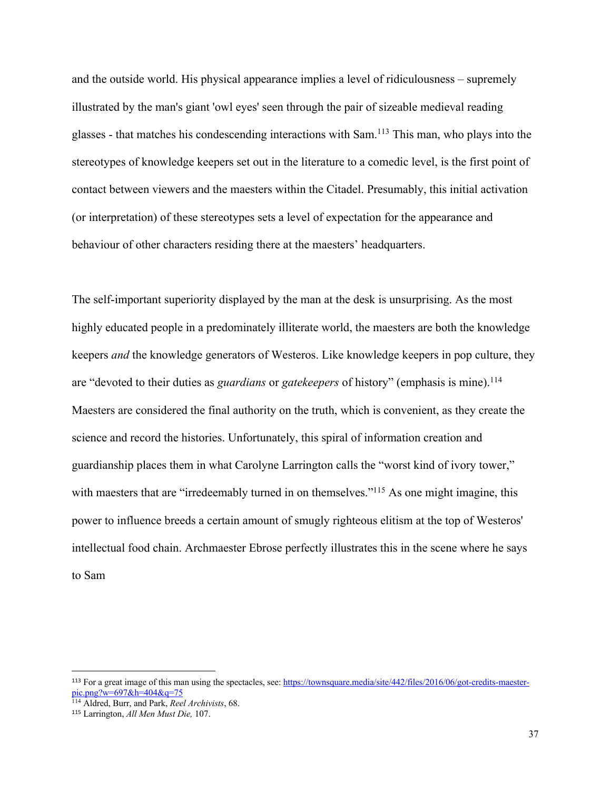and the outside world. His physical appearance implies a level of ridiculousness – supremely illustrated by the man's giant 'owl eyes' seen through the pair of sizeable medieval reading glasses - that matches his condescending interactions with Sam.113 This man, who plays into the stereotypes of knowledge keepers set out in the literature to a comedic level, is the first point of contact between viewers and the maesters within the Citadel. Presumably, this initial activation (or interpretation) of these stereotypes sets a level of expectation for the appearance and behaviour of other characters residing there at the maesters' headquarters.

The self-important superiority displayed by the man at the desk is unsurprising. As the most highly educated people in a predominately illiterate world, the maesters are both the knowledge keepers *and* the knowledge generators of Westeros. Like knowledge keepers in pop culture, they are "devoted to their duties as *guardians* or *gatekeepers* of history" (emphasis is mine).<sup>114</sup> Maesters are considered the final authority on the truth, which is convenient, as they create the science and record the histories. Unfortunately, this spiral of information creation and guardianship places them in what Carolyne Larrington calls the "worst kind of ivory tower," with maesters that are "irredeemably turned in on themselves."<sup>115</sup> As one might imagine, this power to influence breeds a certain amount of smugly righteous elitism at the top of Westeros' intellectual food chain. Archmaester Ebrose perfectly illustrates this in the scene where he says to Sam

<sup>113</sup> For a great image of this man using the spectacles, see: https://townsquare.media/site/442/files/2016/06/got-credits-maesterpic.png?w= $697&h=404&q=75$ 

<sup>114</sup> Aldred, Burr, and Park, *Reel Archivists*, 68.

<sup>115</sup> Larrington, *All Men Must Die,* 107.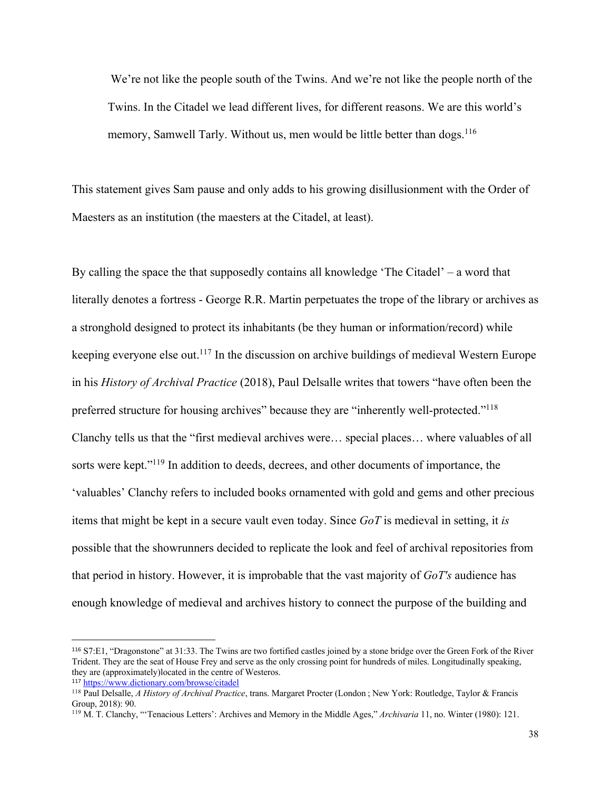We're not like the people south of the Twins. And we're not like the people north of the Twins. In the Citadel we lead different lives, for different reasons. We are this world's memory, Samwell Tarly. Without us, men would be little better than dogs.<sup>116</sup>

This statement gives Sam pause and only adds to his growing disillusionment with the Order of Maesters as an institution (the maesters at the Citadel, at least).

By calling the space the that supposedly contains all knowledge 'The Citadel' – a word that literally denotes a fortress - George R.R. Martin perpetuates the trope of the library or archives as a stronghold designed to protect its inhabitants (be they human or information/record) while keeping everyone else out.117 In the discussion on archive buildings of medieval Western Europe in his *History of Archival Practice* (2018), Paul Delsalle writes that towers "have often been the preferred structure for housing archives" because they are "inherently well-protected."118 Clanchy tells us that the "first medieval archives were… special places… where valuables of all sorts were kept."119 In addition to deeds, decrees, and other documents of importance, the 'valuables' Clanchy refers to included books ornamented with gold and gems and other precious items that might be kept in a secure vault even today. Since *GoT* is medieval in setting, it *is* possible that the showrunners decided to replicate the look and feel of archival repositories from that period in history. However, it is improbable that the vast majority of *GoT's* audience has enough knowledge of medieval and archives history to connect the purpose of the building and

<sup>116</sup> S7:E1, "Dragonstone" at 31:33. The Twins are two fortified castles joined by a stone bridge over the Green Fork of the River Trident. They are the seat of House Frey and serve as the only crossing point for hundreds of miles. Longitudinally speaking, they are (approximately)located in the centre of Westeros.

<sup>117</sup> https://www.dictionary.com/browse/citadel

<sup>118</sup> Paul Delsalle, *A History of Archival Practice*, trans. Margaret Procter (London ; New York: Routledge, Taylor & Francis Group, 2018): 90.

<sup>119</sup> M. T. Clanchy, "'Tenacious Letters': Archives and Memory in the Middle Ages," *Archivaria* 11, no. Winter (1980): 121.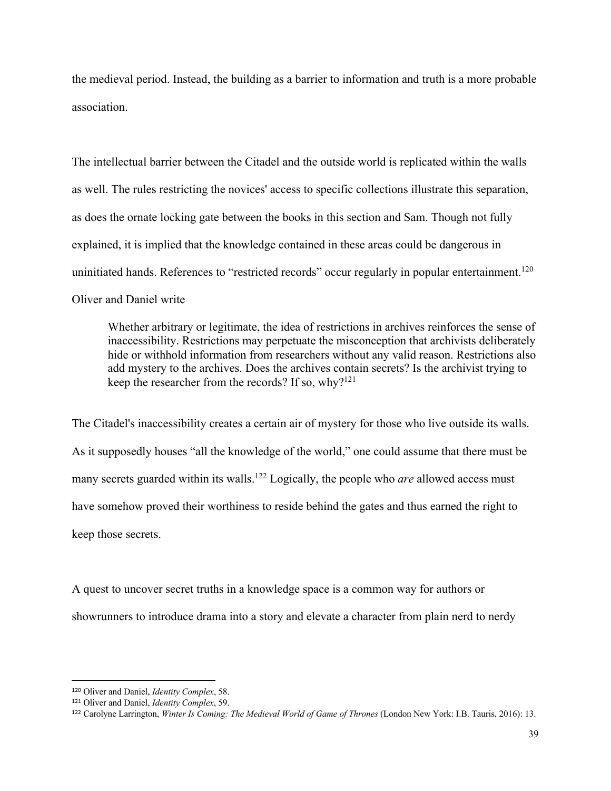the medieval period. Instead, the building as a barrier to information and truth is a more probable association.

The intellectual barrier between the Citadel and the outside world is replicated within the walls as well. The rules restricting the novices' access to specific collections illustrate this separation, as does the ornate locking gate between the books in this section and Sam. Though not fully explained, it is implied that the knowledge contained in these areas could be dangerous in uninitiated hands. References to "restricted records" occur regularly in popular entertainment.<sup>120</sup> Oliver and Daniel write

Whether arbitrary or legitimate, the idea of restrictions in archives reinforces the sense of inaccessibility. Restrictions may perpetuate the misconception that archivists deliberately hide or withhold information from researchers without any valid reason. Restrictions also add mystery to the archives. Does the archives contain secrets? Is the archivist trying to keep the researcher from the records? If so, why?<sup>121</sup>

The Citadel's inaccessibility creates a certain air of mystery for those who live outside its walls. As it supposedly houses "all the knowledge of the world," one could assume that there must be many secrets guarded within its walls.<sup>122</sup> Logically, the people who *are* allowed access must have somehow proved their worthiness to reside behind the gates and thus earned the right to keep those secrets.

A quest to uncover secret truths in a knowledge space is a common way for authors or showrunners to introduce drama into a story and elevate a character from plain nerd to nerdy

<sup>120</sup> Oliver and Daniel, *Identity Complex*, 58.

<sup>121</sup> Oliver and Daniel, *Identity Complex*, 59.

<sup>122</sup> Carolyne Larrington, *Winter Is Coming: The Medieval World of Game of Thrones* (London New York: I.B. Tauris, 2016): 13.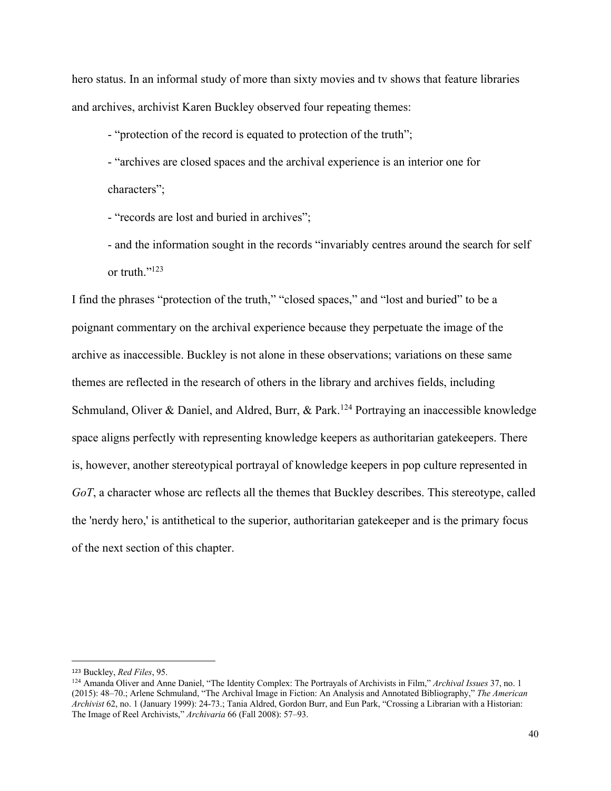hero status. In an informal study of more than sixty movies and tv shows that feature libraries and archives, archivist Karen Buckley observed four repeating themes:

- "protection of the record is equated to protection of the truth";

- "archives are closed spaces and the archival experience is an interior one for characters";

- "records are lost and buried in archives";

- and the information sought in the records "invariably centres around the search for self or truth."<sup>123</sup>

I find the phrases "protection of the truth," "closed spaces," and "lost and buried" to be a poignant commentary on the archival experience because they perpetuate the image of the archive as inaccessible. Buckley is not alone in these observations; variations on these same themes are reflected in the research of others in the library and archives fields, including Schmuland, Oliver & Daniel, and Aldred, Burr, & Park.<sup>124</sup> Portraying an inaccessible knowledge space aligns perfectly with representing knowledge keepers as authoritarian gatekeepers. There is, however, another stereotypical portrayal of knowledge keepers in pop culture represented in *GoT*, a character whose arc reflects all the themes that Buckley describes. This stereotype, called the 'nerdy hero,' is antithetical to the superior, authoritarian gatekeeper and is the primary focus of the next section of this chapter.

<sup>123</sup> Buckley, *Red Files*, 95.

<sup>124</sup> Amanda Oliver and Anne Daniel, "The Identity Complex: The Portrayals of Archivists in Film," *Archival Issues* 37, no. 1 (2015): 48–70.; Arlene Schmuland, "The Archival Image in Fiction: An Analysis and Annotated Bibliography," *The American Archivist* 62, no. 1 (January 1999): 24-73.; Tania Aldred, Gordon Burr, and Eun Park, "Crossing a Librarian with a Historian: The Image of Reel Archivists," *Archivaria* 66 (Fall 2008): 57–93.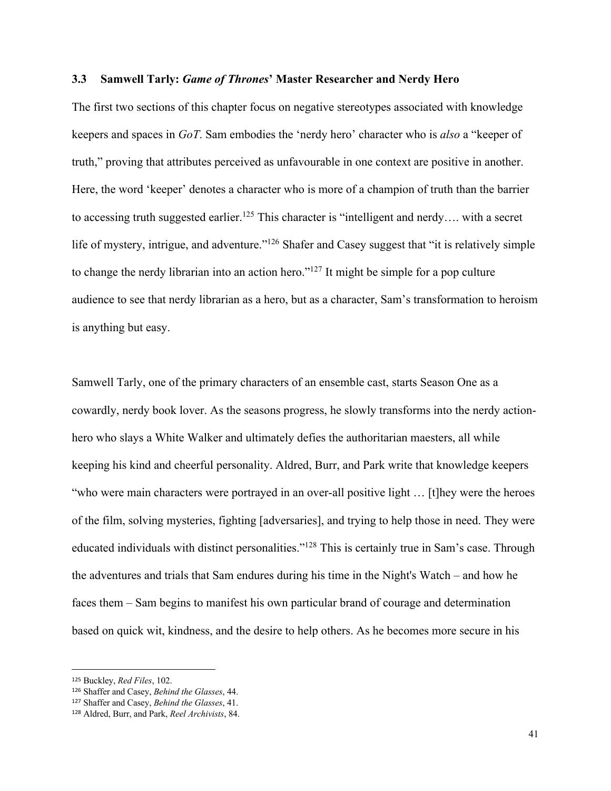#### **3.3 Samwell Tarly:** *Game of Thrones***' Master Researcher and Nerdy Hero**

The first two sections of this chapter focus on negative stereotypes associated with knowledge keepers and spaces in *GoT*. Sam embodies the 'nerdy hero' character who is *also* a "keeper of truth," proving that attributes perceived as unfavourable in one context are positive in another. Here, the word 'keeper' denotes a character who is more of a champion of truth than the barrier to accessing truth suggested earlier.<sup>125</sup> This character is "intelligent and nerdy.... with a secret life of mystery, intrigue, and adventure."<sup>126</sup> Shafer and Casey suggest that "it is relatively simple to change the nerdy librarian into an action hero." $127$  It might be simple for a pop culture audience to see that nerdy librarian as a hero, but as a character, Sam's transformation to heroism is anything but easy.

Samwell Tarly, one of the primary characters of an ensemble cast, starts Season One as a cowardly, nerdy book lover. As the seasons progress, he slowly transforms into the nerdy actionhero who slays a White Walker and ultimately defies the authoritarian maesters, all while keeping his kind and cheerful personality. Aldred, Burr, and Park write that knowledge keepers "who were main characters were portrayed in an over-all positive light … [t]hey were the heroes of the film, solving mysteries, fighting [adversaries], and trying to help those in need. They were educated individuals with distinct personalities."128 This is certainly true in Sam's case. Through the adventures and trials that Sam endures during his time in the Night's Watch – and how he faces them – Sam begins to manifest his own particular brand of courage and determination based on quick wit, kindness, and the desire to help others. As he becomes more secure in his

<sup>125</sup> Buckley, *Red Files*, 102.

<sup>126</sup> Shaffer and Casey, *Behind the Glasses*, 44.

<sup>127</sup> Shaffer and Casey, *Behind the Glasses*, 41.

<sup>128</sup> Aldred, Burr, and Park, *Reel Archivists*, 84.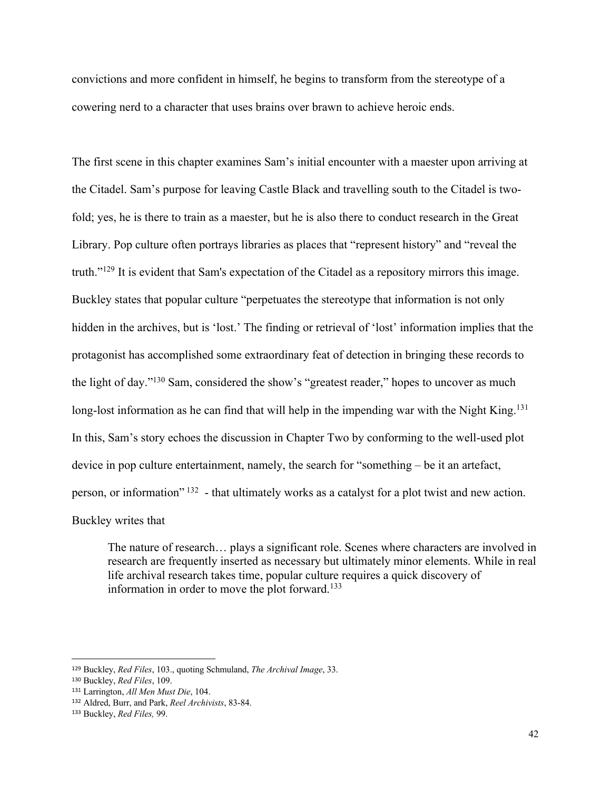convictions and more confident in himself, he begins to transform from the stereotype of a cowering nerd to a character that uses brains over brawn to achieve heroic ends.

The first scene in this chapter examines Sam's initial encounter with a maester upon arriving at the Citadel. Sam's purpose for leaving Castle Black and travelling south to the Citadel is twofold; yes, he is there to train as a maester, but he is also there to conduct research in the Great Library. Pop culture often portrays libraries as places that "represent history" and "reveal the truth."129 It is evident that Sam's expectation of the Citadel as a repository mirrors this image. Buckley states that popular culture "perpetuates the stereotype that information is not only hidden in the archives, but is 'lost.' The finding or retrieval of 'lost' information implies that the protagonist has accomplished some extraordinary feat of detection in bringing these records to the light of day."130 Sam, considered the show's "greatest reader," hopes to uncover as much long-lost information as he can find that will help in the impending war with the Night King.<sup>131</sup> In this, Sam's story echoes the discussion in Chapter Two by conforming to the well-used plot device in pop culture entertainment, namely, the search for "something – be it an artefact, person, or information" <sup>132</sup> - that ultimately works as a catalyst for a plot twist and new action. Buckley writes that

The nature of research… plays a significant role. Scenes where characters are involved in research are frequently inserted as necessary but ultimately minor elements. While in real life archival research takes time, popular culture requires a quick discovery of information in order to move the plot forward.<sup>133</sup>

<sup>129</sup> Buckley, *Red Files*, 103., quoting Schmuland, *The Archival Image*, 33.

<sup>130</sup> Buckley, *Red Files*, 109.

<sup>131</sup> Larrington, *All Men Must Die*, 104.

<sup>132</sup> Aldred, Burr, and Park, *Reel Archivists*, 83-84.

<sup>133</sup> Buckley, *Red Files,* 99.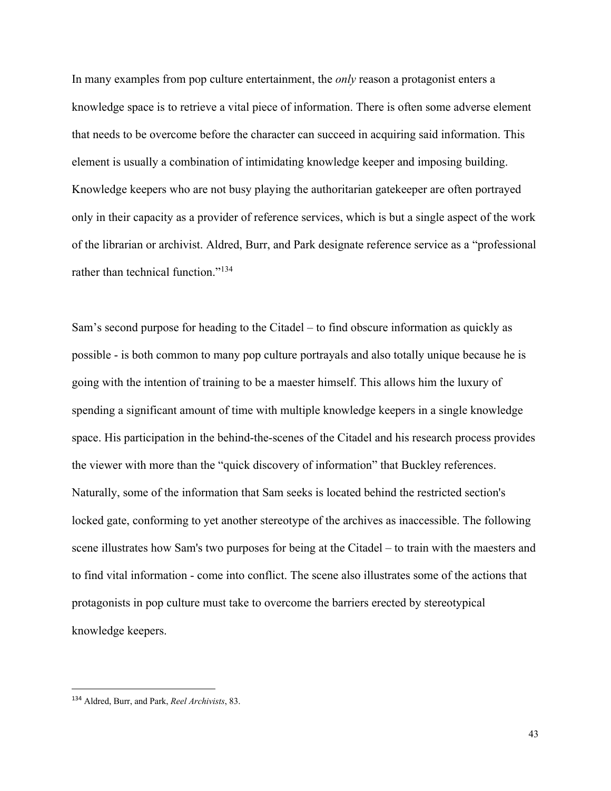In many examples from pop culture entertainment, the *only* reason a protagonist enters a knowledge space is to retrieve a vital piece of information. There is often some adverse element that needs to be overcome before the character can succeed in acquiring said information. This element is usually a combination of intimidating knowledge keeper and imposing building. Knowledge keepers who are not busy playing the authoritarian gatekeeper are often portrayed only in their capacity as a provider of reference services, which is but a single aspect of the work of the librarian or archivist. Aldred, Burr, and Park designate reference service as a "professional rather than technical function."<sup>134</sup>

Sam's second purpose for heading to the Citadel – to find obscure information as quickly as possible - is both common to many pop culture portrayals and also totally unique because he is going with the intention of training to be a maester himself. This allows him the luxury of spending a significant amount of time with multiple knowledge keepers in a single knowledge space. His participation in the behind-the-scenes of the Citadel and his research process provides the viewer with more than the "quick discovery of information" that Buckley references. Naturally, some of the information that Sam seeks is located behind the restricted section's locked gate, conforming to yet another stereotype of the archives as inaccessible. The following scene illustrates how Sam's two purposes for being at the Citadel – to train with the maesters and to find vital information - come into conflict. The scene also illustrates some of the actions that protagonists in pop culture must take to overcome the barriers erected by stereotypical knowledge keepers.

<sup>134</sup> Aldred, Burr, and Park, *Reel Archivists*, 83.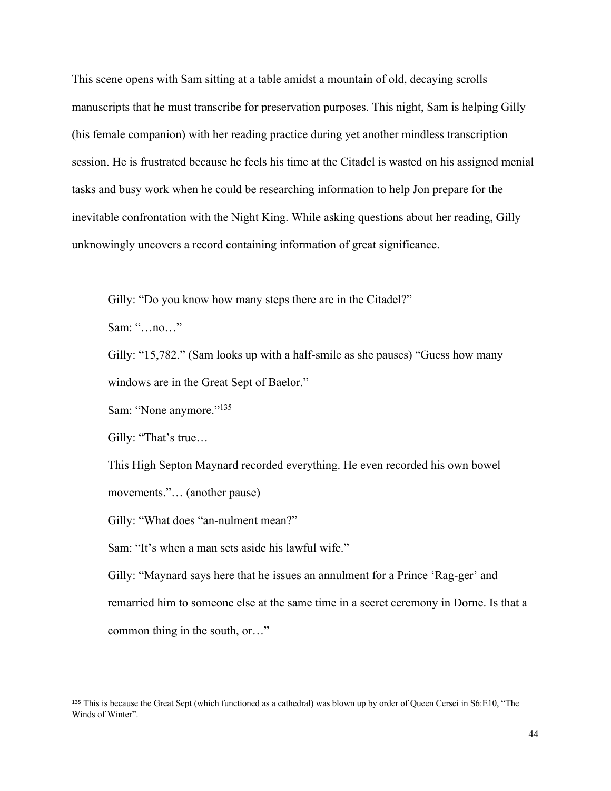This scene opens with Sam sitting at a table amidst a mountain of old, decaying scrolls manuscripts that he must transcribe for preservation purposes. This night, Sam is helping Gilly (his female companion) with her reading practice during yet another mindless transcription session. He is frustrated because he feels his time at the Citadel is wasted on his assigned menial tasks and busy work when he could be researching information to help Jon prepare for the inevitable confrontation with the Night King. While asking questions about her reading, Gilly unknowingly uncovers a record containing information of great significance.

Gilly: "Do you know how many steps there are in the Citadel?"

Sam: "…no…"

Gilly: "15,782." (Sam looks up with a half-smile as she pauses) "Guess how many windows are in the Great Sept of Baelor."

Sam: "None anymore."<sup>135</sup>

Gilly: "That's true…

This High Septon Maynard recorded everything. He even recorded his own bowel movements."… (another pause)

Gilly: "What does "an-nulment mean?"

Sam: "It's when a man sets aside his lawful wife."

Gilly: "Maynard says here that he issues an annulment for a Prince 'Rag-ger' and remarried him to someone else at the same time in a secret ceremony in Dorne. Is that a common thing in the south, or…"

<sup>135</sup> This is because the Great Sept (which functioned as a cathedral) was blown up by order of Queen Cersei in S6:E10, "The Winds of Winter".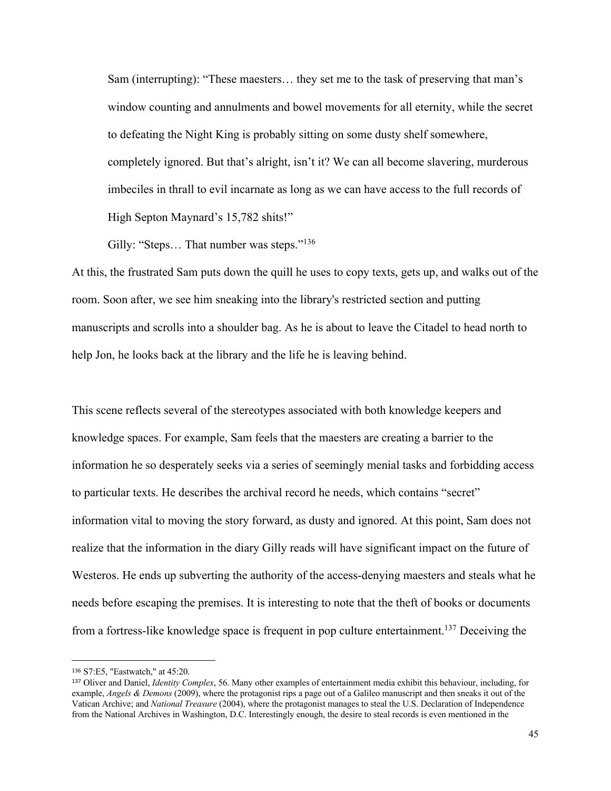Sam (interrupting): "These maesters… they set me to the task of preserving that man's window counting and annulments and bowel movements for all eternity, while the secret to defeating the Night King is probably sitting on some dusty shelf somewhere, completely ignored. But that's alright, isn't it? We can all become slavering, murderous imbeciles in thrall to evil incarnate as long as we can have access to the full records of High Septon Maynard's 15,782 shits!"

Gilly: "Steps... That number was steps."<sup>136</sup>

At this, the frustrated Sam puts down the quill he uses to copy texts, gets up, and walks out of the room. Soon after, we see him sneaking into the library's restricted section and putting manuscripts and scrolls into a shoulder bag. As he is about to leave the Citadel to head north to help Jon, he looks back at the library and the life he is leaving behind.

This scene reflects several of the stereotypes associated with both knowledge keepers and knowledge spaces. For example, Sam feels that the maesters are creating a barrier to the information he so desperately seeks via a series of seemingly menial tasks and forbidding access to particular texts. He describes the archival record he needs, which contains "secret" information vital to moving the story forward, as dusty and ignored. At this point, Sam does not realize that the information in the diary Gilly reads will have significant impact on the future of Westeros. He ends up subverting the authority of the access-denying maesters and steals what he needs before escaping the premises. It is interesting to note that the theft of books or documents from a fortress-like knowledge space is frequent in pop culture entertainment.137 Deceiving the

<sup>136</sup> S7:E5, "Eastwatch," at 45:20.

<sup>137</sup> Oliver and Daniel, *Identity Complex*, 56. Many other examples of entertainment media exhibit this behaviour, including, for example, *Angels & Demons* (2009), where the protagonist rips a page out of a Galileo manuscript and then sneaks it out of the Vatican Archive; and *National Treasure* (2004), where the protagonist manages to steal the U.S. Declaration of Independence from the National Archives in Washington, D.C. Interestingly enough, the desire to steal records is even mentioned in the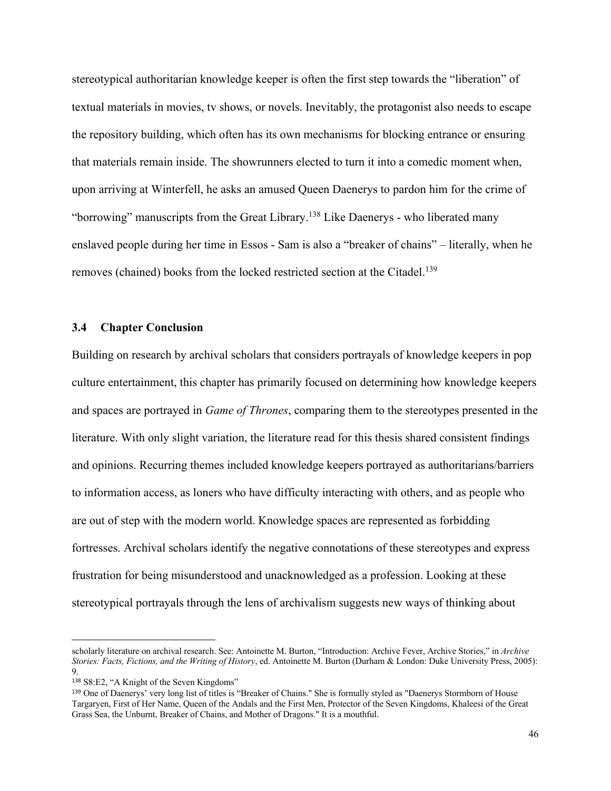stereotypical authoritarian knowledge keeper is often the first step towards the "liberation" of textual materials in movies, tv shows, or novels. Inevitably, the protagonist also needs to escape the repository building, which often has its own mechanisms for blocking entrance or ensuring that materials remain inside. The showrunners elected to turn it into a comedic moment when, upon arriving at Winterfell, he asks an amused Queen Daenerys to pardon him for the crime of "borrowing" manuscripts from the Great Library.<sup>138</sup> Like Daenerys - who liberated many enslaved people during her time in Essos - Sam is also a "breaker of chains" – literally, when he removes (chained) books from the locked restricted section at the Citadel.<sup>139</sup>

#### **3.4 Chapter Conclusion**

Building on research by archival scholars that considers portrayals of knowledge keepers in pop culture entertainment, this chapter has primarily focused on determining how knowledge keepers and spaces are portrayed in *Game of Thrones*, comparing them to the stereotypes presented in the literature. With only slight variation, the literature read for this thesis shared consistent findings and opinions. Recurring themes included knowledge keepers portrayed as authoritarians/barriers to information access, as loners who have difficulty interacting with others, and as people who are out of step with the modern world. Knowledge spaces are represented as forbidding fortresses. Archival scholars identify the negative connotations of these stereotypes and express frustration for being misunderstood and unacknowledged as a profession. Looking at these stereotypical portrayals through the lens of archivalism suggests new ways of thinking about

scholarly literature on archival research. See: Antoinette M. Burton, "Introduction: Archive Fever, Archive Stories," in *Archive Stories: Facts, Fictions, and the Writing of History*, ed. Antoinette M. Burton (Durham & London: Duke University Press, 2005): 9.

<sup>138</sup> S8:E2, "A Knight of the Seven Kingdoms"

<sup>139</sup> One of Daenerys' very long list of titles is "Breaker of Chains." She is formally styled as "Daenerys Stormborn of House Targaryen, First of Her Name, Queen of the Andals and the First Men, Protector of the Seven Kingdoms, Khaleesi of the Great Grass Sea, the Unburnt, Breaker of Chains, and Mother of Dragons." It is a mouthful.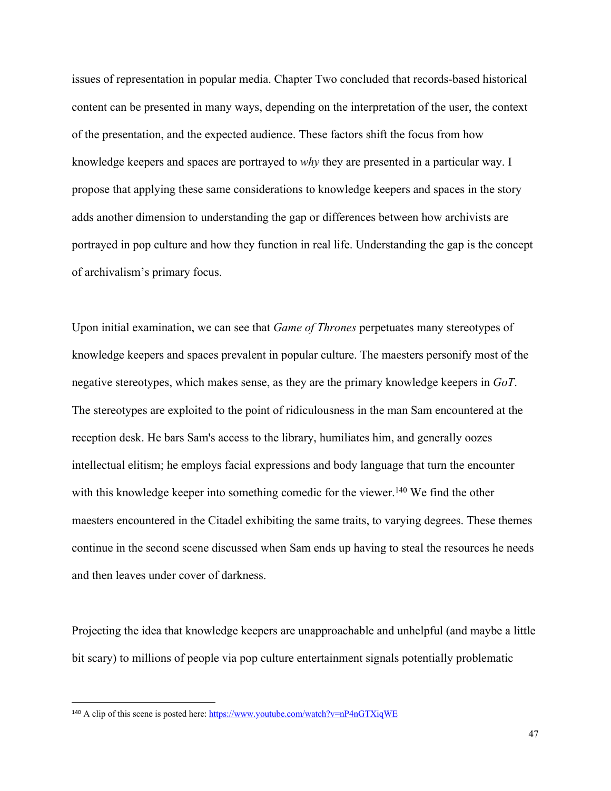issues of representation in popular media. Chapter Two concluded that records-based historical content can be presented in many ways, depending on the interpretation of the user, the context of the presentation, and the expected audience. These factors shift the focus from how knowledge keepers and spaces are portrayed to *why* they are presented in a particular way. I propose that applying these same considerations to knowledge keepers and spaces in the story adds another dimension to understanding the gap or differences between how archivists are portrayed in pop culture and how they function in real life. Understanding the gap is the concept of archivalism's primary focus.

Upon initial examination, we can see that *Game of Thrones* perpetuates many stereotypes of knowledge keepers and spaces prevalent in popular culture. The maesters personify most of the negative stereotypes, which makes sense, as they are the primary knowledge keepers in *GoT*. The stereotypes are exploited to the point of ridiculousness in the man Sam encountered at the reception desk. He bars Sam's access to the library, humiliates him, and generally oozes intellectual elitism; he employs facial expressions and body language that turn the encounter with this knowledge keeper into something comedic for the viewer.<sup>140</sup> We find the other maesters encountered in the Citadel exhibiting the same traits, to varying degrees. These themes continue in the second scene discussed when Sam ends up having to steal the resources he needs and then leaves under cover of darkness.

Projecting the idea that knowledge keepers are unapproachable and unhelpful (and maybe a little bit scary) to millions of people via pop culture entertainment signals potentially problematic

<sup>140</sup> A clip of this scene is posted here: https://www.youtube.com/watch?v=nP4nGTXiqWE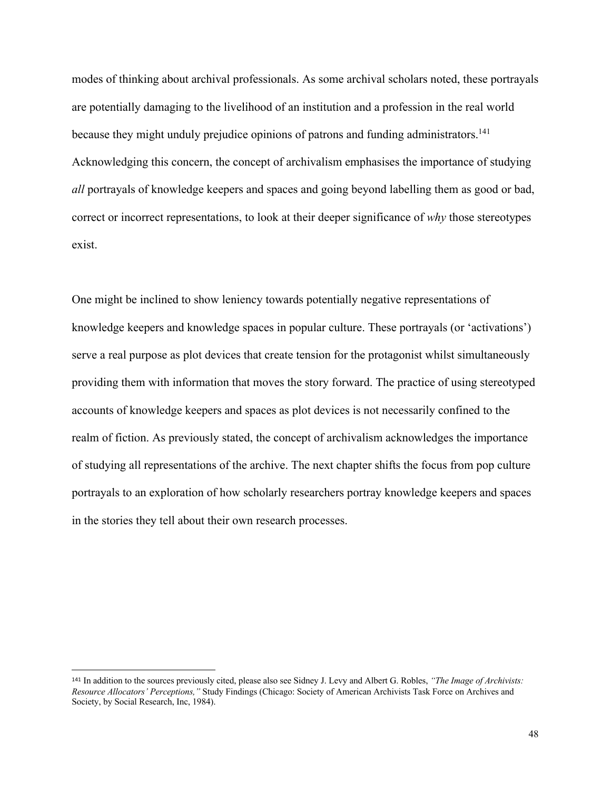modes of thinking about archival professionals. As some archival scholars noted, these portrayals are potentially damaging to the livelihood of an institution and a profession in the real world because they might unduly prejudice opinions of patrons and funding administrators.<sup>141</sup> Acknowledging this concern, the concept of archivalism emphasises the importance of studying *all* portrayals of knowledge keepers and spaces and going beyond labelling them as good or bad, correct or incorrect representations, to look at their deeper significance of *why* those stereotypes exist.

One might be inclined to show leniency towards potentially negative representations of knowledge keepers and knowledge spaces in popular culture. These portrayals (or 'activations') serve a real purpose as plot devices that create tension for the protagonist whilst simultaneously providing them with information that moves the story forward. The practice of using stereotyped accounts of knowledge keepers and spaces as plot devices is not necessarily confined to the realm of fiction. As previously stated, the concept of archivalism acknowledges the importance of studying all representations of the archive. The next chapter shifts the focus from pop culture portrayals to an exploration of how scholarly researchers portray knowledge keepers and spaces in the stories they tell about their own research processes.

<sup>141</sup> In addition to the sources previously cited, please also see Sidney J. Levy and Albert G. Robles, *"The Image of Archivists: Resource Allocators' Perceptions,"* Study Findings (Chicago: Society of American Archivists Task Force on Archives and Society, by Social Research, Inc, 1984).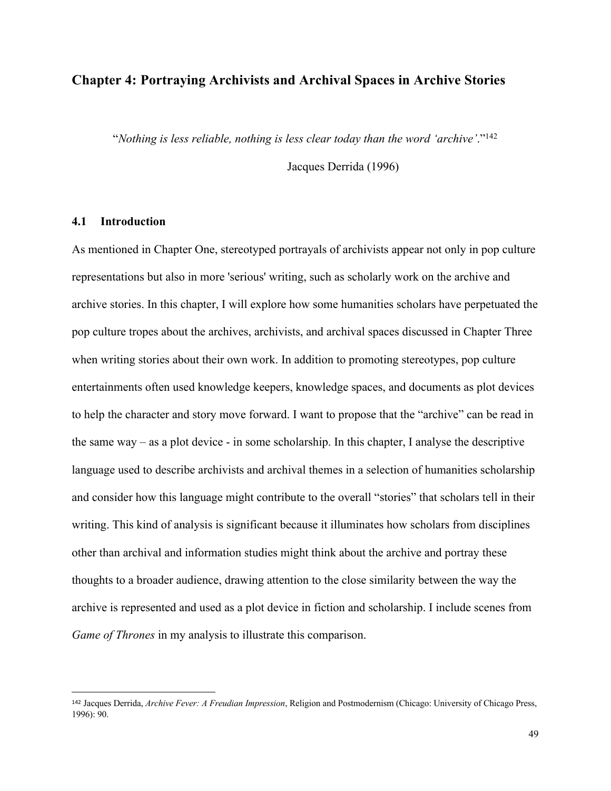# **Chapter 4: Portraying Archivists and Archival Spaces in Archive Stories**

"*Nothing is less reliable, nothing is less clear today than the word 'archive'*."142

Jacques Derrida (1996)

## **4.1 Introduction**

As mentioned in Chapter One, stereotyped portrayals of archivists appear not only in pop culture representations but also in more 'serious' writing, such as scholarly work on the archive and archive stories. In this chapter, I will explore how some humanities scholars have perpetuated the pop culture tropes about the archives, archivists, and archival spaces discussed in Chapter Three when writing stories about their own work. In addition to promoting stereotypes, pop culture entertainments often used knowledge keepers, knowledge spaces, and documents as plot devices to help the character and story move forward. I want to propose that the "archive" can be read in the same way – as a plot device - in some scholarship. In this chapter, I analyse the descriptive language used to describe archivists and archival themes in a selection of humanities scholarship and consider how this language might contribute to the overall "stories" that scholars tell in their writing. This kind of analysis is significant because it illuminates how scholars from disciplines other than archival and information studies might think about the archive and portray these thoughts to a broader audience, drawing attention to the close similarity between the way the archive is represented and used as a plot device in fiction and scholarship. I include scenes from *Game of Thrones* in my analysis to illustrate this comparison.

<sup>142</sup> Jacques Derrida, *Archive Fever: A Freudian Impression*, Religion and Postmodernism (Chicago: University of Chicago Press, 1996): 90.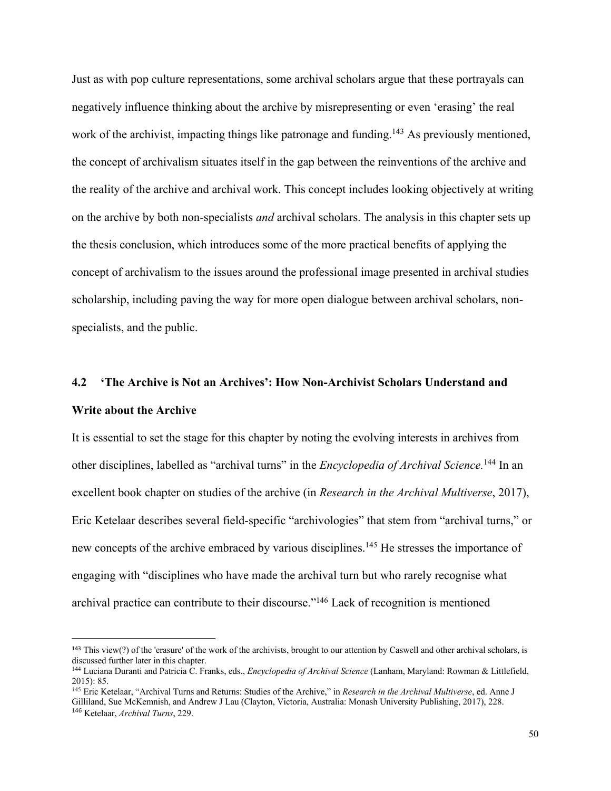Just as with pop culture representations, some archival scholars argue that these portrayals can negatively influence thinking about the archive by misrepresenting or even 'erasing' the real work of the archivist, impacting things like patronage and funding.<sup>143</sup> As previously mentioned, the concept of archivalism situates itself in the gap between the reinventions of the archive and the reality of the archive and archival work. This concept includes looking objectively at writing on the archive by both non-specialists *and* archival scholars. The analysis in this chapter sets up the thesis conclusion, which introduces some of the more practical benefits of applying the concept of archivalism to the issues around the professional image presented in archival studies scholarship, including paving the way for more open dialogue between archival scholars, nonspecialists, and the public.

# **4.2 'The Archive is Not an Archives': How Non-Archivist Scholars Understand and Write about the Archive**

It is essential to set the stage for this chapter by noting the evolving interests in archives from other disciplines, labelled as "archival turns" in the *Encyclopedia of Archival Science*.<sup>144</sup> In an excellent book chapter on studies of the archive (in *Research in the Archival Multiverse*, 2017), Eric Ketelaar describes several field-specific "archivologies" that stem from "archival turns," or new concepts of the archive embraced by various disciplines.<sup>145</sup> He stresses the importance of engaging with "disciplines who have made the archival turn but who rarely recognise what archival practice can contribute to their discourse."146 Lack of recognition is mentioned

<sup>&</sup>lt;sup>143</sup> This view(?) of the 'erasure' of the work of the archivists, brought to our attention by Caswell and other archival scholars, is discussed further later in this chapter.

<sup>144</sup> Luciana Duranti and Patricia C. Franks, eds., *Encyclopedia of Archival Science* (Lanham, Maryland: Rowman & Littlefield, 2015): 85.

<sup>145</sup> Eric Ketelaar, "Archival Turns and Returns: Studies of the Archive," in *Research in the Archival Multiverse*, ed. Anne J Gilliland, Sue McKemnish, and Andrew J Lau (Clayton, Victoria, Australia: Monash University Publishing, 2017), 228. <sup>146</sup> Ketelaar, *Archival Turns*, 229.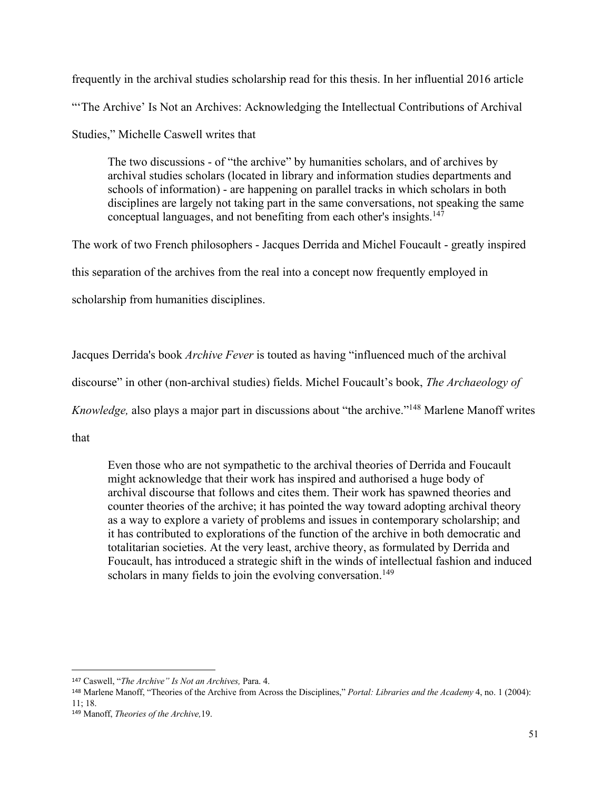frequently in the archival studies scholarship read for this thesis. In her influential 2016 article "The Archive' Is Not an Archives: Acknowledging the Intellectual Contributions of Archival Studies," Michelle Caswell writes that

The two discussions - of "the archive" by humanities scholars, and of archives by archival studies scholars (located in library and information studies departments and schools of information) - are happening on parallel tracks in which scholars in both disciplines are largely not taking part in the same conversations, not speaking the same conceptual languages, and not benefiting from each other's insights.147

The work of two French philosophers - Jacques Derrida and Michel Foucault - greatly inspired this separation of the archives from the real into a concept now frequently employed in scholarship from humanities disciplines.

Jacques Derrida's book *Archive Fever* is touted as having "influenced much of the archival

discourse" in other (non-archival studies) fields. Michel Foucault's book, *The Archaeology of* 

*Knowledge,* also plays a major part in discussions about "the archive."148 Marlene Manoff writes

that

Even those who are not sympathetic to the archival theories of Derrida and Foucault might acknowledge that their work has inspired and authorised a huge body of archival discourse that follows and cites them. Their work has spawned theories and counter theories of the archive; it has pointed the way toward adopting archival theory as a way to explore a variety of problems and issues in contemporary scholarship; and it has contributed to explorations of the function of the archive in both democratic and totalitarian societies. At the very least, archive theory, as formulated by Derrida and Foucault, has introduced a strategic shift in the winds of intellectual fashion and induced scholars in many fields to join the evolving conversation.<sup>149</sup>

<sup>147</sup> Caswell, "*The Archive" Is Not an Archives,* Para. 4.

<sup>148</sup> Marlene Manoff, "Theories of the Archive from Across the Disciplines," *Portal: Libraries and the Academy* 4, no. 1 (2004): 11; 18.

<sup>149</sup> Manoff, *Theories of the Archive,*19.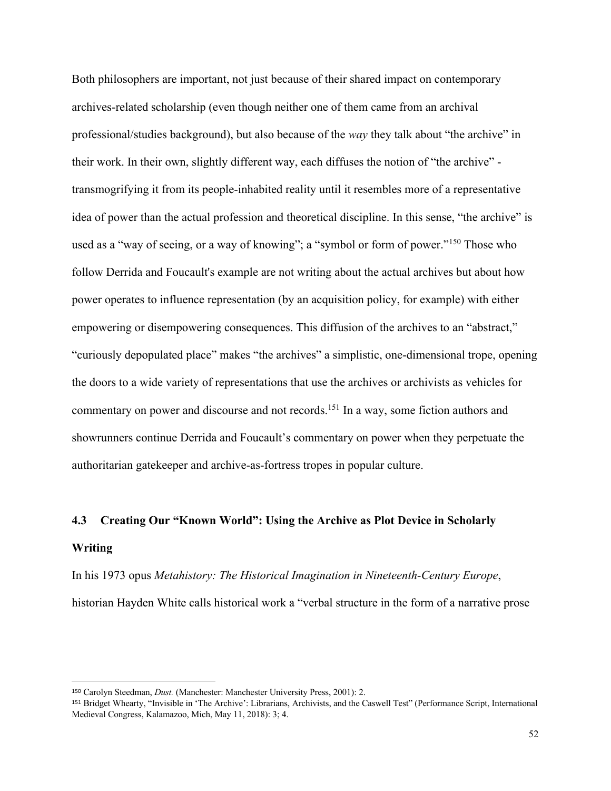Both philosophers are important, not just because of their shared impact on contemporary archives-related scholarship (even though neither one of them came from an archival professional/studies background), but also because of the *way* they talk about "the archive" in their work. In their own, slightly different way, each diffuses the notion of "the archive" transmogrifying it from its people-inhabited reality until it resembles more of a representative idea of power than the actual profession and theoretical discipline. In this sense, "the archive" is used as a "way of seeing, or a way of knowing"; a "symbol or form of power."150 Those who follow Derrida and Foucault's example are not writing about the actual archives but about how power operates to influence representation (by an acquisition policy, for example) with either empowering or disempowering consequences. This diffusion of the archives to an "abstract," "curiously depopulated place" makes "the archives" a simplistic, one-dimensional trope, opening the doors to a wide variety of representations that use the archives or archivists as vehicles for commentary on power and discourse and not records.<sup>151</sup> In a way, some fiction authors and showrunners continue Derrida and Foucault's commentary on power when they perpetuate the authoritarian gatekeeper and archive-as-fortress tropes in popular culture.

#### **4.3 Creating Our "Known World": Using the Archive as Plot Device in Scholarly**

#### **Writing**

In his 1973 opus *Metahistory: The Historical Imagination in Nineteenth-Century Europe*, historian Hayden White calls historical work a "verbal structure in the form of a narrative prose

<sup>150</sup> Carolyn Steedman, *Dust.* (Manchester: Manchester University Press, 2001): 2.

<sup>151</sup> Bridget Whearty, "Invisible in 'The Archive': Librarians, Archivists, and the Caswell Test" (Performance Script, International Medieval Congress, Kalamazoo, Mich, May 11, 2018): 3; 4.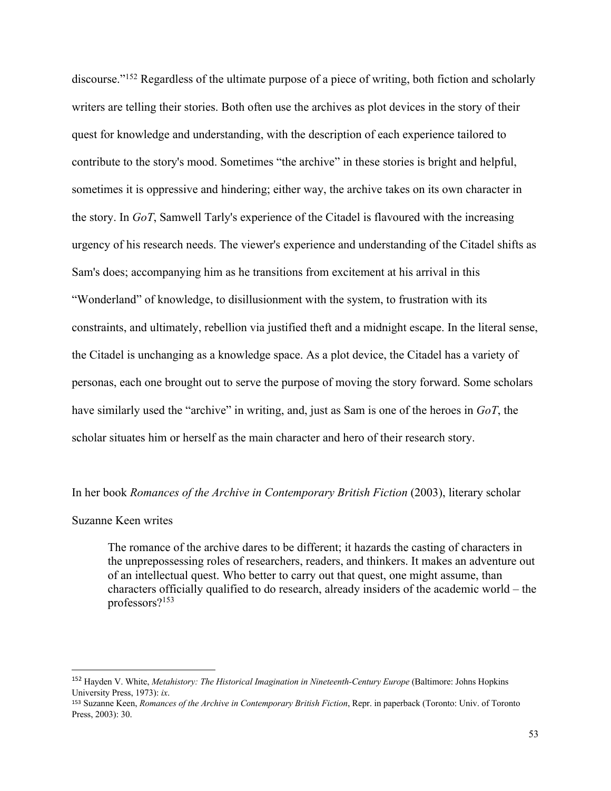discourse."152 Regardless of the ultimate purpose of a piece of writing, both fiction and scholarly writers are telling their stories. Both often use the archives as plot devices in the story of their quest for knowledge and understanding, with the description of each experience tailored to contribute to the story's mood. Sometimes "the archive" in these stories is bright and helpful, sometimes it is oppressive and hindering; either way, the archive takes on its own character in the story. In *GoT*, Samwell Tarly's experience of the Citadel is flavoured with the increasing urgency of his research needs. The viewer's experience and understanding of the Citadel shifts as Sam's does; accompanying him as he transitions from excitement at his arrival in this "Wonderland" of knowledge, to disillusionment with the system, to frustration with its constraints, and ultimately, rebellion via justified theft and a midnight escape. In the literal sense, the Citadel is unchanging as a knowledge space. As a plot device, the Citadel has a variety of personas, each one brought out to serve the purpose of moving the story forward. Some scholars have similarly used the "archive" in writing, and, just as Sam is one of the heroes in *GoT*, the scholar situates him or herself as the main character and hero of their research story.

In her book *Romances of the Archive in Contemporary British Fiction* (2003), literary scholar

#### Suzanne Keen writes

The romance of the archive dares to be different; it hazards the casting of characters in the unprepossessing roles of researchers, readers, and thinkers. It makes an adventure out of an intellectual quest. Who better to carry out that quest, one might assume, than characters officially qualified to do research, already insiders of the academic world – the professors?153

<sup>&</sup>lt;sup>152</sup> Hayden V. White, *Metahistory: The Historical Imagination in Nineteenth-Century Europe* (Baltimore: Johns Hopkins University Press, 1973): *ix*.

<sup>153</sup> Suzanne Keen, *Romances of the Archive in Contemporary British Fiction*, Repr. in paperback (Toronto: Univ. of Toronto Press, 2003): 30.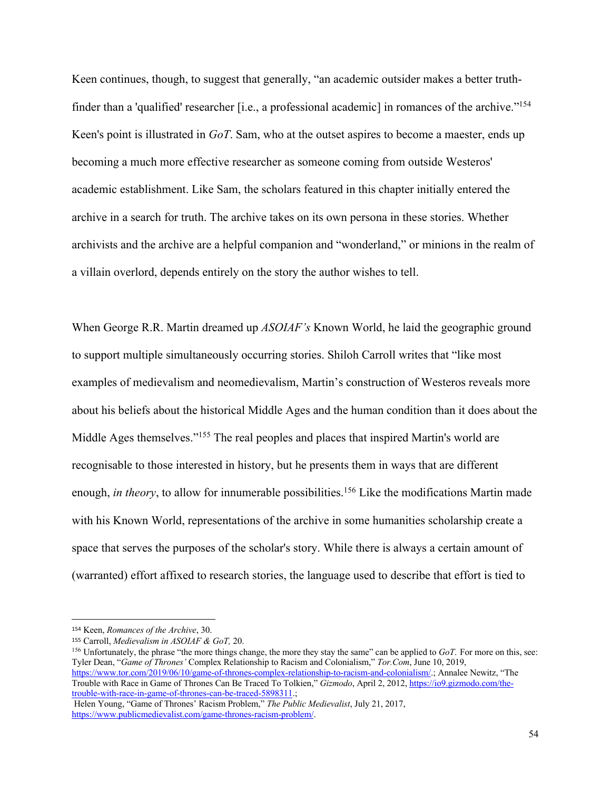Keen continues, though, to suggest that generally, "an academic outsider makes a better truthfinder than a 'qualified' researcher [i.e., a professional academic] in romances of the archive."<sup>154</sup> Keen's point is illustrated in *GoT*. Sam, who at the outset aspires to become a maester, ends up becoming a much more effective researcher as someone coming from outside Westeros' academic establishment. Like Sam, the scholars featured in this chapter initially entered the archive in a search for truth. The archive takes on its own persona in these stories. Whether archivists and the archive are a helpful companion and "wonderland," or minions in the realm of a villain overlord, depends entirely on the story the author wishes to tell.

When George R.R. Martin dreamed up *ASOIAF's* Known World, he laid the geographic ground to support multiple simultaneously occurring stories. Shiloh Carroll writes that "like most examples of medievalism and neomedievalism, Martin's construction of Westeros reveals more about his beliefs about the historical Middle Ages and the human condition than it does about the Middle Ages themselves."<sup>155</sup> The real peoples and places that inspired Martin's world are recognisable to those interested in history, but he presents them in ways that are different enough, *in theory*, to allow for innumerable possibilities.<sup>156</sup> Like the modifications Martin made with his Known World, representations of the archive in some humanities scholarship create a space that serves the purposes of the scholar's story. While there is always a certain amount of (warranted) effort affixed to research stories, the language used to describe that effort is tied to

<sup>156</sup> Unfortunately, the phrase "the more things change, the more they stay the same" can be applied to *GoT*. For more on this, see: Tyler Dean, "*Game of Thrones'* Complex Relationship to Racism and Colonialism," *Tor.Com*, June 10, 2019, https://www.tor.com/2019/06/10/game-of-thrones-complex-relationship-to-racism-and-colonialism/.; Annalee Newitz, "The Trouble with Race in Game of Thrones Can Be Traced To Tolkien," *Gizmodo*, April 2, 2012, https://io9.gizmodo.com/thetrouble-with-race-in-game-of-thrones-can-be-traced-5898311.;

Helen Young, "Game of Thrones' Racism Problem," *The Public Medievalist*, July 21, 2017, https://www.publicmedievalist.com/game-thrones-racism-problem/.

<sup>154</sup> Keen, *Romances of the Archive*, 30.

<sup>155</sup> Carroll, *Medievalism in ASOIAF & GoT,* 20.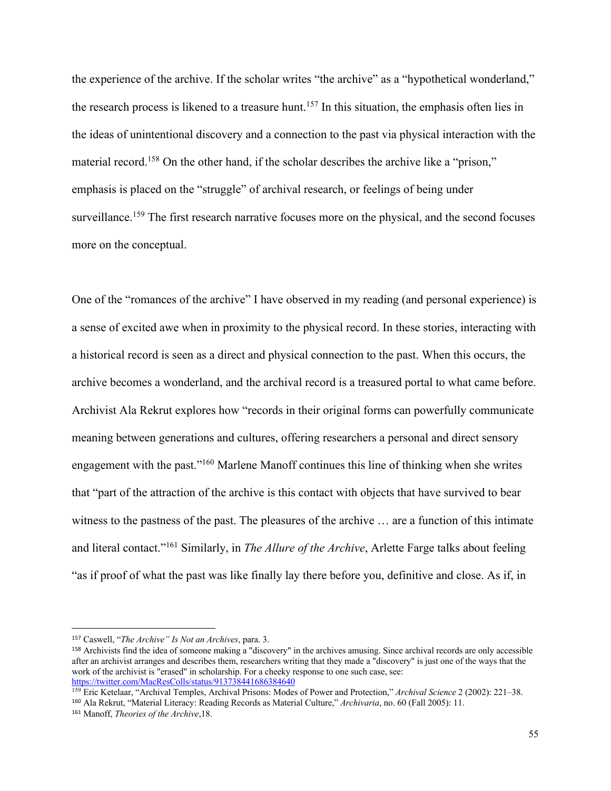the experience of the archive. If the scholar writes "the archive" as a "hypothetical wonderland," the research process is likened to a treasure hunt.<sup>157</sup> In this situation, the emphasis often lies in the ideas of unintentional discovery and a connection to the past via physical interaction with the material record.<sup>158</sup> On the other hand, if the scholar describes the archive like a "prison," emphasis is placed on the "struggle" of archival research, or feelings of being under surveillance.<sup>159</sup> The first research narrative focuses more on the physical, and the second focuses more on the conceptual.

One of the "romances of the archive" I have observed in my reading (and personal experience) is a sense of excited awe when in proximity to the physical record. In these stories, interacting with a historical record is seen as a direct and physical connection to the past. When this occurs, the archive becomes a wonderland, and the archival record is a treasured portal to what came before. Archivist Ala Rekrut explores how "records in their original forms can powerfully communicate meaning between generations and cultures, offering researchers a personal and direct sensory engagement with the past."160 Marlene Manoff continues this line of thinking when she writes that "part of the attraction of the archive is this contact with objects that have survived to bear witness to the pastness of the past. The pleasures of the archive … are a function of this intimate and literal contact."161 Similarly, in *The Allure of the Archive*, Arlette Farge talks about feeling "as if proof of what the past was like finally lay there before you, definitive and close. As if, in

<sup>157</sup> Caswell, "*The Archive" Is Not an Archives*, para. 3.

<sup>158</sup> Archivists find the idea of someone making a "discovery" in the archives amusing. Since archival records are only accessible after an archivist arranges and describes them, researchers writing that they made a "discovery" is just one of the ways that the work of the archivist is "erased" in scholarship. For a cheeky response to one such case, see: https://twitter.com/MacResColls/status/913738441686384640

<sup>159</sup> Eric Ketelaar, "Archival Temples, Archival Prisons: Modes of Power and Protection," *Archival Science* 2 (2002): 221–38. <sup>160</sup> Ala Rekrut, "Material Literacy: Reading Records as Material Culture," *Archivaria*, no. 60 (Fall 2005): 11.

<sup>161</sup> Manoff, *Theories of the Archive*,18.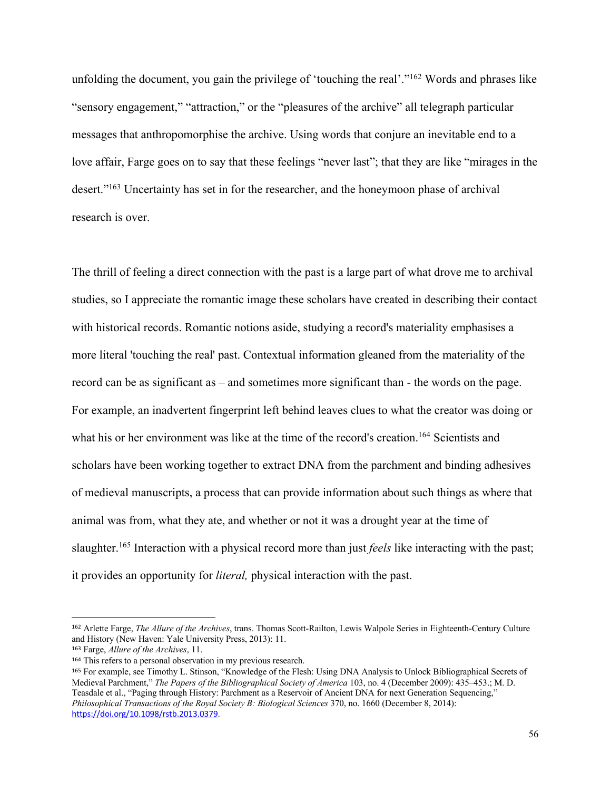unfolding the document, you gain the privilege of 'touching the real'."<sup>162</sup> Words and phrases like "sensory engagement," "attraction," or the "pleasures of the archive" all telegraph particular messages that anthropomorphise the archive. Using words that conjure an inevitable end to a love affair, Farge goes on to say that these feelings "never last"; that they are like "mirages in the desert."163 Uncertainty has set in for the researcher, and the honeymoon phase of archival research is over.

The thrill of feeling a direct connection with the past is a large part of what drove me to archival studies, so I appreciate the romantic image these scholars have created in describing their contact with historical records. Romantic notions aside, studying a record's materiality emphasises a more literal 'touching the real' past. Contextual information gleaned from the materiality of the record can be as significant as – and sometimes more significant than - the words on the page. For example, an inadvertent fingerprint left behind leaves clues to what the creator was doing or what his or her environment was like at the time of the record's creation. <sup>164</sup> Scientists and scholars have been working together to extract DNA from the parchment and binding adhesives of medieval manuscripts, a process that can provide information about such things as where that animal was from, what they ate, and whether or not it was a drought year at the time of slaughter.165 Interaction with a physical record more than just *feels* like interacting with the past; it provides an opportunity for *literal,* physical interaction with the past.

<sup>162</sup> Arlette Farge, *The Allure of the Archives*, trans. Thomas Scott-Railton, Lewis Walpole Series in Eighteenth-Century Culture and History (New Haven: Yale University Press, 2013): 11.

<sup>163</sup> Farge, *Allure of the Archives*, 11.

<sup>164</sup> This refers to a personal observation in my previous research.

<sup>165</sup> For example, see Timothy L. Stinson, "Knowledge of the Flesh: Using DNA Analysis to Unlock Bibliographical Secrets of Medieval Parchment," *The Papers of the Bibliographical Society of America* 103, no. 4 (December 2009): 435–453.; M. D. Teasdale et al., "Paging through History: Parchment as a Reservoir of Ancient DNA for next Generation Sequencing," *Philosophical Transactions of the Royal Society B: Biological Sciences* 370, no. 1660 (December 8, 2014): https://doi.org/10.1098/rstb.2013.0379.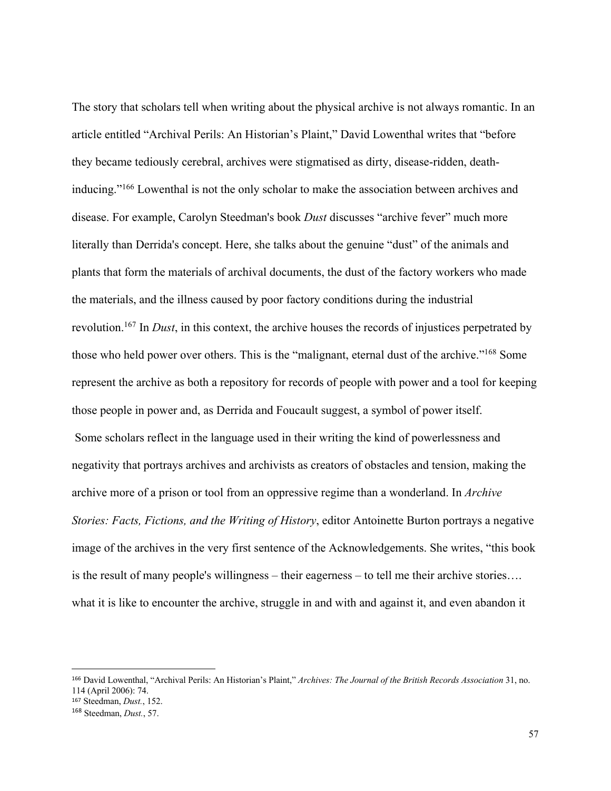The story that scholars tell when writing about the physical archive is not always romantic. In an article entitled "Archival Perils: An Historian's Plaint," David Lowenthal writes that "before they became tediously cerebral, archives were stigmatised as dirty, disease-ridden, deathinducing."166 Lowenthal is not the only scholar to make the association between archives and disease. For example, Carolyn Steedman's book *Dust* discusses "archive fever" much more literally than Derrida's concept. Here, she talks about the genuine "dust" of the animals and plants that form the materials of archival documents, the dust of the factory workers who made the materials, and the illness caused by poor factory conditions during the industrial revolution.167 In *Dust*, in this context, the archive houses the records of injustices perpetrated by those who held power over others. This is the "malignant, eternal dust of the archive."168 Some represent the archive as both a repository for records of people with power and a tool for keeping those people in power and, as Derrida and Foucault suggest, a symbol of power itself. Some scholars reflect in the language used in their writing the kind of powerlessness and negativity that portrays archives and archivists as creators of obstacles and tension, making the archive more of a prison or tool from an oppressive regime than a wonderland. In *Archive Stories: Facts, Fictions, and the Writing of History*, editor Antoinette Burton portrays a negative image of the archives in the very first sentence of the Acknowledgements. She writes, "this book is the result of many people's willingness – their eagerness – to tell me their archive stories…. what it is like to encounter the archive, struggle in and with and against it, and even abandon it

<sup>166</sup> David Lowenthal, "Archival Perils: An Historian's Plaint," *Archives: The Journal of the British Records Association* 31, no. 114 (April 2006): 74.

<sup>167</sup> Steedman, *Dust.*, 152.

<sup>168</sup> Steedman, *Dust.*, 57.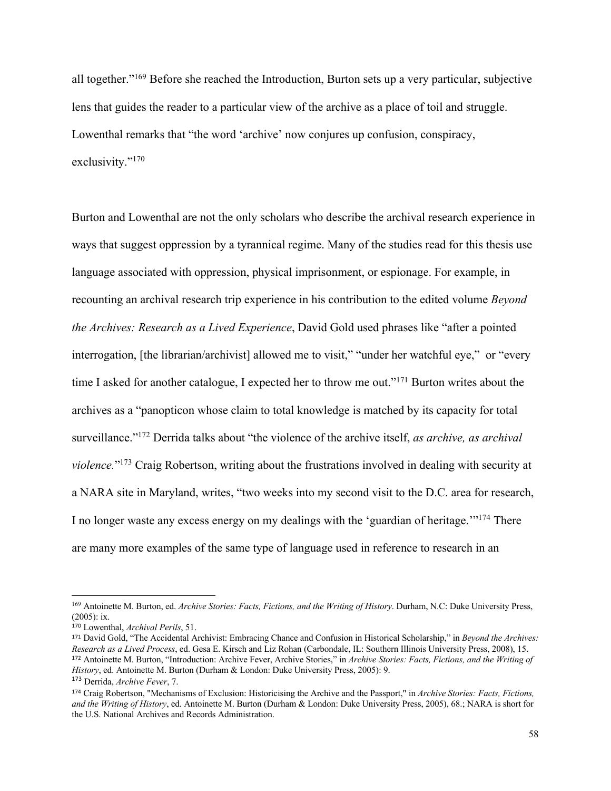all together."169 Before she reached the Introduction, Burton sets up a very particular, subjective lens that guides the reader to a particular view of the archive as a place of toil and struggle. Lowenthal remarks that "the word 'archive' now conjures up confusion, conspiracy, exclusivity."<sup>170</sup>

Burton and Lowenthal are not the only scholars who describe the archival research experience in ways that suggest oppression by a tyrannical regime. Many of the studies read for this thesis use language associated with oppression, physical imprisonment, or espionage. For example, in recounting an archival research trip experience in his contribution to the edited volume *Beyond the Archives: Research as a Lived Experience*, David Gold used phrases like "after a pointed interrogation, [the librarian/archivist] allowed me to visit," "under her watchful eye," or "every time I asked for another catalogue, I expected her to throw me out."<sup>171</sup> Burton writes about the archives as a "panopticon whose claim to total knowledge is matched by its capacity for total surveillance."172 Derrida talks about "the violence of the archive itself, *as archive, as archival violence.*"173 Craig Robertson, writing about the frustrations involved in dealing with security at a NARA site in Maryland, writes, "two weeks into my second visit to the D.C. area for research, I no longer waste any excess energy on my dealings with the 'guardian of heritage.'"174 There are many more examples of the same type of language used in reference to research in an

<sup>169</sup> Antoinette M. Burton, ed. *Archive Stories: Facts, Fictions, and the Writing of History*. Durham, N.C: Duke University Press, (2005): ix.

<sup>170</sup> Lowenthal, *Archival Perils*, 51.

<sup>171</sup> David Gold, "The Accidental Archivist: Embracing Chance and Confusion in Historical Scholarship," in *Beyond the Archives: Research as a Lived Process*, ed. Gesa E. Kirsch and Liz Rohan (Carbondale, IL: Southern Illinois University Press, 2008), 15. <sup>172</sup> Antoinette M. Burton, "Introduction: Archive Fever, Archive Stories," in *Archive Stories: Facts, Fictions, and the Writing of History*, ed. Antoinette M. Burton (Durham & London: Duke University Press, 2005): 9.

<sup>173</sup> Derrida, *Archive Fever*, 7.

<sup>174</sup> Craig Robertson, "Mechanisms of Exclusion: Historicising the Archive and the Passport," in *Archive Stories: Facts, Fictions, and the Writing of History*, ed. Antoinette M. Burton (Durham & London: Duke University Press, 2005), 68.; NARA is short for the U.S. National Archives and Records Administration.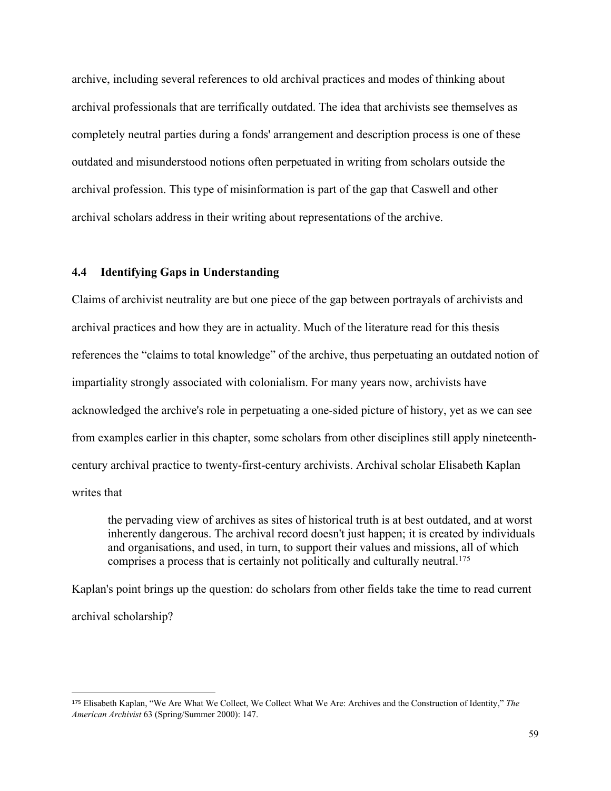archive, including several references to old archival practices and modes of thinking about archival professionals that are terrifically outdated. The idea that archivists see themselves as completely neutral parties during a fonds' arrangement and description process is one of these outdated and misunderstood notions often perpetuated in writing from scholars outside the archival profession. This type of misinformation is part of the gap that Caswell and other archival scholars address in their writing about representations of the archive.

# **4.4 Identifying Gaps in Understanding**

Claims of archivist neutrality are but one piece of the gap between portrayals of archivists and archival practices and how they are in actuality. Much of the literature read for this thesis references the "claims to total knowledge" of the archive, thus perpetuating an outdated notion of impartiality strongly associated with colonialism. For many years now, archivists have acknowledged the archive's role in perpetuating a one-sided picture of history, yet as we can see from examples earlier in this chapter, some scholars from other disciplines still apply nineteenthcentury archival practice to twenty-first-century archivists. Archival scholar Elisabeth Kaplan writes that

the pervading view of archives as sites of historical truth is at best outdated, and at worst inherently dangerous. The archival record doesn't just happen; it is created by individuals and organisations, and used, in turn, to support their values and missions, all of which comprises a process that is certainly not politically and culturally neutral.<sup>175</sup>

Kaplan's point brings up the question: do scholars from other fields take the time to read current archival scholarship?

<sup>175</sup> Elisabeth Kaplan, "We Are What We Collect, We Collect What We Are: Archives and the Construction of Identity," *The American Archivist* 63 (Spring/Summer 2000): 147.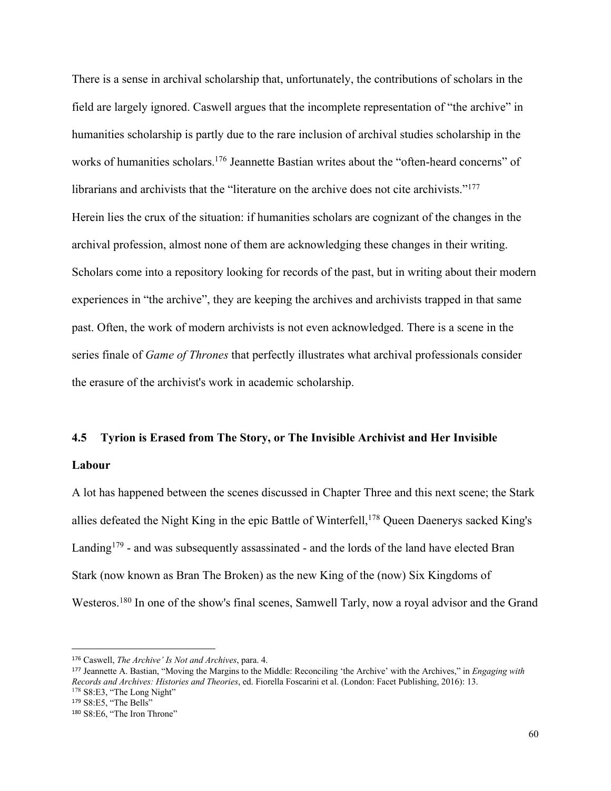There is a sense in archival scholarship that, unfortunately, the contributions of scholars in the field are largely ignored. Caswell argues that the incomplete representation of "the archive" in humanities scholarship is partly due to the rare inclusion of archival studies scholarship in the works of humanities scholars.<sup>176</sup> Jeannette Bastian writes about the "often-heard concerns" of librarians and archivists that the "literature on the archive does not cite archivists."<sup>177</sup> Herein lies the crux of the situation: if humanities scholars are cognizant of the changes in the archival profession, almost none of them are acknowledging these changes in their writing. Scholars come into a repository looking for records of the past, but in writing about their modern experiences in "the archive", they are keeping the archives and archivists trapped in that same past. Often, the work of modern archivists is not even acknowledged. There is a scene in the series finale of *Game of Thrones* that perfectly illustrates what archival professionals consider the erasure of the archivist's work in academic scholarship.

#### **4.5 Tyrion is Erased from The Story, or The Invisible Archivist and Her Invisible**

#### **Labour**

A lot has happened between the scenes discussed in Chapter Three and this next scene; the Stark allies defeated the Night King in the epic Battle of Winterfell,<sup>178</sup> Queen Daenerys sacked King's Landing<sup>179</sup> - and was subsequently assassinated - and the lords of the land have elected Bran Stark (now known as Bran The Broken) as the new King of the (now) Six Kingdoms of Westeros.180 In one of the show's final scenes, Samwell Tarly, now a royal advisor and the Grand

<sup>176</sup> Caswell, *The Archive' Is Not and Archives*, para. 4.

<sup>177</sup> Jeannette A. Bastian, "Moving the Margins to the Middle: Reconciling 'the Archive' with the Archives," in *Engaging with Records and Archives: Histories and Theories*, ed. Fiorella Foscarini et al. (London: Facet Publishing, 2016): 13. <sup>178</sup> S8:E3, "The Long Night"

<sup>179</sup> S8:E5, "The Bells"

<sup>180</sup> S8:E6, "The Iron Throne"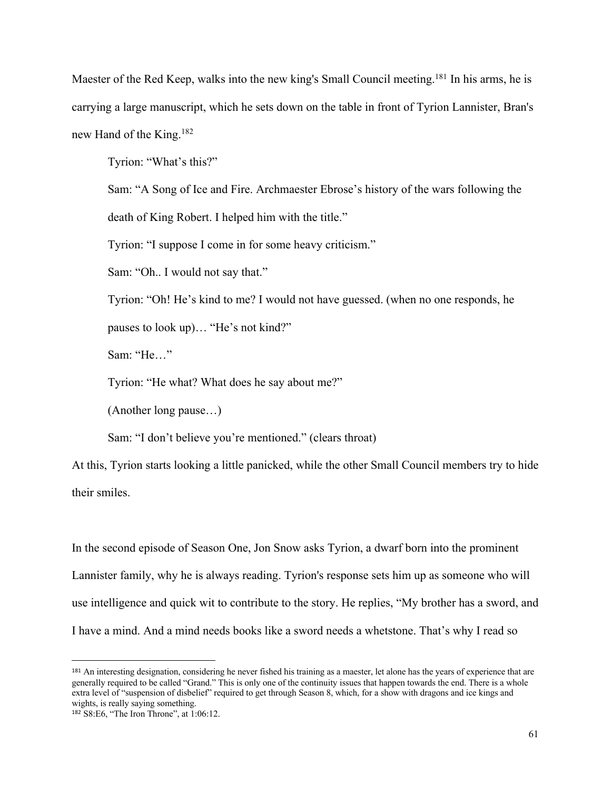Maester of the Red Keep, walks into the new king's Small Council meeting.<sup>181</sup> In his arms, he is carrying a large manuscript, which he sets down on the table in front of Tyrion Lannister, Bran's new Hand of the King.182

Tyrion: "What's this?"

Sam: "A Song of Ice and Fire. Archmaester Ebrose's history of the wars following the

death of King Robert. I helped him with the title."

Tyrion: "I suppose I come in for some heavy criticism."

Sam: "Oh.. I would not say that."

Tyrion: "Oh! He's kind to me? I would not have guessed. (when no one responds, he

pauses to look up)… "He's not kind?"

Sam: "He…"

Tyrion: "He what? What does he say about me?"

(Another long pause…)

Sam: "I don't believe you're mentioned." (clears throat)

At this, Tyrion starts looking a little panicked, while the other Small Council members try to hide their smiles.

In the second episode of Season One, Jon Snow asks Tyrion, a dwarf born into the prominent Lannister family, why he is always reading. Tyrion's response sets him up as someone who will use intelligence and quick wit to contribute to the story. He replies, "My brother has a sword, and I have a mind. And a mind needs books like a sword needs a whetstone. That's why I read so

<sup>&</sup>lt;sup>181</sup> An interesting designation, considering he never fished his training as a maester, let alone has the years of experience that are generally required to be called "Grand." This is only one of the continuity issues that happen towards the end. There is a whole extra level of "suspension of disbelief" required to get through Season 8, which, for a show with dragons and ice kings and wights, is really saying something.

<sup>182</sup> S8:E6, "The Iron Throne", at 1:06:12.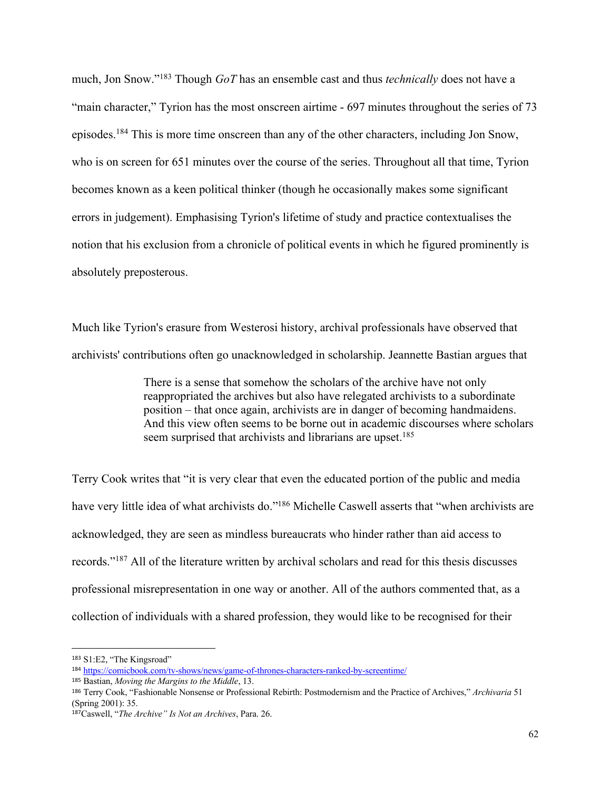much, Jon Snow."183 Though *GoT* has an ensemble cast and thus *technically* does not have a "main character," Tyrion has the most onscreen airtime - 697 minutes throughout the series of 73 episodes.184 This is more time onscreen than any of the other characters, including Jon Snow, who is on screen for 651 minutes over the course of the series. Throughout all that time, Tyrion becomes known as a keen political thinker (though he occasionally makes some significant errors in judgement). Emphasising Tyrion's lifetime of study and practice contextualises the notion that his exclusion from a chronicle of political events in which he figured prominently is absolutely preposterous.

Much like Tyrion's erasure from Westerosi history, archival professionals have observed that archivists' contributions often go unacknowledged in scholarship. Jeannette Bastian argues that

> There is a sense that somehow the scholars of the archive have not only reappropriated the archives but also have relegated archivists to a subordinate position – that once again, archivists are in danger of becoming handmaidens. And this view often seems to be borne out in academic discourses where scholars seem surprised that archivists and librarians are upset.<sup>185</sup>

Terry Cook writes that "it is very clear that even the educated portion of the public and media have very little idea of what archivists do."<sup>186</sup> Michelle Caswell asserts that "when archivists are acknowledged, they are seen as mindless bureaucrats who hinder rather than aid access to records."187 All of the literature written by archival scholars and read for this thesis discusses professional misrepresentation in one way or another. All of the authors commented that, as a collection of individuals with a shared profession, they would like to be recognised for their

<sup>183</sup> S1:E2, "The Kingsroad"

<sup>184</sup> https://comicbook.com/tv-shows/news/game-of-thrones-characters-ranked-by-screentime/

<sup>185</sup> Bastian, *Moving the Margins to the Middle*, 13.

<sup>186</sup> Terry Cook, "Fashionable Nonsense or Professional Rebirth: Postmodernism and the Practice of Archives," *Archivaria* 51 (Spring 2001): 35.

<sup>187</sup>Caswell, "*The Archive" Is Not an Archives*, Para. 26.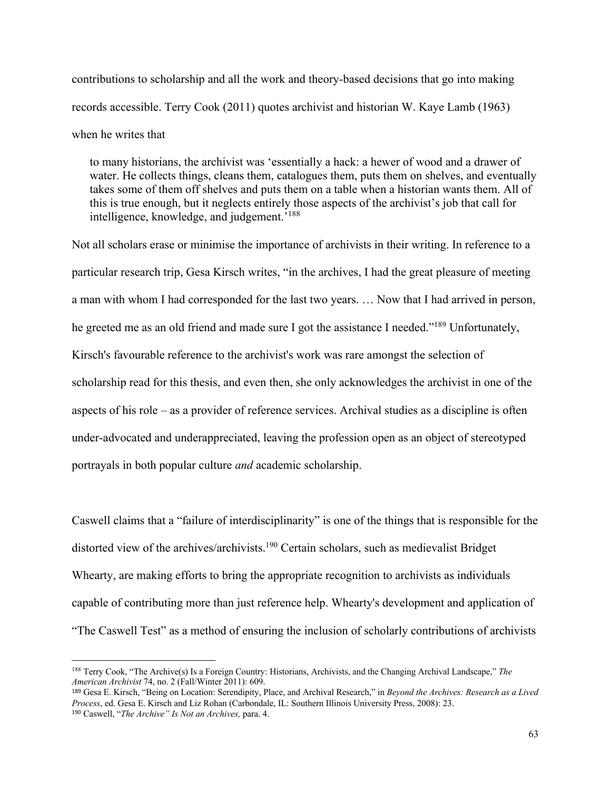contributions to scholarship and all the work and theory-based decisions that go into making records accessible. Terry Cook (2011) quotes archivist and historian W. Kaye Lamb (1963) when he writes that

to many historians, the archivist was 'essentially a hack: a hewer of wood and a drawer of water. He collects things, cleans them, catalogues them, puts them on shelves, and eventually takes some of them off shelves and puts them on a table when a historian wants them. All of this is true enough, but it neglects entirely those aspects of the archivist's job that call for intelligence, knowledge, and judgement.'188

Not all scholars erase or minimise the importance of archivists in their writing. In reference to a particular research trip, Gesa Kirsch writes, "in the archives, I had the great pleasure of meeting a man with whom I had corresponded for the last two years. … Now that I had arrived in person, he greeted me as an old friend and made sure I got the assistance I needed."<sup>189</sup> Unfortunately, Kirsch's favourable reference to the archivist's work was rare amongst the selection of scholarship read for this thesis, and even then, she only acknowledges the archivist in one of the aspects of his role – as a provider of reference services. Archival studies as a discipline is often under-advocated and underappreciated, leaving the profession open as an object of stereotyped portrayals in both popular culture *and* academic scholarship.

Caswell claims that a "failure of interdisciplinarity" is one of the things that is responsible for the distorted view of the archives/archivists.<sup>190</sup> Certain scholars, such as medievalist Bridget Whearty, are making efforts to bring the appropriate recognition to archivists as individuals capable of contributing more than just reference help. Whearty's development and application of "The Caswell Test" as a method of ensuring the inclusion of scholarly contributions of archivists

<sup>188</sup> Terry Cook, "The Archive(s) Is a Foreign Country: Historians, Archivists, and the Changing Archival Landscape," *The American Archivist* 74, no. 2 (Fall/Winter 2011): 609.

<sup>189</sup> Gesa E. Kirsch, "Being on Location: Serendipity, Place, and Archival Research," in *Beyond the Archives: Research as a Lived Process*, ed. Gesa E. Kirsch and Liz Rohan (Carbondale, IL: Southern Illinois University Press, 2008): 23. <sup>190</sup> Caswell, "*The Archive" Is Not an Archives,* para. 4.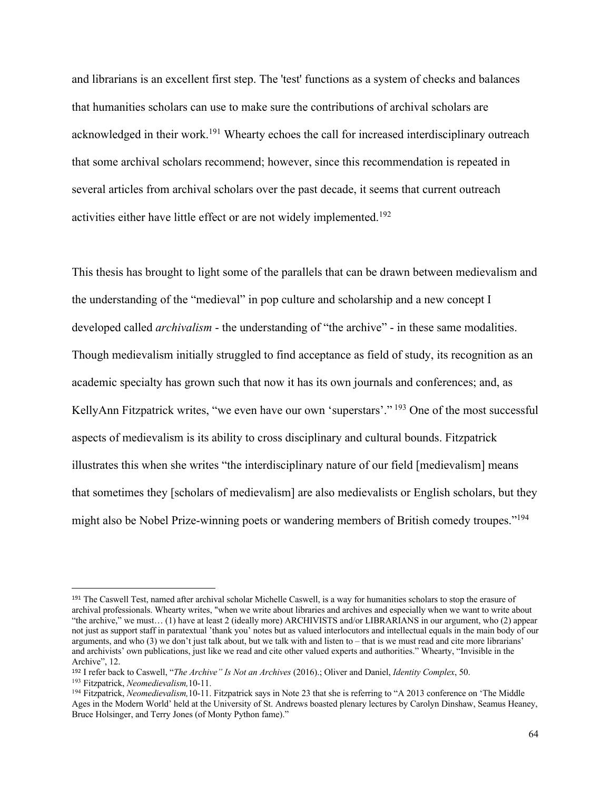and librarians is an excellent first step. The 'test' functions as a system of checks and balances that humanities scholars can use to make sure the contributions of archival scholars are acknowledged in their work.<sup>191</sup> Whearty echoes the call for increased interdisciplinary outreach that some archival scholars recommend; however, since this recommendation is repeated in several articles from archival scholars over the past decade, it seems that current outreach activities either have little effect or are not widely implemented.192

This thesis has brought to light some of the parallels that can be drawn between medievalism and the understanding of the "medieval" in pop culture and scholarship and a new concept I developed called *archivalism* - the understanding of "the archive" - in these same modalities. Though medievalism initially struggled to find acceptance as field of study, its recognition as an academic specialty has grown such that now it has its own journals and conferences; and, as KellyAnn Fitzpatrick writes, "we even have our own 'superstars'."<sup>193</sup> One of the most successful aspects of medievalism is its ability to cross disciplinary and cultural bounds. Fitzpatrick illustrates this when she writes "the interdisciplinary nature of our field [medievalism] means that sometimes they [scholars of medievalism] are also medievalists or English scholars, but they might also be Nobel Prize-winning poets or wandering members of British comedy troupes."194

<sup>191</sup> The Caswell Test, named after archival scholar Michelle Caswell, is a way for humanities scholars to stop the erasure of archival professionals. Whearty writes, "when we write about libraries and archives and especially when we want to write about "the archive," we must… (1) have at least 2 (ideally more) ARCHIVISTS and/or LIBRARIANS in our argument, who (2) appear not just as support staff in paratextual 'thank you' notes but as valued interlocutors and intellectual equals in the main body of our arguments, and who (3) we don't just talk about, but we talk with and listen to – that is we must read and cite more librarians' and archivists' own publications, just like we read and cite other valued experts and authorities." Whearty, "Invisible in the Archive", 12.

<sup>192</sup> I refer back to Caswell, "*The Archive" Is Not an Archives* (2016).; Oliver and Daniel, *Identity Complex*, 50.

<sup>193</sup> Fitzpatrick, *Neomedievalism,*10-11.

<sup>194</sup> Fitzpatrick, *Neomedievalism,*10-11. Fitzpatrick says in Note 23 that she is referring to "A 2013 conference on 'The Middle Ages in the Modern World' held at the University of St. Andrews boasted plenary lectures by Carolyn Dinshaw, Seamus Heaney, Bruce Holsinger, and Terry Jones (of Monty Python fame)."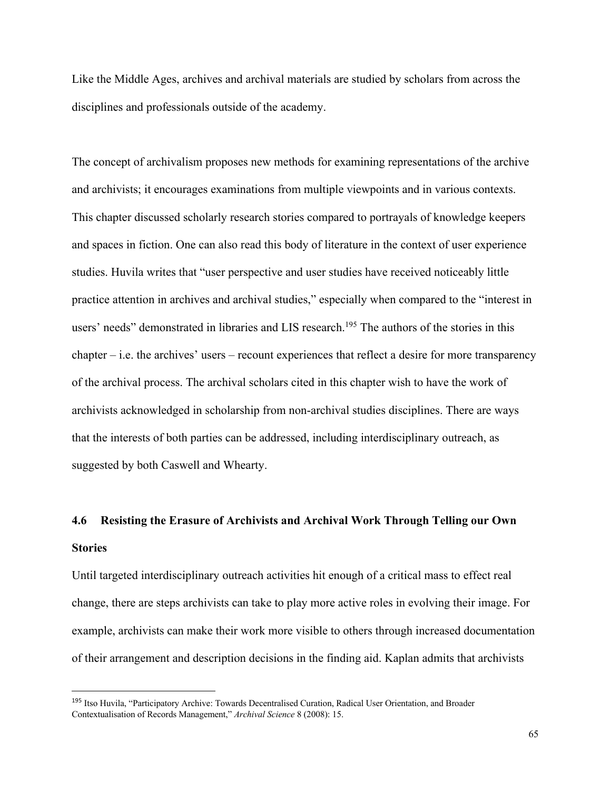Like the Middle Ages, archives and archival materials are studied by scholars from across the disciplines and professionals outside of the academy.

The concept of archivalism proposes new methods for examining representations of the archive and archivists; it encourages examinations from multiple viewpoints and in various contexts. This chapter discussed scholarly research stories compared to portrayals of knowledge keepers and spaces in fiction. One can also read this body of literature in the context of user experience studies. Huvila writes that "user perspective and user studies have received noticeably little practice attention in archives and archival studies," especially when compared to the "interest in users' needs" demonstrated in libraries and LIS research.<sup>195</sup> The authors of the stories in this chapter – i.e. the archives' users – recount experiences that reflect a desire for more transparency of the archival process. The archival scholars cited in this chapter wish to have the work of archivists acknowledged in scholarship from non-archival studies disciplines. There are ways that the interests of both parties can be addressed, including interdisciplinary outreach, as suggested by both Caswell and Whearty.

# **4.6 Resisting the Erasure of Archivists and Archival Work Through Telling our Own Stories**

Until targeted interdisciplinary outreach activities hit enough of a critical mass to effect real change, there are steps archivists can take to play more active roles in evolving their image. For example, archivists can make their work more visible to others through increased documentation of their arrangement and description decisions in the finding aid. Kaplan admits that archivists

<sup>195</sup> Itso Huvila, "Participatory Archive: Towards Decentralised Curation, Radical User Orientation, and Broader Contextualisation of Records Management," *Archival Science* 8 (2008): 15.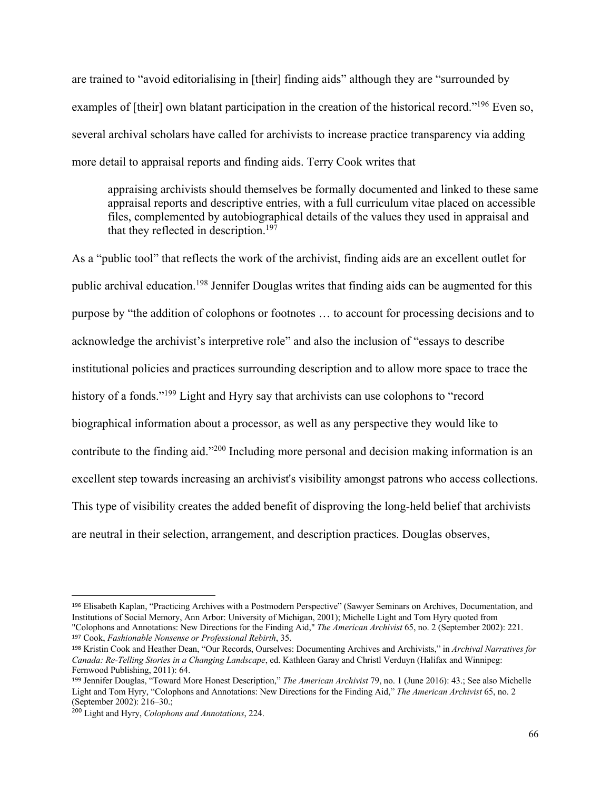are trained to "avoid editorialising in [their] finding aids" although they are "surrounded by examples of [their] own blatant participation in the creation of the historical record."<sup>196</sup> Even so, several archival scholars have called for archivists to increase practice transparency via adding more detail to appraisal reports and finding aids. Terry Cook writes that

appraising archivists should themselves be formally documented and linked to these same appraisal reports and descriptive entries, with a full curriculum vitae placed on accessible files, complemented by autobiographical details of the values they used in appraisal and that they reflected in description.<sup>197</sup>

As a "public tool" that reflects the work of the archivist, finding aids are an excellent outlet for public archival education.<sup>198</sup> Jennifer Douglas writes that finding aids can be augmented for this purpose by "the addition of colophons or footnotes … to account for processing decisions and to acknowledge the archivist's interpretive role" and also the inclusion of "essays to describe institutional policies and practices surrounding description and to allow more space to trace the history of a fonds."<sup>199</sup> Light and Hyry say that archivists can use colophons to "record biographical information about a processor, as well as any perspective they would like to contribute to the finding aid."200 Including more personal and decision making information is an excellent step towards increasing an archivist's visibility amongst patrons who access collections. This type of visibility creates the added benefit of disproving the long-held belief that archivists are neutral in their selection, arrangement, and description practices. Douglas observes,

<sup>196</sup> Elisabeth Kaplan, "Practicing Archives with a Postmodern Perspective" (Sawyer Seminars on Archives, Documentation, and Institutions of Social Memory, Ann Arbor: University of Michigan, 2001); Michelle Light and Tom Hyry quoted from "Colophons and Annotations: New Directions for the Finding Aid," *The American Archivist* 65, no. 2 (September 2002): 221. <sup>197</sup> Cook, *Fashionable Nonsense or Professional Rebirth*, 35.

<sup>198</sup> Kristin Cook and Heather Dean, "Our Records, Ourselves: Documenting Archives and Archivists," in *Archival Narratives for Canada: Re-Telling Stories in a Changing Landscape*, ed. Kathleen Garay and Christl Verduyn (Halifax and Winnipeg: Fernwood Publishing, 2011): 64.

<sup>199</sup> Jennifer Douglas, "Toward More Honest Description," *The American Archivist* 79, no. 1 (June 2016): 43.; See also Michelle Light and Tom Hyry, "Colophons and Annotations: New Directions for the Finding Aid," *The American Archivist* 65, no. 2 (September 2002): 216–30.;

<sup>200</sup> Light and Hyry, *Colophons and Annotations*, 224.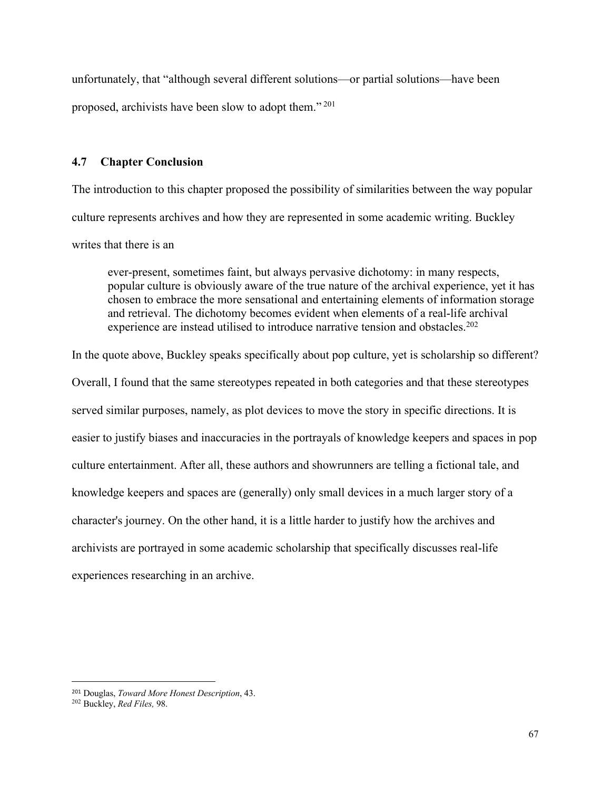unfortunately, that "although several different solutions—or partial solutions—have been proposed, archivists have been slow to adopt them." <sup>201</sup>

## **4.7 Chapter Conclusion**

The introduction to this chapter proposed the possibility of similarities between the way popular culture represents archives and how they are represented in some academic writing. Buckley writes that there is an

ever-present, sometimes faint, but always pervasive dichotomy: in many respects, popular culture is obviously aware of the true nature of the archival experience, yet it has chosen to embrace the more sensational and entertaining elements of information storage and retrieval. The dichotomy becomes evident when elements of a real-life archival experience are instead utilised to introduce narrative tension and obstacles.<sup>202</sup>

In the quote above, Buckley speaks specifically about pop culture, yet is scholarship so different? Overall, I found that the same stereotypes repeated in both categories and that these stereotypes served similar purposes, namely, as plot devices to move the story in specific directions. It is easier to justify biases and inaccuracies in the portrayals of knowledge keepers and spaces in pop culture entertainment. After all, these authors and showrunners are telling a fictional tale, and knowledge keepers and spaces are (generally) only small devices in a much larger story of a character's journey. On the other hand, it is a little harder to justify how the archives and archivists are portrayed in some academic scholarship that specifically discusses real-life experiences researching in an archive.

<sup>201</sup> Douglas, *Toward More Honest Description*, 43.

<sup>202</sup> Buckley, *Red Files,* 98.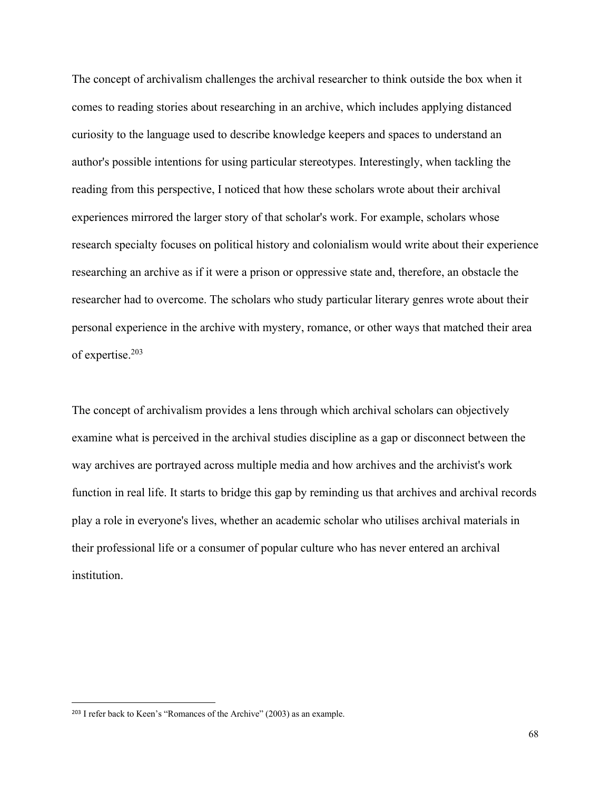The concept of archivalism challenges the archival researcher to think outside the box when it comes to reading stories about researching in an archive, which includes applying distanced curiosity to the language used to describe knowledge keepers and spaces to understand an author's possible intentions for using particular stereotypes. Interestingly, when tackling the reading from this perspective, I noticed that how these scholars wrote about their archival experiences mirrored the larger story of that scholar's work. For example, scholars whose research specialty focuses on political history and colonialism would write about their experience researching an archive as if it were a prison or oppressive state and, therefore, an obstacle the researcher had to overcome. The scholars who study particular literary genres wrote about their personal experience in the archive with mystery, romance, or other ways that matched their area of expertise.203

The concept of archivalism provides a lens through which archival scholars can objectively examine what is perceived in the archival studies discipline as a gap or disconnect between the way archives are portrayed across multiple media and how archives and the archivist's work function in real life. It starts to bridge this gap by reminding us that archives and archival records play a role in everyone's lives, whether an academic scholar who utilises archival materials in their professional life or a consumer of popular culture who has never entered an archival institution.

<sup>203</sup> I refer back to Keen's "Romances of the Archive" (2003) as an example.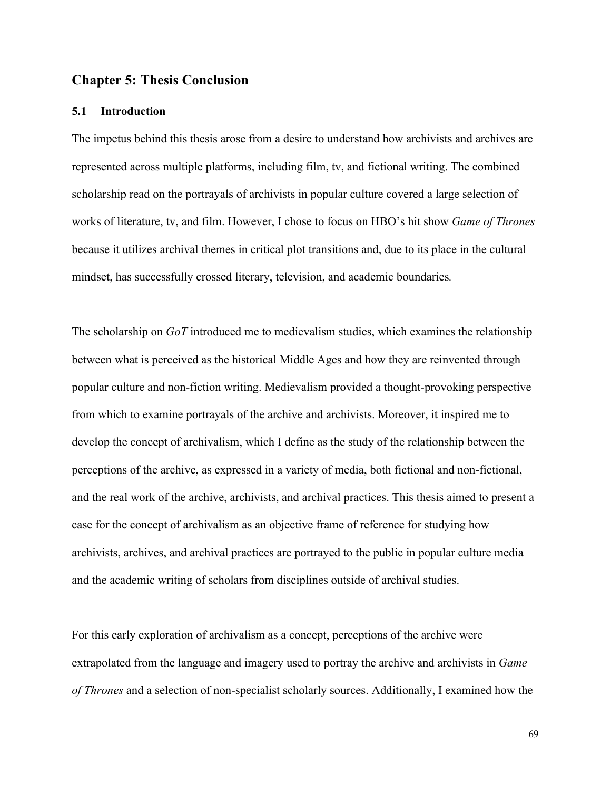## **Chapter 5: Thesis Conclusion**

#### **5.1 Introduction**

The impetus behind this thesis arose from a desire to understand how archivists and archives are represented across multiple platforms, including film, tv, and fictional writing. The combined scholarship read on the portrayals of archivists in popular culture covered a large selection of works of literature, tv, and film. However, I chose to focus on HBO's hit show *Game of Thrones* because it utilizes archival themes in critical plot transitions and, due to its place in the cultural mindset, has successfully crossed literary, television, and academic boundaries*.*

The scholarship on *GoT* introduced me to medievalism studies, which examines the relationship between what is perceived as the historical Middle Ages and how they are reinvented through popular culture and non-fiction writing. Medievalism provided a thought-provoking perspective from which to examine portrayals of the archive and archivists. Moreover, it inspired me to develop the concept of archivalism, which I define as the study of the relationship between the perceptions of the archive, as expressed in a variety of media, both fictional and non-fictional, and the real work of the archive, archivists, and archival practices. This thesis aimed to present a case for the concept of archivalism as an objective frame of reference for studying how archivists, archives, and archival practices are portrayed to the public in popular culture media and the academic writing of scholars from disciplines outside of archival studies.

For this early exploration of archivalism as a concept, perceptions of the archive were extrapolated from the language and imagery used to portray the archive and archivists in *Game of Thrones* and a selection of non-specialist scholarly sources. Additionally, I examined how the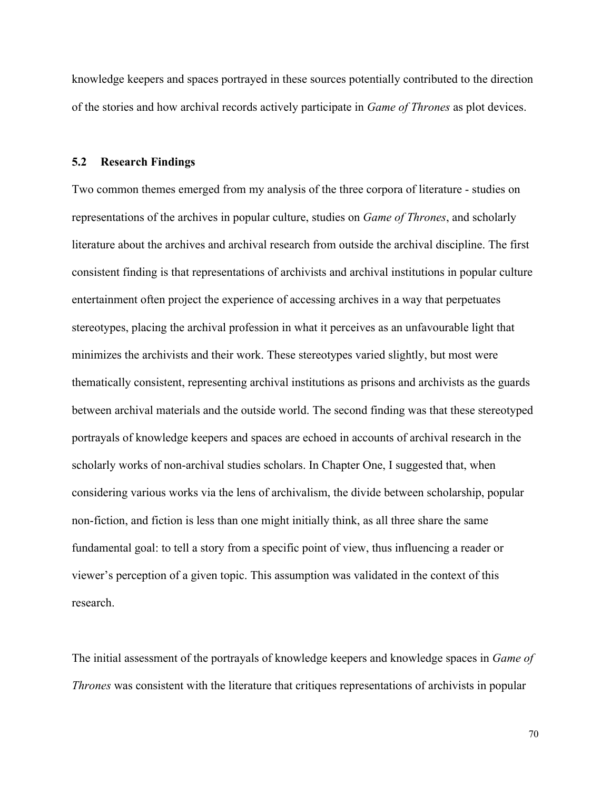knowledge keepers and spaces portrayed in these sources potentially contributed to the direction of the stories and how archival records actively participate in *Game of Thrones* as plot devices.

### **5.2 Research Findings**

Two common themes emerged from my analysis of the three corpora of literature - studies on representations of the archives in popular culture, studies on *Game of Thrones*, and scholarly literature about the archives and archival research from outside the archival discipline. The first consistent finding is that representations of archivists and archival institutions in popular culture entertainment often project the experience of accessing archives in a way that perpetuates stereotypes, placing the archival profession in what it perceives as an unfavourable light that minimizes the archivists and their work. These stereotypes varied slightly, but most were thematically consistent, representing archival institutions as prisons and archivists as the guards between archival materials and the outside world. The second finding was that these stereotyped portrayals of knowledge keepers and spaces are echoed in accounts of archival research in the scholarly works of non-archival studies scholars. In Chapter One, I suggested that, when considering various works via the lens of archivalism, the divide between scholarship, popular non-fiction, and fiction is less than one might initially think, as all three share the same fundamental goal: to tell a story from a specific point of view, thus influencing a reader or viewer's perception of a given topic. This assumption was validated in the context of this research.

The initial assessment of the portrayals of knowledge keepers and knowledge spaces in *Game of Thrones* was consistent with the literature that critiques representations of archivists in popular

70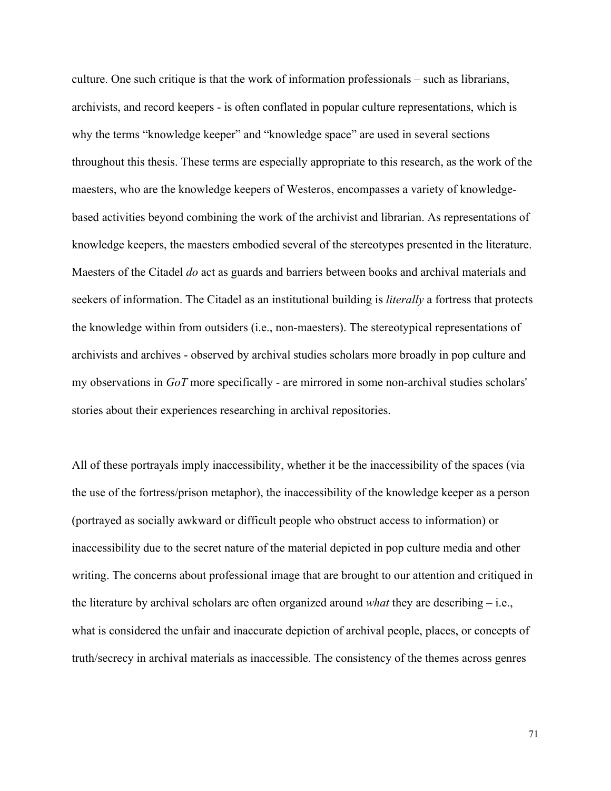culture. One such critique is that the work of information professionals – such as librarians, archivists, and record keepers - is often conflated in popular culture representations, which is why the terms "knowledge keeper" and "knowledge space" are used in several sections throughout this thesis. These terms are especially appropriate to this research, as the work of the maesters, who are the knowledge keepers of Westeros, encompasses a variety of knowledgebased activities beyond combining the work of the archivist and librarian. As representations of knowledge keepers, the maesters embodied several of the stereotypes presented in the literature. Maesters of the Citadel *do* act as guards and barriers between books and archival materials and seekers of information. The Citadel as an institutional building is *literally* a fortress that protects the knowledge within from outsiders (i.e., non-maesters). The stereotypical representations of archivists and archives - observed by archival studies scholars more broadly in pop culture and my observations in *GoT* more specifically - are mirrored in some non-archival studies scholars' stories about their experiences researching in archival repositories.

All of these portrayals imply inaccessibility, whether it be the inaccessibility of the spaces (via the use of the fortress/prison metaphor), the inaccessibility of the knowledge keeper as a person (portrayed as socially awkward or difficult people who obstruct access to information) or inaccessibility due to the secret nature of the material depicted in pop culture media and other writing. The concerns about professional image that are brought to our attention and critiqued in the literature by archival scholars are often organized around *what* they are describing – i.e., what is considered the unfair and inaccurate depiction of archival people, places, or concepts of truth/secrecy in archival materials as inaccessible. The consistency of the themes across genres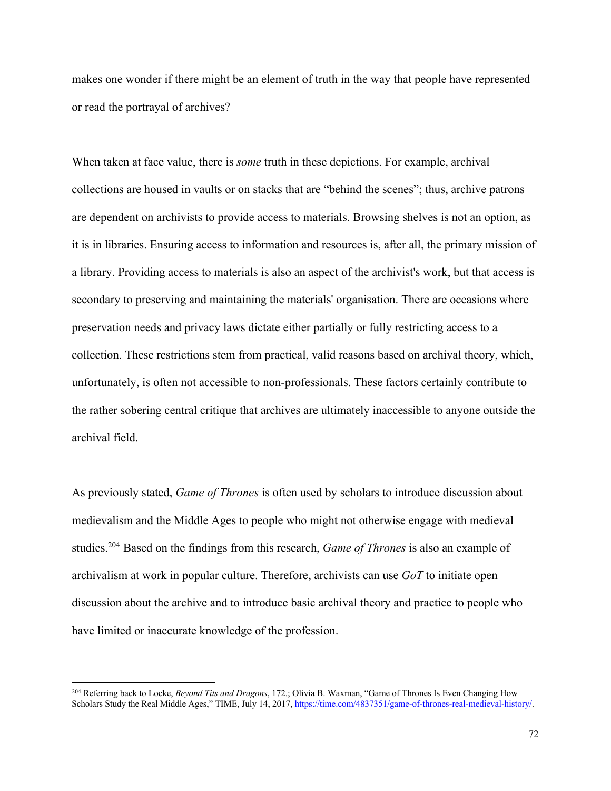makes one wonder if there might be an element of truth in the way that people have represented or read the portrayal of archives?

When taken at face value, there is *some* truth in these depictions. For example, archival collections are housed in vaults or on stacks that are "behind the scenes"; thus, archive patrons are dependent on archivists to provide access to materials. Browsing shelves is not an option, as it is in libraries. Ensuring access to information and resources is, after all, the primary mission of a library. Providing access to materials is also an aspect of the archivist's work, but that access is secondary to preserving and maintaining the materials' organisation. There are occasions where preservation needs and privacy laws dictate either partially or fully restricting access to a collection. These restrictions stem from practical, valid reasons based on archival theory, which, unfortunately, is often not accessible to non-professionals. These factors certainly contribute to the rather sobering central critique that archives are ultimately inaccessible to anyone outside the archival field.

As previously stated, *Game of Thrones* is often used by scholars to introduce discussion about medievalism and the Middle Ages to people who might not otherwise engage with medieval studies.204 Based on the findings from this research, *Game of Thrones* is also an example of archivalism at work in popular culture. Therefore, archivists can use *GoT* to initiate open discussion about the archive and to introduce basic archival theory and practice to people who have limited or inaccurate knowledge of the profession.

<sup>204</sup> Referring back to Locke, *Beyond Tits and Dragons*, 172.; Olivia B. Waxman, "Game of Thrones Is Even Changing How Scholars Study the Real Middle Ages," TIME, July 14, 2017, https://time.com/4837351/game-of-thrones-real-medieval-history/.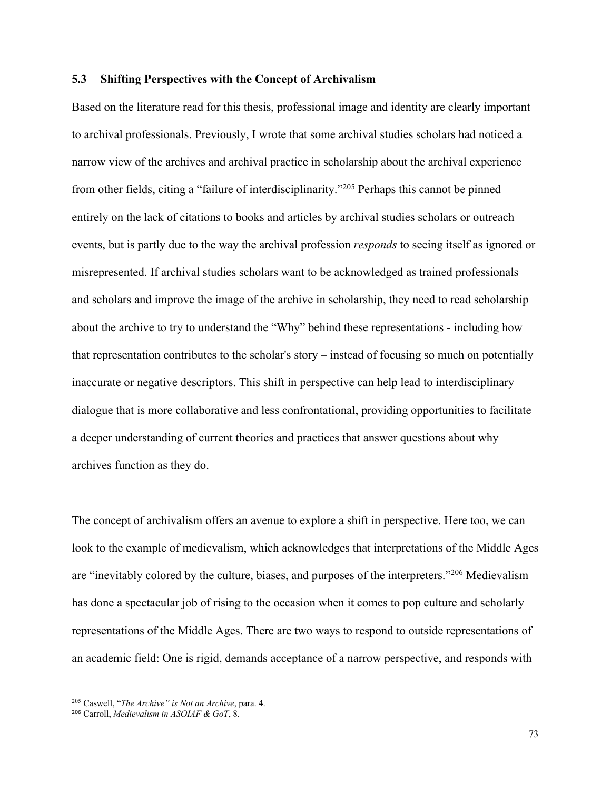## **5.3 Shifting Perspectives with the Concept of Archivalism**

Based on the literature read for this thesis, professional image and identity are clearly important to archival professionals. Previously, I wrote that some archival studies scholars had noticed a narrow view of the archives and archival practice in scholarship about the archival experience from other fields, citing a "failure of interdisciplinarity."205 Perhaps this cannot be pinned entirely on the lack of citations to books and articles by archival studies scholars or outreach events, but is partly due to the way the archival profession *responds* to seeing itself as ignored or misrepresented. If archival studies scholars want to be acknowledged as trained professionals and scholars and improve the image of the archive in scholarship, they need to read scholarship about the archive to try to understand the "Why" behind these representations - including how that representation contributes to the scholar's story – instead of focusing so much on potentially inaccurate or negative descriptors. This shift in perspective can help lead to interdisciplinary dialogue that is more collaborative and less confrontational, providing opportunities to facilitate a deeper understanding of current theories and practices that answer questions about why archives function as they do.

The concept of archivalism offers an avenue to explore a shift in perspective. Here too, we can look to the example of medievalism, which acknowledges that interpretations of the Middle Ages are "inevitably colored by the culture, biases, and purposes of the interpreters."206 Medievalism has done a spectacular job of rising to the occasion when it comes to pop culture and scholarly representations of the Middle Ages. There are two ways to respond to outside representations of an academic field: One is rigid, demands acceptance of a narrow perspective, and responds with

<sup>205</sup> Caswell, "*The Archive" is Not an Archive*, para. 4.

<sup>206</sup> Carroll, *Medievalism in ASOIAF & GoT*, 8.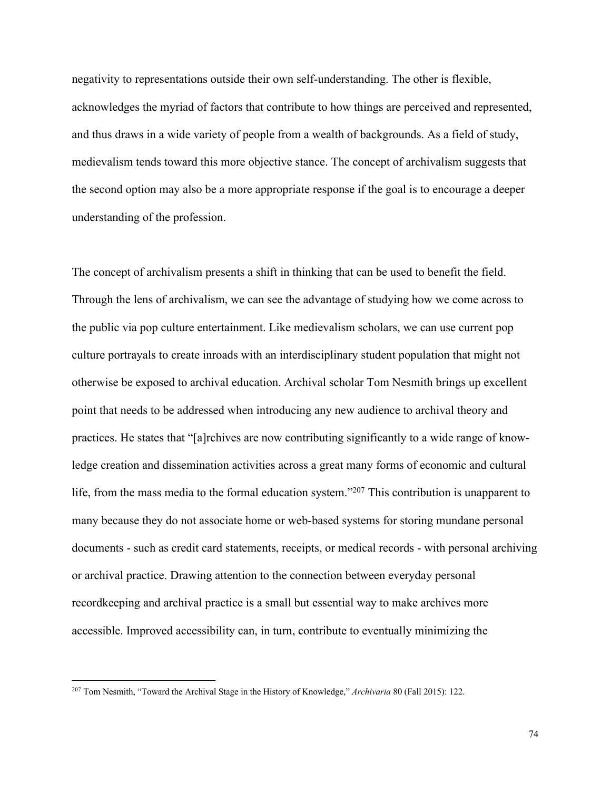negativity to representations outside their own self-understanding. The other is flexible, acknowledges the myriad of factors that contribute to how things are perceived and represented, and thus draws in a wide variety of people from a wealth of backgrounds. As a field of study, medievalism tends toward this more objective stance. The concept of archivalism suggests that the second option may also be a more appropriate response if the goal is to encourage a deeper understanding of the profession.

The concept of archivalism presents a shift in thinking that can be used to benefit the field. Through the lens of archivalism, we can see the advantage of studying how we come across to the public via pop culture entertainment. Like medievalism scholars, we can use current pop culture portrayals to create inroads with an interdisciplinary student population that might not otherwise be exposed to archival education. Archival scholar Tom Nesmith brings up excellent point that needs to be addressed when introducing any new audience to archival theory and practices. He states that "[a]rchives are now contributing significantly to a wide range of knowledge creation and dissemination activities across a great many forms of economic and cultural life, from the mass media to the formal education system."<sup>207</sup> This contribution is unapparent to many because they do not associate home or web-based systems for storing mundane personal documents - such as credit card statements, receipts, or medical records - with personal archiving or archival practice. Drawing attention to the connection between everyday personal recordkeeping and archival practice is a small but essential way to make archives more accessible. Improved accessibility can, in turn, contribute to eventually minimizing the

74

<sup>207</sup> Tom Nesmith, "Toward the Archival Stage in the History of Knowledge," *Archivaria* 80 (Fall 2015): 122.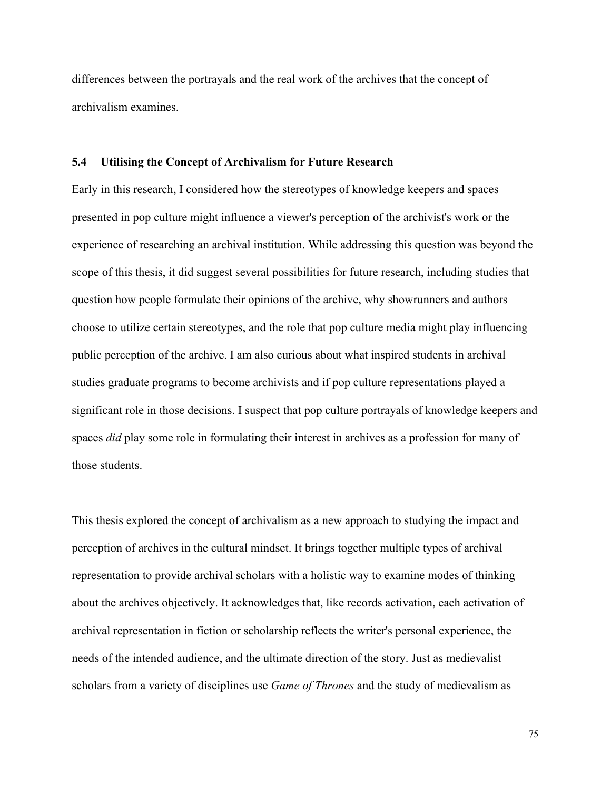differences between the portrayals and the real work of the archives that the concept of archivalism examines.

## **5.4 Utilising the Concept of Archivalism for Future Research**

Early in this research, I considered how the stereotypes of knowledge keepers and spaces presented in pop culture might influence a viewer's perception of the archivist's work or the experience of researching an archival institution. While addressing this question was beyond the scope of this thesis, it did suggest several possibilities for future research, including studies that question how people formulate their opinions of the archive, why showrunners and authors choose to utilize certain stereotypes, and the role that pop culture media might play influencing public perception of the archive. I am also curious about what inspired students in archival studies graduate programs to become archivists and if pop culture representations played a significant role in those decisions. I suspect that pop culture portrayals of knowledge keepers and spaces *did* play some role in formulating their interest in archives as a profession for many of those students.

This thesis explored the concept of archivalism as a new approach to studying the impact and perception of archives in the cultural mindset. It brings together multiple types of archival representation to provide archival scholars with a holistic way to examine modes of thinking about the archives objectively. It acknowledges that, like records activation, each activation of archival representation in fiction or scholarship reflects the writer's personal experience, the needs of the intended audience, and the ultimate direction of the story. Just as medievalist scholars from a variety of disciplines use *Game of Thrones* and the study of medievalism as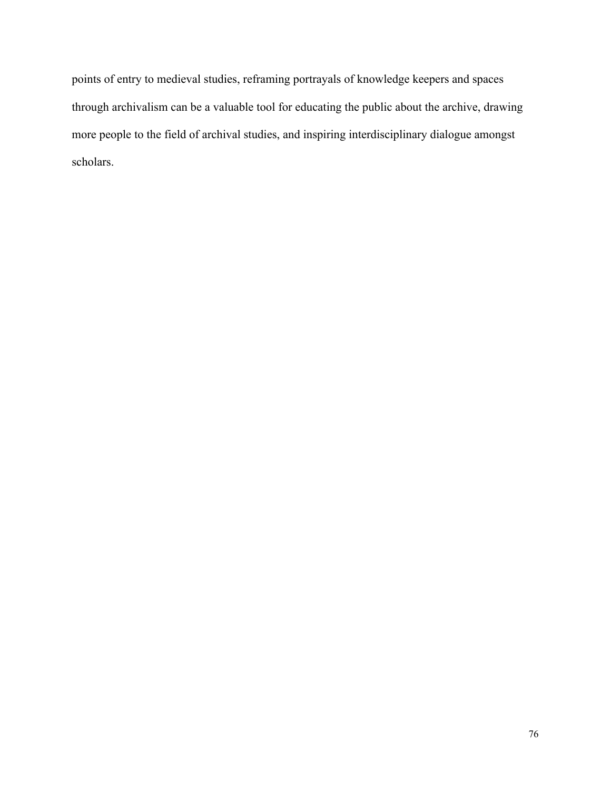points of entry to medieval studies, reframing portrayals of knowledge keepers and spaces through archivalism can be a valuable tool for educating the public about the archive, drawing more people to the field of archival studies, and inspiring interdisciplinary dialogue amongst scholars.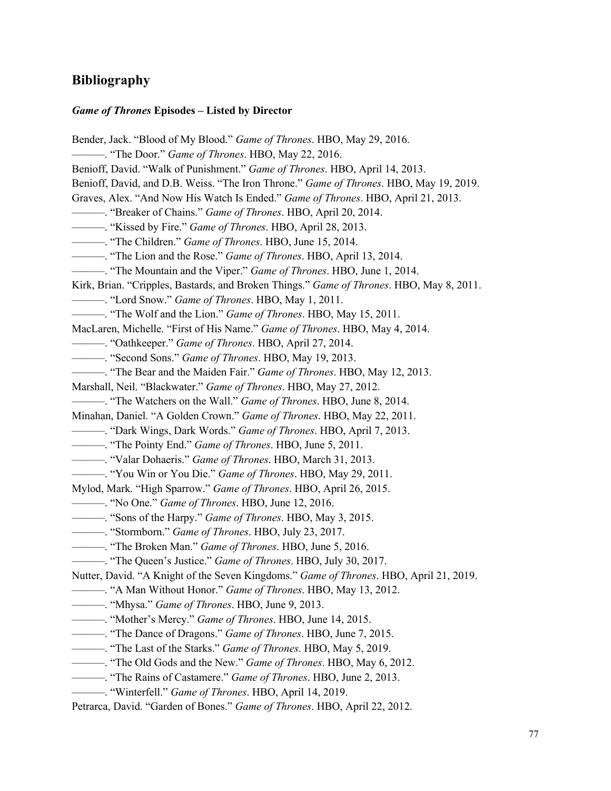## **Bibliography**

### *Game of Thrones* **Episodes – Listed by Director**

Bender, Jack. "Blood of My Blood." *Game of Thrones*. HBO, May 29, 2016. ———. "The Door." *Game of Thrones*. HBO, May 22, 2016. Benioff, David. "Walk of Punishment." *Game of Thrones*. HBO, April 14, 2013. Benioff, David, and D.B. Weiss. "The Iron Throne." *Game of Thrones*. HBO, May 19, 2019. Graves, Alex. "And Now His Watch Is Ended." *Game of Thrones*. HBO, April 21, 2013. ———. "Breaker of Chains." *Game of Thrones*. HBO, April 20, 2014. ———. "Kissed by Fire." *Game of Thrones*. HBO, April 28, 2013. ———. "The Children." *Game of Thrones*. HBO, June 15, 2014. ———. "The Lion and the Rose." *Game of Thrones*. HBO, April 13, 2014. ———. "The Mountain and the Viper." *Game of Thrones*. HBO, June 1, 2014. Kirk, Brian. "Cripples, Bastards, and Broken Things." *Game of Thrones*. HBO, May 8, 2011. ———. "Lord Snow." *Game of Thrones*. HBO, May 1, 2011. ———. "The Wolf and the Lion." *Game of Thrones*. HBO, May 15, 2011. MacLaren, Michelle. "First of His Name." *Game of Thrones*. HBO, May 4, 2014. ———. "Oathkeeper." *Game of Thrones*. HBO, April 27, 2014. ———. "Second Sons." *Game of Thrones*. HBO, May 19, 2013. ———. "The Bear and the Maiden Fair." *Game of Thrones*. HBO, May 12, 2013. Marshall, Neil. "Blackwater." *Game of Thrones*. HBO, May 27, 2012. ———. "The Watchers on the Wall." *Game of Thrones*. HBO, June 8, 2014. Minahan, Daniel. "A Golden Crown." *Game of Thrones*. HBO, May 22, 2011. ———. "Dark Wings, Dark Words." *Game of Thrones*. HBO, April 7, 2013. ———. "The Pointy End." *Game of Thrones*. HBO, June 5, 2011. ———. "Valar Dohaeris." *Game of Thrones*. HBO, March 31, 2013. ———. "You Win or You Die." *Game of Thrones*. HBO, May 29, 2011. Mylod, Mark. "High Sparrow." *Game of Thrones*. HBO, April 26, 2015. ———. "No One." *Game of Thrones*. HBO, June 12, 2016. ———. "Sons of the Harpy." *Game of Thrones*. HBO, May 3, 2015. ———. "Stormborn." *Game of Thrones*. HBO, July 23, 2017. ———. "The Broken Man." *Game of Thrones*. HBO, June 5, 2016. ———. "The Queen's Justice." *Game of Thrones*. HBO, July 30, 2017. Nutter, David. "A Knight of the Seven Kingdoms." *Game of Thrones*. HBO, April 21, 2019. ———. "A Man Without Honor." *Game of Thrones*. HBO, May 13, 2012. ———. "Mhysa." *Game of Thrones*. HBO, June 9, 2013. ———. "Mother's Mercy." *Game of Thrones*. HBO, June 14, 2015. ———. "The Dance of Dragons." *Game of Thrones*. HBO, June 7, 2015. ———. "The Last of the Starks." *Game of Thrones*. HBO, May 5, 2019. ———. "The Old Gods and the New." *Game of Thrones*. HBO, May 6, 2012. ———. "The Rains of Castamere." *Game of Thrones*. HBO, June 2, 2013. ———. "Winterfell." *Game of Thrones*. HBO, April 14, 2019. Petrarca, David. "Garden of Bones." *Game of Thrones*. HBO, April 22, 2012.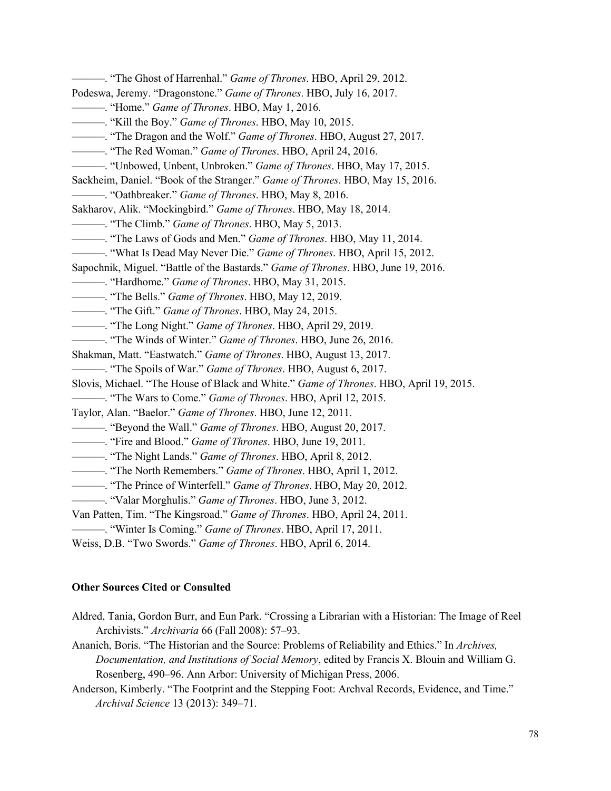———. "The Ghost of Harrenhal." *Game of Thrones*. HBO, April 29, 2012. Podeswa, Jeremy. "Dragonstone." *Game of Thrones*. HBO, July 16, 2017. ———. "Home." *Game of Thrones*. HBO, May 1, 2016. ———. "Kill the Boy." *Game of Thrones*. HBO, May 10, 2015. ———. "The Dragon and the Wolf." *Game of Thrones*. HBO, August 27, 2017. ———. "The Red Woman." *Game of Thrones*. HBO, April 24, 2016. ———. "Unbowed, Unbent, Unbroken." *Game of Thrones*. HBO, May 17, 2015. Sackheim, Daniel. "Book of the Stranger." *Game of Thrones*. HBO, May 15, 2016. ———. "Oathbreaker." *Game of Thrones*. HBO, May 8, 2016. Sakharov, Alik. "Mockingbird." *Game of Thrones*. HBO, May 18, 2014. ———. "The Climb." *Game of Thrones*. HBO, May 5, 2013. ———. "The Laws of Gods and Men." *Game of Thrones*. HBO, May 11, 2014. ———. "What Is Dead May Never Die." *Game of Thrones*. HBO, April 15, 2012. Sapochnik, Miguel. "Battle of the Bastards." *Game of Thrones*. HBO, June 19, 2016. ———. "Hardhome." *Game of Thrones*. HBO, May 31, 2015. ———. "The Bells." *Game of Thrones*. HBO, May 12, 2019. ———. "The Gift." *Game of Thrones*. HBO, May 24, 2015. ———. "The Long Night." *Game of Thrones*. HBO, April 29, 2019. ———. "The Winds of Winter." *Game of Thrones*. HBO, June 26, 2016. Shakman, Matt. "Eastwatch." *Game of Thrones*. HBO, August 13, 2017. ———. "The Spoils of War." *Game of Thrones*. HBO, August 6, 2017. Slovis, Michael. "The House of Black and White." *Game of Thrones*. HBO, April 19, 2015. ———. "The Wars to Come." *Game of Thrones*. HBO, April 12, 2015. Taylor, Alan. "Baelor." *Game of Thrones*. HBO, June 12, 2011. ———. "Beyond the Wall." *Game of Thrones*. HBO, August 20, 2017. ———. "Fire and Blood." *Game of Thrones*. HBO, June 19, 2011. ———. "The Night Lands." *Game of Thrones*. HBO, April 8, 2012. ———. "The North Remembers." *Game of Thrones*. HBO, April 1, 2012. ———. "The Prince of Winterfell." *Game of Thrones*. HBO, May 20, 2012. ———. "Valar Morghulis." *Game of Thrones*. HBO, June 3, 2012. Van Patten, Tim. "The Kingsroad." *Game of Thrones*. HBO, April 24, 2011. ———. "Winter Is Coming." *Game of Thrones*. HBO, April 17, 2011. Weiss, D.B. "Two Swords." *Game of Thrones*. HBO, April 6, 2014.

#### **Other Sources Cited or Consulted**

Aldred, Tania, Gordon Burr, and Eun Park. "Crossing a Librarian with a Historian: The Image of Reel Archivists." *Archivaria* 66 (Fall 2008): 57–93.

Ananich, Boris. "The Historian and the Source: Problems of Reliability and Ethics." In *Archives, Documentation, and Institutions of Social Memory*, edited by Francis X. Blouin and William G. Rosenberg, 490–96. Ann Arbor: University of Michigan Press, 2006.

Anderson, Kimberly. "The Footprint and the Stepping Foot: Archval Records, Evidence, and Time." *Archival Science* 13 (2013): 349–71.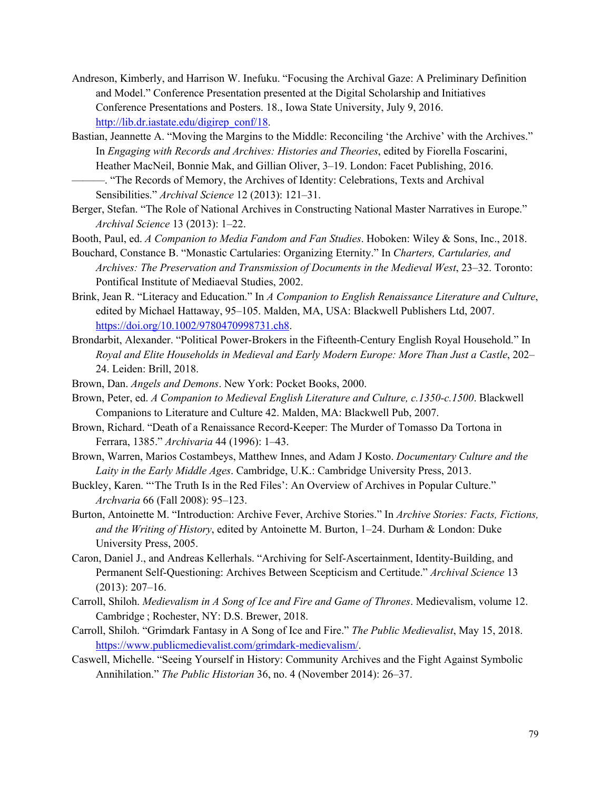- Andreson, Kimberly, and Harrison W. Inefuku. "Focusing the Archival Gaze: A Preliminary Definition and Model." Conference Presentation presented at the Digital Scholarship and Initiatives Conference Presentations and Posters. 18., Iowa State University, July 9, 2016. http://lib.dr.iastate.edu/digirep\_conf/18.
- Bastian, Jeannette A. "Moving the Margins to the Middle: Reconciling 'the Archive' with the Archives." In *Engaging with Records and Archives: Histories and Theories*, edited by Fiorella Foscarini, Heather MacNeil, Bonnie Mak, and Gillian Oliver, 3–19. London: Facet Publishing, 2016. ———. "The Records of Memory, the Archives of Identity: Celebrations, Texts and Archival

Sensibilities." *Archival Science* 12 (2013): 121–31.

- Berger, Stefan. "The Role of National Archives in Constructing National Master Narratives in Europe." *Archival Science* 13 (2013): 1–22.
- Booth, Paul, ed. *A Companion to Media Fandom and Fan Studies*. Hoboken: Wiley & Sons, Inc., 2018.
- Bouchard, Constance B. "Monastic Cartularies: Organizing Eternity." In *Charters, Cartularies, and Archives: The Preservation and Transmission of Documents in the Medieval West*, 23–32. Toronto: Pontifical Institute of Mediaeval Studies, 2002.
- Brink, Jean R. "Literacy and Education." In *A Companion to English Renaissance Literature and Culture*, edited by Michael Hattaway, 95–105. Malden, MA, USA: Blackwell Publishers Ltd, 2007. https://doi.org/10.1002/9780470998731.ch8.
- Brondarbit, Alexander. "Political Power-Brokers in the Fifteenth-Century English Royal Household." In *Royal and Elite Households in Medieval and Early Modern Europe: More Than Just a Castle*, 202– 24. Leiden: Brill, 2018.
- Brown, Dan. *Angels and Demons*. New York: Pocket Books, 2000.
- Brown, Peter, ed. *A Companion to Medieval English Literature and Culture, c.1350-c.1500*. Blackwell Companions to Literature and Culture 42. Malden, MA: Blackwell Pub, 2007.
- Brown, Richard. "Death of a Renaissance Record-Keeper: The Murder of Tomasso Da Tortona in Ferrara, 1385." *Archivaria* 44 (1996): 1–43.
- Brown, Warren, Marios Costambeys, Matthew Innes, and Adam J Kosto. *Documentary Culture and the Laity in the Early Middle Ages*. Cambridge, U.K.: Cambridge University Press, 2013.
- Buckley, Karen. "'The Truth Is in the Red Files': An Overview of Archives in Popular Culture." *Archvaria* 66 (Fall 2008): 95–123.
- Burton, Antoinette M. "Introduction: Archive Fever, Archive Stories." In *Archive Stories: Facts, Fictions, and the Writing of History*, edited by Antoinette M. Burton, 1–24. Durham & London: Duke University Press, 2005.
- Caron, Daniel J., and Andreas Kellerhals. "Archiving for Self-Ascertainment, Identity-Building, and Permanent Self-Questioning: Archives Between Scepticism and Certitude." *Archival Science* 13 (2013): 207–16.
- Carroll, Shiloh. *Medievalism in A Song of Ice and Fire and Game of Thrones*. Medievalism, volume 12. Cambridge ; Rochester, NY: D.S. Brewer, 2018.
- Carroll, Shiloh. "Grimdark Fantasy in A Song of Ice and Fire." *The Public Medievalist*, May 15, 2018. https://www.publicmedievalist.com/grimdark-medievalism/.
- Caswell, Michelle. "Seeing Yourself in History: Community Archives and the Fight Against Symbolic Annihilation." *The Public Historian* 36, no. 4 (November 2014): 26–37.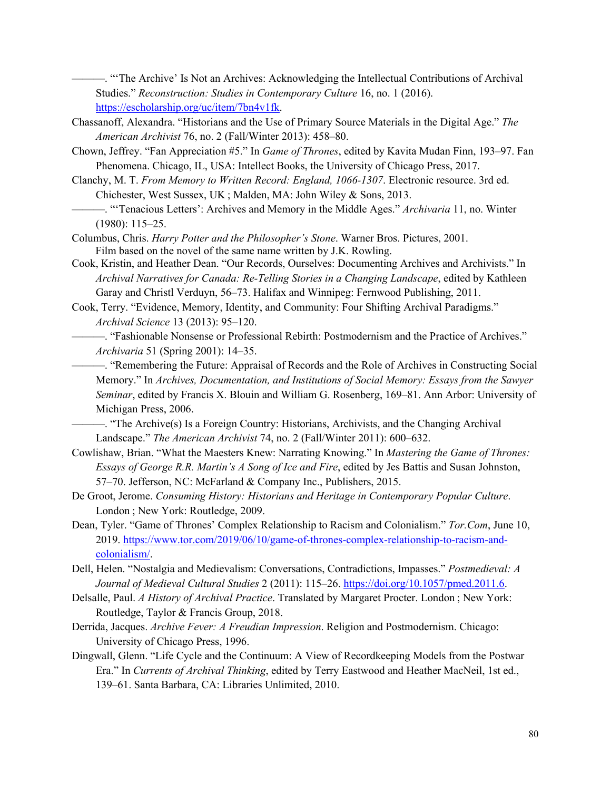———. "'The Archive' Is Not an Archives: Acknowledging the Intellectual Contributions of Archival Studies." *Reconstruction: Studies in Contemporary Culture* 16, no. 1 (2016). https://escholarship.org/uc/item/7bn4v1fk.

- Chassanoff, Alexandra. "Historians and the Use of Primary Source Materials in the Digital Age." *The American Archivist* 76, no. 2 (Fall/Winter 2013): 458–80.
- Chown, Jeffrey. "Fan Appreciation #5." In *Game of Thrones*, edited by Kavita Mudan Finn, 193–97. Fan Phenomena. Chicago, IL, USA: Intellect Books, the University of Chicago Press, 2017.
- Clanchy, M. T. *From Memory to Written Record: England, 1066-1307*. Electronic resource. 3rd ed. Chichester, West Sussex, UK ; Malden, MA: John Wiley & Sons, 2013.
	- ———. "'Tenacious Letters': Archives and Memory in the Middle Ages." *Archivaria* 11, no. Winter (1980): 115–25.
- Columbus, Chris. *Harry Potter and the Philosopher's Stone*. Warner Bros. Pictures, 2001. Film based on the novel of the same name written by J.K. Rowling.
- Cook, Kristin, and Heather Dean. "Our Records, Ourselves: Documenting Archives and Archivists." In *Archival Narratives for Canada: Re-Telling Stories in a Changing Landscape*, edited by Kathleen Garay and Christl Verduyn, 56–73. Halifax and Winnipeg: Fernwood Publishing, 2011.
- Cook, Terry. "Evidence, Memory, Identity, and Community: Four Shifting Archival Paradigms." *Archival Science* 13 (2013): 95–120.
	- ———. "Fashionable Nonsense or Professional Rebirth: Postmodernism and the Practice of Archives." *Archivaria* 51 (Spring 2001): 14–35.
	- ———. "Remembering the Future: Appraisal of Records and the Role of Archives in Constructing Social Memory." In *Archives, Documentation, and Institutions of Social Memory: Essays from the Sawyer Seminar*, edited by Francis X. Blouin and William G. Rosenberg, 169–81. Ann Arbor: University of Michigan Press, 2006.
	- ———. "The Archive(s) Is a Foreign Country: Historians, Archivists, and the Changing Archival Landscape." *The American Archivist* 74, no. 2 (Fall/Winter 2011): 600–632.
- Cowlishaw, Brian. "What the Maesters Knew: Narrating Knowing." In *Mastering the Game of Thrones: Essays of George R.R. Martin's A Song of Ice and Fire*, edited by Jes Battis and Susan Johnston, 57–70. Jefferson, NC: McFarland & Company Inc., Publishers, 2015.
- De Groot, Jerome. *Consuming History: Historians and Heritage in Contemporary Popular Culture*. London ; New York: Routledge, 2009.
- Dean, Tyler. "Game of Thrones' Complex Relationship to Racism and Colonialism." *Tor.Com*, June 10, 2019. https://www.tor.com/2019/06/10/game-of-thrones-complex-relationship-to-racism-andcolonialism/.
- Dell, Helen. "Nostalgia and Medievalism: Conversations, Contradictions, Impasses." *Postmedieval: A Journal of Medieval Cultural Studies* 2 (2011): 115–26. https://doi.org/10.1057/pmed.2011.6.
- Delsalle, Paul. *A History of Archival Practice*. Translated by Margaret Procter. London ; New York: Routledge, Taylor & Francis Group, 2018.
- Derrida, Jacques. *Archive Fever: A Freudian Impression*. Religion and Postmodernism. Chicago: University of Chicago Press, 1996.
- Dingwall, Glenn. "Life Cycle and the Continuum: A View of Recordkeeping Models from the Postwar Era." In *Currents of Archival Thinking*, edited by Terry Eastwood and Heather MacNeil, 1st ed., 139–61. Santa Barbara, CA: Libraries Unlimited, 2010.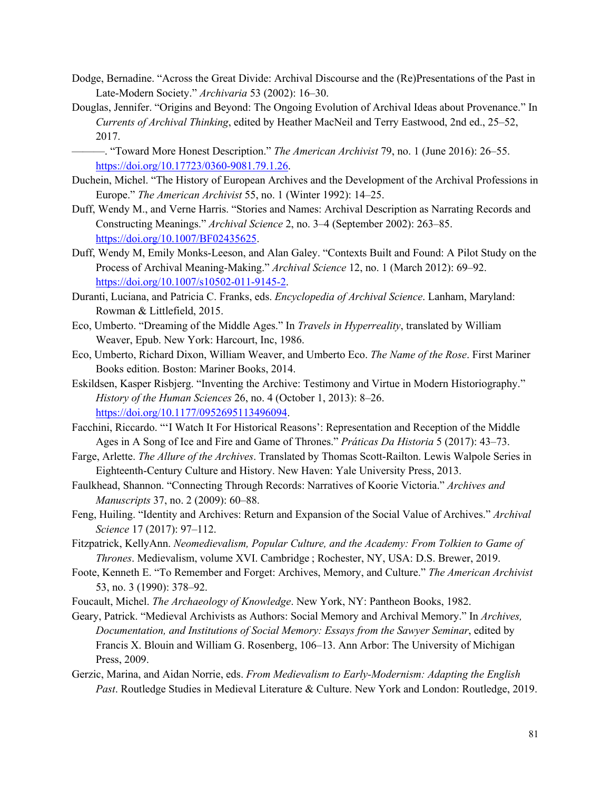- Dodge, Bernadine. "Across the Great Divide: Archival Discourse and the (Re)Presentations of the Past in Late-Modern Society." *Archivaria* 53 (2002): 16–30.
- Douglas, Jennifer. "Origins and Beyond: The Ongoing Evolution of Archival Ideas about Provenance." In *Currents of Archival Thinking*, edited by Heather MacNeil and Terry Eastwood, 2nd ed., 25–52, 2017.
- ———. "Toward More Honest Description." *The American Archivist* 79, no. 1 (June 2016): 26–55. https://doi.org/10.17723/0360-9081.79.1.26.
- Duchein, Michel. "The History of European Archives and the Development of the Archival Professions in Europe." *The American Archivist* 55, no. 1 (Winter 1992): 14–25.
- Duff, Wendy M., and Verne Harris. "Stories and Names: Archival Description as Narrating Records and Constructing Meanings." *Archival Science* 2, no. 3–4 (September 2002): 263–85. https://doi.org/10.1007/BF02435625.
- Duff, Wendy M, Emily Monks-Leeson, and Alan Galey. "Contexts Built and Found: A Pilot Study on the Process of Archival Meaning-Making." *Archival Science* 12, no. 1 (March 2012): 69–92. https://doi.org/10.1007/s10502-011-9145-2.
- Duranti, Luciana, and Patricia C. Franks, eds. *Encyclopedia of Archival Science*. Lanham, Maryland: Rowman & Littlefield, 2015.
- Eco, Umberto. "Dreaming of the Middle Ages." In *Travels in Hyperreality*, translated by William Weaver, Epub. New York: Harcourt, Inc, 1986.
- Eco, Umberto, Richard Dixon, William Weaver, and Umberto Eco. *The Name of the Rose*. First Mariner Books edition. Boston: Mariner Books, 2014.
- Eskildsen, Kasper Risbjerg. "Inventing the Archive: Testimony and Virtue in Modern Historiography." *History of the Human Sciences* 26, no. 4 (October 1, 2013): 8–26. https://doi.org/10.1177/0952695113496094.
- Facchini, Riccardo. "'I Watch It For Historical Reasons': Representation and Reception of the Middle Ages in A Song of Ice and Fire and Game of Thrones." *Práticas Da Historia* 5 (2017): 43–73.
- Farge, Arlette. *The Allure of the Archives*. Translated by Thomas Scott-Railton. Lewis Walpole Series in Eighteenth-Century Culture and History. New Haven: Yale University Press, 2013.
- Faulkhead, Shannon. "Connecting Through Records: Narratives of Koorie Victoria." *Archives and Manuscripts* 37, no. 2 (2009): 60–88.
- Feng, Huiling. "Identity and Archives: Return and Expansion of the Social Value of Archives." *Archival Science* 17 (2017): 97–112.
- Fitzpatrick, KellyAnn. *Neomedievalism, Popular Culture, and the Academy: From Tolkien to Game of Thrones*. Medievalism, volume XVI. Cambridge ; Rochester, NY, USA: D.S. Brewer, 2019.
- Foote, Kenneth E. "To Remember and Forget: Archives, Memory, and Culture." *The American Archivist* 53, no. 3 (1990): 378–92.
- Foucault, Michel. *The Archaeology of Knowledge*. New York, NY: Pantheon Books, 1982.

Geary, Patrick. "Medieval Archivists as Authors: Social Memory and Archival Memory." In *Archives, Documentation, and Institutions of Social Memory: Essays from the Sawyer Seminar*, edited by Francis X. Blouin and William G. Rosenberg, 106–13. Ann Arbor: The University of Michigan Press, 2009.

Gerzic, Marina, and Aidan Norrie, eds. *From Medievalism to Early-Modernism: Adapting the English Past*. Routledge Studies in Medieval Literature & Culture. New York and London: Routledge, 2019.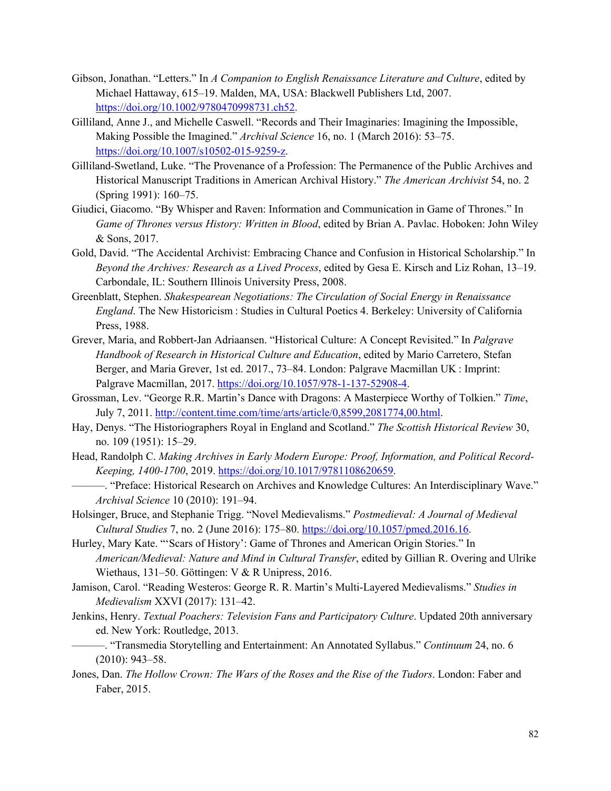- Gibson, Jonathan. "Letters." In *A Companion to English Renaissance Literature and Culture*, edited by Michael Hattaway, 615–19. Malden, MA, USA: Blackwell Publishers Ltd, 2007. https://doi.org/10.1002/9780470998731.ch52.
- Gilliland, Anne J., and Michelle Caswell. "Records and Their Imaginaries: Imagining the Impossible, Making Possible the Imagined." *Archival Science* 16, no. 1 (March 2016): 53–75. https://doi.org/10.1007/s10502-015-9259-z.
- Gilliland-Swetland, Luke. "The Provenance of a Profession: The Permanence of the Public Archives and Historical Manuscript Traditions in American Archival History." *The American Archivist* 54, no. 2 (Spring 1991): 160–75.
- Giudici, Giacomo. "By Whisper and Raven: Information and Communication in Game of Thrones." In *Game of Thrones versus History: Written in Blood*, edited by Brian A. Pavlac. Hoboken: John Wiley & Sons, 2017.
- Gold, David. "The Accidental Archivist: Embracing Chance and Confusion in Historical Scholarship." In *Beyond the Archives: Research as a Lived Process*, edited by Gesa E. Kirsch and Liz Rohan, 13–19. Carbondale, IL: Southern Illinois University Press, 2008.
- Greenblatt, Stephen. *Shakespearean Negotiations: The Circulation of Social Energy in Renaissance England*. The New Historicism : Studies in Cultural Poetics 4. Berkeley: University of California Press, 1988.
- Grever, Maria, and Robbert-Jan Adriaansen. "Historical Culture: A Concept Revisited." In *Palgrave Handbook of Research in Historical Culture and Education*, edited by Mario Carretero, Stefan Berger, and Maria Grever, 1st ed. 2017., 73–84. London: Palgrave Macmillan UK : Imprint: Palgrave Macmillan, 2017. https://doi.org/10.1057/978-1-137-52908-4.
- Grossman, Lev. "George R.R. Martin's Dance with Dragons: A Masterpiece Worthy of Tolkien." *Time*, July 7, 2011. http://content.time.com/time/arts/article/0,8599,2081774,00.html.
- Hay, Denys. "The Historiographers Royal in England and Scotland." *The Scottish Historical Review* 30, no. 109 (1951): 15–29.
- Head, Randolph C. *Making Archives in Early Modern Europe: Proof, Information, and Political Record-Keeping, 1400-1700*, 2019. https://doi.org/10.1017/9781108620659.
	- ———. "Preface: Historical Research on Archives and Knowledge Cultures: An Interdisciplinary Wave." *Archival Science* 10 (2010): 191–94.

Holsinger, Bruce, and Stephanie Trigg. "Novel Medievalisms." *Postmedieval: A Journal of Medieval Cultural Studies* 7, no. 2 (June 2016): 175–80. https://doi.org/10.1057/pmed.2016.16.

- Hurley, Mary Kate. "'Scars of History': Game of Thrones and American Origin Stories." In *American/Medieval: Nature and Mind in Cultural Transfer*, edited by Gillian R. Overing and Ulrike Wiethaus, 131–50. Göttingen: V & R Unipress, 2016.
- Jamison, Carol. "Reading Westeros: George R. R. Martin's Multi-Layered Medievalisms." *Studies in Medievalism* XXVI (2017): 131–42.

Jenkins, Henry. *Textual Poachers: Television Fans and Participatory Culture*. Updated 20th anniversary ed. New York: Routledge, 2013.

- ———. "Transmedia Storytelling and Entertainment: An Annotated Syllabus." *Continuum* 24, no. 6 (2010): 943–58.
- Jones, Dan. *The Hollow Crown: The Wars of the Roses and the Rise of the Tudors*. London: Faber and Faber, 2015.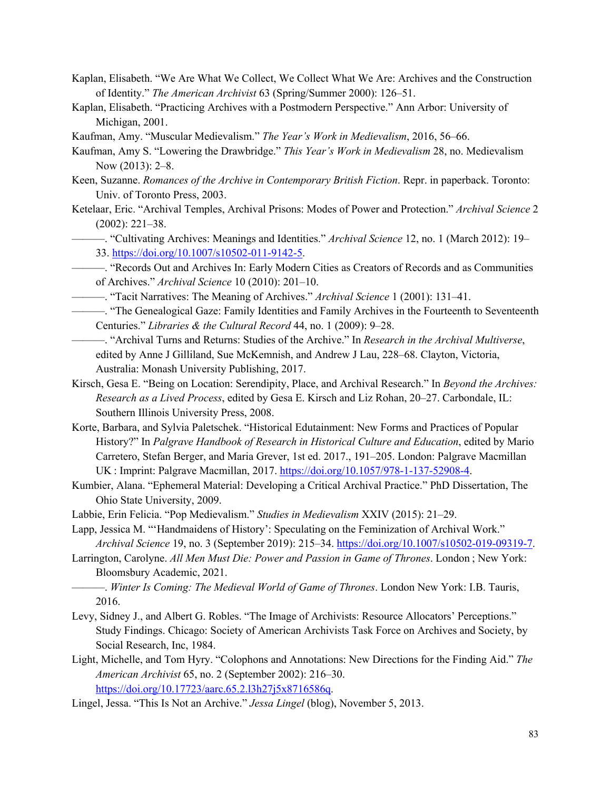- Kaplan, Elisabeth. "We Are What We Collect, We Collect What We Are: Archives and the Construction of Identity." *The American Archivist* 63 (Spring/Summer 2000): 126–51.
- Kaplan, Elisabeth. "Practicing Archives with a Postmodern Perspective." Ann Arbor: University of Michigan, 2001.
- Kaufman, Amy. "Muscular Medievalism." *The Year's Work in Medievalism*, 2016, 56–66.
- Kaufman, Amy S. "Lowering the Drawbridge." *This Year's Work in Medievalism* 28, no. Medievalism Now (2013): 2–8.
- Keen, Suzanne. *Romances of the Archive in Contemporary British Fiction*. Repr. in paperback. Toronto: Univ. of Toronto Press, 2003.
- Ketelaar, Eric. "Archival Temples, Archival Prisons: Modes of Power and Protection." *Archival Science* 2 (2002): 221–38.
	- ———. "Cultivating Archives: Meanings and Identities." *Archival Science* 12, no. 1 (March 2012): 19– 33. https://doi.org/10.1007/s10502-011-9142-5.
- ———. "Records Out and Archives In: Early Modern Cities as Creators of Records and as Communities of Archives." *Archival Science* 10 (2010): 201–10.
- ———. "Tacit Narratives: The Meaning of Archives." *Archival Science* 1 (2001): 131–41.
- ———. "The Genealogical Gaze: Family Identities and Family Archives in the Fourteenth to Seventeenth Centuries." *Libraries & the Cultural Record* 44, no. 1 (2009): 9–28.
- ———. "Archival Turns and Returns: Studies of the Archive." In *Research in the Archival Multiverse*, edited by Anne J Gilliland, Sue McKemnish, and Andrew J Lau, 228–68. Clayton, Victoria, Australia: Monash University Publishing, 2017.
- Kirsch, Gesa E. "Being on Location: Serendipity, Place, and Archival Research." In *Beyond the Archives: Research as a Lived Process*, edited by Gesa E. Kirsch and Liz Rohan, 20–27. Carbondale, IL: Southern Illinois University Press, 2008.
- Korte, Barbara, and Sylvia Paletschek. "Historical Edutainment: New Forms and Practices of Popular History?" In *Palgrave Handbook of Research in Historical Culture and Education*, edited by Mario Carretero, Stefan Berger, and Maria Grever, 1st ed. 2017., 191–205. London: Palgrave Macmillan UK : Imprint: Palgrave Macmillan, 2017. https://doi.org/10.1057/978-1-137-52908-4.
- Kumbier, Alana. "Ephemeral Material: Developing a Critical Archival Practice." PhD Dissertation, The Ohio State University, 2009.
- Labbie, Erin Felicia. "Pop Medievalism." *Studies in Medievalism* XXIV (2015): 21–29.
- Lapp, Jessica M. "'Handmaidens of History': Speculating on the Feminization of Archival Work." *Archival Science* 19, no. 3 (September 2019): 215–34. https://doi.org/10.1007/s10502-019-09319-7.
- Larrington, Carolyne. *All Men Must Die: Power and Passion in Game of Thrones*. London ; New York: Bloomsbury Academic, 2021.
- ———. *Winter Is Coming: The Medieval World of Game of Thrones*. London New York: I.B. Tauris, 2016.
- Levy, Sidney J., and Albert G. Robles. "The Image of Archivists: Resource Allocators' Perceptions." Study Findings. Chicago: Society of American Archivists Task Force on Archives and Society, by Social Research, Inc, 1984.
- Light, Michelle, and Tom Hyry. "Colophons and Annotations: New Directions for the Finding Aid." *The American Archivist* 65, no. 2 (September 2002): 216–30. https://doi.org/10.17723/aarc.65.2.l3h27j5x8716586q.
- Lingel, Jessa. "This Is Not an Archive." *Jessa Lingel* (blog), November 5, 2013.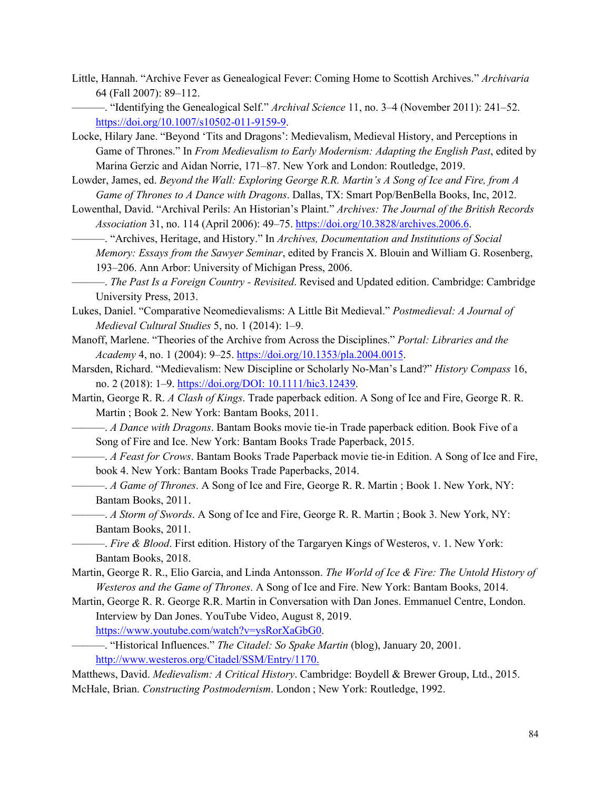Little, Hannah. "Archive Fever as Genealogical Fever: Coming Home to Scottish Archives." *Archivaria* 64 (Fall 2007): 89–112.

———. "Identifying the Genealogical Self." *Archival Science* 11, no. 3–4 (November 2011): 241–52. https://doi.org/10.1007/s10502-011-9159-9.

Locke, Hilary Jane. "Beyond 'Tits and Dragons': Medievalism, Medieval History, and Perceptions in Game of Thrones." In *From Medievalism to Early Modernism: Adapting the English Past*, edited by Marina Gerzic and Aidan Norrie, 171–87. New York and London: Routledge, 2019.

Lowder, James, ed. *Beyond the Wall: Exploring George R.R. Martin's A Song of Ice and Fire, from A Game of Thrones to A Dance with Dragons*. Dallas, TX: Smart Pop/BenBella Books, Inc, 2012.

Lowenthal, David. "Archival Perils: An Historian's Plaint." *Archives: The Journal of the British Records Association* 31, no. 114 (April 2006): 49–75. https://doi.org/10.3828/archives.2006.6.

———. "Archives, Heritage, and History." In *Archives, Documentation and Institutions of Social Memory: Essays from the Sawyer Seminar*, edited by Francis X. Blouin and William G. Rosenberg, 193–206. Ann Arbor: University of Michigan Press, 2006.

- Lukes, Daniel. "Comparative Neomedievalisms: A Little Bit Medieval." *Postmedieval: A Journal of Medieval Cultural Studies* 5, no. 1 (2014): 1–9.
- Manoff, Marlene. "Theories of the Archive from Across the Disciplines." *Portal: Libraries and the Academy* 4, no. 1 (2004): 9–25. https://doi.org/10.1353/pla.2004.0015.

Marsden, Richard. "Medievalism: New Discipline or Scholarly No-Man's Land?" *History Compass* 16, no. 2 (2018): 1–9. https://doi.org/DOI: 10.1111/hic3.12439.

Martin, George R. R. *A Clash of Kings*. Trade paperback edition. A Song of Ice and Fire, George R. R. Martin ; Book 2. New York: Bantam Books, 2011.

———. *A Dance with Dragons*. Bantam Books movie tie-in Trade paperback edition. Book Five of a Song of Fire and Ice. New York: Bantam Books Trade Paperback, 2015.

———. *A Feast for Crows*. Bantam Books Trade Paperback movie tie-in Edition. A Song of Ice and Fire, book 4. New York: Bantam Books Trade Paperbacks, 2014.

———. *A Game of Thrones*. A Song of Ice and Fire, George R. R. Martin ; Book 1. New York, NY: Bantam Books, 2011.

———. *A Storm of Swords*. A Song of Ice and Fire, George R. R. Martin ; Book 3. New York, NY: Bantam Books, 2011.

———. *Fire & Blood*. First edition. History of the Targaryen Kings of Westeros, v. 1. New York: Bantam Books, 2018.

Martin, George R. R., Elio Garcia, and Linda Antonsson. *The World of Ice & Fire: The Untold History of Westeros and the Game of Thrones*. A Song of Ice and Fire. New York: Bantam Books, 2014.

Martin, George R. R. George R.R. Martin in Conversation with Dan Jones. Emmanuel Centre, London. Interview by Dan Jones. YouTube Video, August 8, 2019. https://www.youtube.com/watch?v=ysRorXaGbG0.

———. "Historical Influences." *The Citadel: So Spake Martin* (blog), January 20, 2001. http://www.westeros.org/Citadel/SSM/Entry/1170.

Matthews, David. *Medievalism: A Critical History*. Cambridge: Boydell & Brewer Group, Ltd., 2015. McHale, Brian. *Constructing Postmodernism*. London ; New York: Routledge, 1992.

<sup>———.</sup> *The Past Is a Foreign Country - Revisited*. Revised and Updated edition. Cambridge: Cambridge University Press, 2013.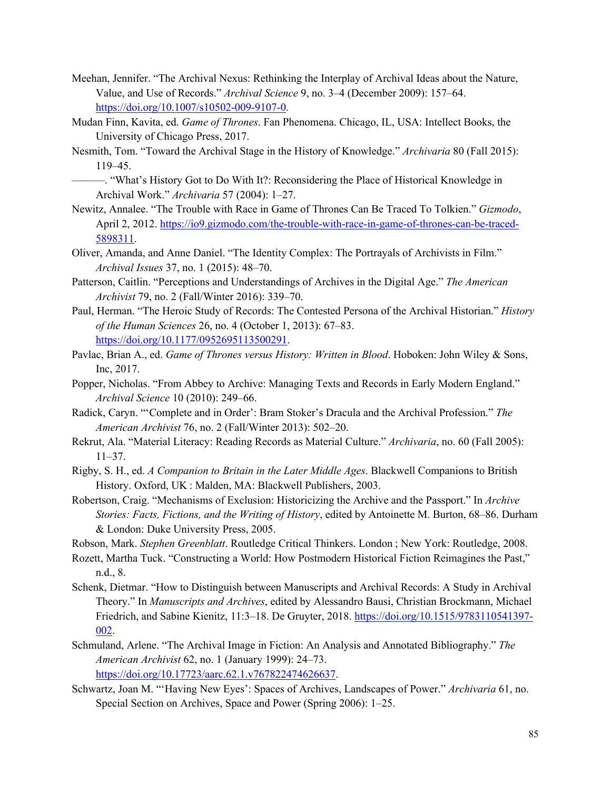- Meehan, Jennifer. "The Archival Nexus: Rethinking the Interplay of Archival Ideas about the Nature, Value, and Use of Records." *Archival Science* 9, no. 3–4 (December 2009): 157–64. https://doi.org/10.1007/s10502-009-9107-0.
- Mudan Finn, Kavita, ed. *Game of Thrones*. Fan Phenomena. Chicago, IL, USA: Intellect Books, the University of Chicago Press, 2017.
- Nesmith, Tom. "Toward the Archival Stage in the History of Knowledge." *Archivaria* 80 (Fall 2015): 119–45.
	- ———. "What's History Got to Do With It?: Reconsidering the Place of Historical Knowledge in Archival Work." *Archivaria* 57 (2004): 1–27.
- Newitz, Annalee. "The Trouble with Race in Game of Thrones Can Be Traced To Tolkien." *Gizmodo*, April 2, 2012. https://io9.gizmodo.com/the-trouble-with-race-in-game-of-thrones-can-be-traced-5898311.
- Oliver, Amanda, and Anne Daniel. "The Identity Complex: The Portrayals of Archivists in Film." *Archival Issues* 37, no. 1 (2015): 48–70.
- Patterson, Caitlin. "Perceptions and Understandings of Archives in the Digital Age." *The American Archivist* 79, no. 2 (Fall/Winter 2016): 339–70.
- Paul, Herman. "The Heroic Study of Records: The Contested Persona of the Archival Historian." *History of the Human Sciences* 26, no. 4 (October 1, 2013): 67–83. https://doi.org/10.1177/0952695113500291.
- Pavlac, Brian A., ed. *Game of Thrones versus History: Written in Blood*. Hoboken: John Wiley & Sons, Inc, 2017.
- Popper, Nicholas. "From Abbey to Archive: Managing Texts and Records in Early Modern England." *Archival Science* 10 (2010): 249–66.
- Radick, Caryn. "'Complete and in Order': Bram Stoker's Dracula and the Archival Profession." *The American Archivist* 76, no. 2 (Fall/Winter 2013): 502–20.
- Rekrut, Ala. "Material Literacy: Reading Records as Material Culture." *Archivaria*, no. 60 (Fall 2005): 11–37.
- Rigby, S. H., ed. *A Companion to Britain in the Later Middle Ages*. Blackwell Companions to British History. Oxford, UK : Malden, MA: Blackwell Publishers, 2003.
- Robertson, Craig. "Mechanisms of Exclusion: Historicizing the Archive and the Passport." In *Archive Stories: Facts, Fictions, and the Writing of History*, edited by Antoinette M. Burton, 68–86. Durham & London: Duke University Press, 2005.
- Robson, Mark. *Stephen Greenblatt*. Routledge Critical Thinkers. London ; New York: Routledge, 2008.
- Rozett, Martha Tuck. "Constructing a World: How Postmodern Historical Fiction Reimagines the Past," n.d., 8.
- Schenk, Dietmar. "How to Distinguish between Manuscripts and Archival Records: A Study in Archival Theory." In *Manuscripts and Archives*, edited by Alessandro Bausi, Christian Brockmann, Michael Friedrich, and Sabine Kienitz, 11:3–18. De Gruyter, 2018. https://doi.org/10.1515/9783110541397- 002.
- Schmuland, Arlene. "The Archival Image in Fiction: An Analysis and Annotated Bibliography." *The American Archivist* 62, no. 1 (January 1999): 24–73. https://doi.org/10.17723/aarc.62.1.v767822474626637.
- Schwartz, Joan M. "'Having New Eyes': Spaces of Archives, Landscapes of Power." *Archivaria* 61, no. Special Section on Archives, Space and Power (Spring 2006): 1–25.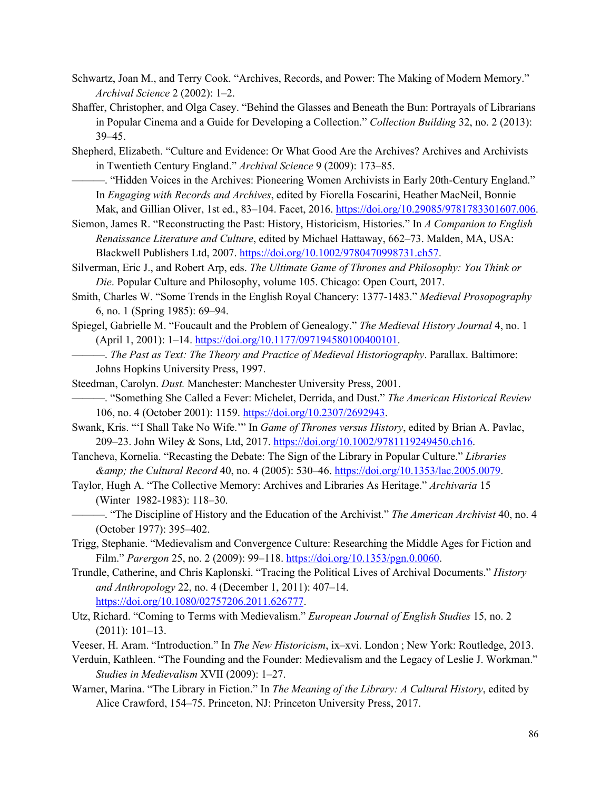- Schwartz, Joan M., and Terry Cook. "Archives, Records, and Power: The Making of Modern Memory." *Archival Science* 2 (2002): 1–2.
- Shaffer, Christopher, and Olga Casey. "Behind the Glasses and Beneath the Bun: Portrayals of Librarians in Popular Cinema and a Guide for Developing a Collection." *Collection Building* 32, no. 2 (2013): 39–45.
- Shepherd, Elizabeth. "Culture and Evidence: Or What Good Are the Archives? Archives and Archivists in Twentieth Century England." *Archival Science* 9 (2009): 173–85.
	- ———. "Hidden Voices in the Archives: Pioneering Women Archivists in Early 20th-Century England." In *Engaging with Records and Archives*, edited by Fiorella Foscarini, Heather MacNeil, Bonnie Mak, and Gillian Oliver, 1st ed., 83-104. Facet, 2016. https://doi.org/10.29085/9781783301607.006.
- Siemon, James R. "Reconstructing the Past: History, Historicism, Histories." In *A Companion to English Renaissance Literature and Culture*, edited by Michael Hattaway, 662–73. Malden, MA, USA: Blackwell Publishers Ltd, 2007. https://doi.org/10.1002/9780470998731.ch57.
- Silverman, Eric J., and Robert Arp, eds. *The Ultimate Game of Thrones and Philosophy: You Think or Die*. Popular Culture and Philosophy, volume 105. Chicago: Open Court, 2017.
- Smith, Charles W. "Some Trends in the English Royal Chancery: 1377-1483." *Medieval Prosopography* 6, no. 1 (Spring 1985): 69–94.
- Spiegel, Gabrielle M. "Foucault and the Problem of Genealogy." *The Medieval History Journal* 4, no. 1 (April 1, 2001): 1–14. https://doi.org/10.1177/097194580100400101.
	- ———. *The Past as Text: The Theory and Practice of Medieval Historiography*. Parallax. Baltimore: Johns Hopkins University Press, 1997.
- Steedman, Carolyn. *Dust.* Manchester: Manchester University Press, 2001.
- ———. "Something She Called a Fever: Michelet, Derrida, and Dust." *The American Historical Review* 106, no. 4 (October 2001): 1159. https://doi.org/10.2307/2692943.
- Swank, Kris. "'I Shall Take No Wife.'" In *Game of Thrones versus History*, edited by Brian A. Pavlac, 209–23. John Wiley & Sons, Ltd, 2017. https://doi.org/10.1002/9781119249450.ch16.
- Tancheva, Kornelia. "Recasting the Debate: The Sign of the Library in Popular Culture." *Libraries & the Cultural Record* 40, no. 4 (2005): 530–46. https://doi.org/10.1353/lac.2005.0079.
- Taylor, Hugh A. "The Collective Memory: Archives and Libraries As Heritage." *Archivaria* 15 (Winter 1982-1983): 118–30.
- ———. "The Discipline of History and the Education of the Archivist." *The American Archivist* 40, no. 4 (October 1977): 395–402.
- Trigg, Stephanie. "Medievalism and Convergence Culture: Researching the Middle Ages for Fiction and Film." *Parergon* 25, no. 2 (2009): 99–118. https://doi.org/10.1353/pgn.0.0060.
- Trundle, Catherine, and Chris Kaplonski. "Tracing the Political Lives of Archival Documents." *History and Anthropology* 22, no. 4 (December 1, 2011): 407–14. https://doi.org/10.1080/02757206.2011.626777.
- Utz, Richard. "Coming to Terms with Medievalism." *European Journal of English Studies* 15, no. 2 (2011): 101–13.
- Veeser, H. Aram. "Introduction." In *The New Historicism*, ix–xvi. London ; New York: Routledge, 2013.
- Verduin, Kathleen. "The Founding and the Founder: Medievalism and the Legacy of Leslie J. Workman." *Studies in Medievalism* XVII (2009): 1–27.
- Warner, Marina. "The Library in Fiction." In *The Meaning of the Library: A Cultural History*, edited by Alice Crawford, 154–75. Princeton, NJ: Princeton University Press, 2017.